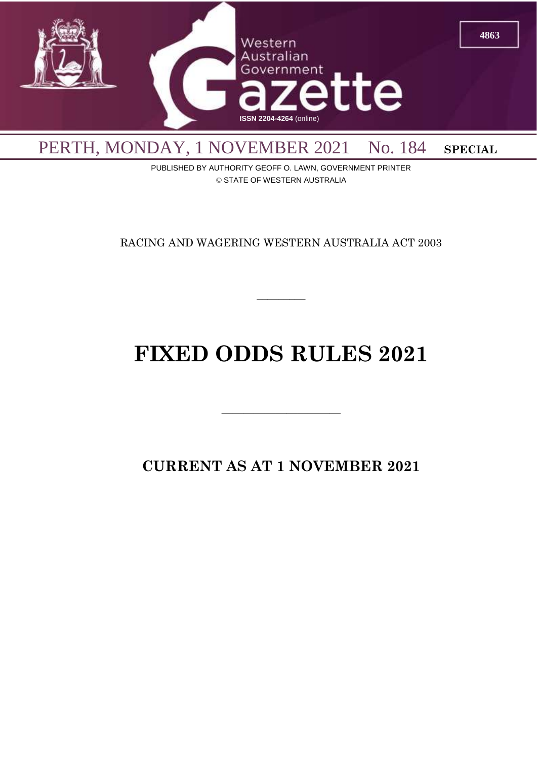

PUBLISHED BY AUTHORITY GEOFF O. LAWN, GOVERNMENT PRINTER © STATE OF WESTERN AUSTRALIA

RACING AND WAGERING WESTERN AUSTRALIA ACT 2003

 $\overline{\phantom{a}}$ 

# **FIXED ODDS RULES 2021**

**CURRENT AS AT 1 NOVEMBER 2021**

 $\overline{\phantom{a}}$  , and the contract of  $\overline{\phantom{a}}$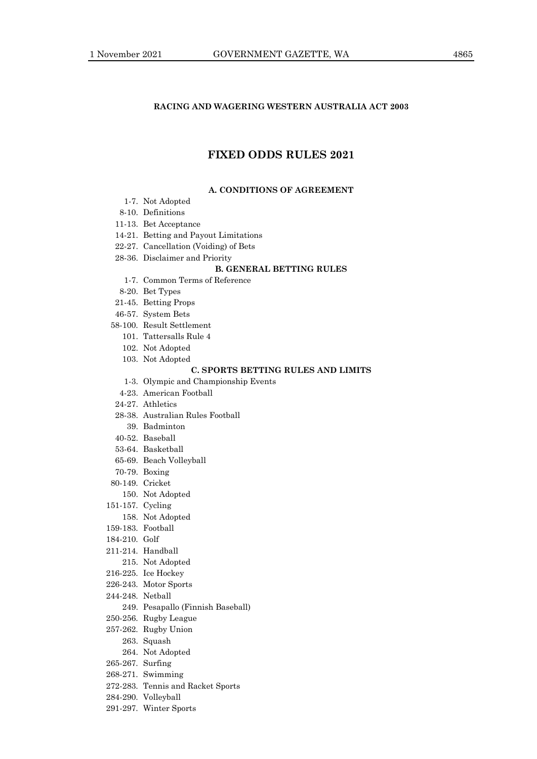#### **RACING AND WAGERING WESTERN AUSTRALIA ACT 2003**

# **FIXED ODDS RULES 2021**

#### **A. CONDITIONS OF AGREEMENT**

- 1-7. Not Adopted
- 8-10. Definitions
- 11-13. Bet Acceptance
- 14-21. Betting and Payout Limitations
- 22-27. Cancellation (Voiding) of Bets
- 28-36. Disclaimer and Priority

#### **B. GENERAL BETTING RULES**

- 1-7. Common Terms of Reference
- 8-20. Bet Types
- 21-45. Betting Props
- 46-57. System Bets
- 58-100. Result Settlement
	- 101. Tattersalls Rule 4
	- 102. Not Adopted
	- 103. Not Adopted

### **C. SPORTS BETTING RULES AND LIMITS**

- 1-3. Olympic and Championship Events
- 4-23. American Football
- 24-27. Athletics
- 28-38. Australian Rules Football
	- 39. Badminton
- 40-52. Baseball
- 53-64. Basketball
- 65-69. Beach Volleyball
- 70-79. Boxing
- 80-149. Cricket
	- 150. Not Adopted
- 151-157. Cycling
- 158. Not Adopted
- 159-183. Football
- 184-210. Golf
- 211-214. Handball
	- 215. Not Adopted
- 216-225. Ice Hockey
- 226-243. Motor Sports
- 244-248. Netball
	- 249. Pesapallo (Finnish Baseball)
- 250-256. Rugby League
- 257-262. Rugby Union
	- 263. Squash
	- 264. Not Adopted
- 265-267. Surfing
- 268-271. Swimming
- 272-283. Tennis and Racket Sports
- 284-290. Volleyball
- 291-297. Winter Sports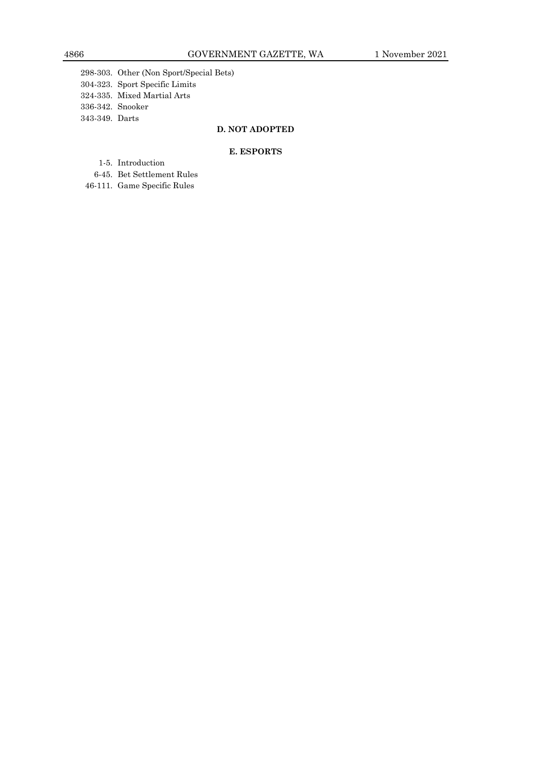298-303. Other (Non Sport/Special Bets) 304-323. Sport Specific Limits 324-335. Mixed Martial Arts

336-342. Snooker

343-349. Darts

# **D. NOT ADOPTED**

#### **E. ESPORTS**

- 1-5. Introduction
- 6-45. Bet Settlement Rules
- 46-111. Game Specific Rules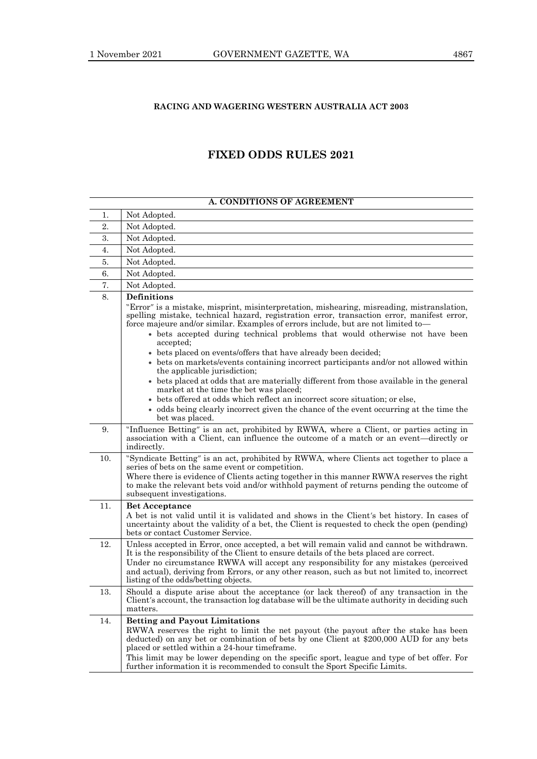# **RACING AND WAGERING WESTERN AUSTRALIA ACT 2003**

# **FIXED ODDS RULES 2021**

| A. CONDITIONS OF AGREEMENT |                                                                                                                                                                                                                                                                                                                                                                                                                                                        |
|----------------------------|--------------------------------------------------------------------------------------------------------------------------------------------------------------------------------------------------------------------------------------------------------------------------------------------------------------------------------------------------------------------------------------------------------------------------------------------------------|
| 1.                         | Not Adopted.                                                                                                                                                                                                                                                                                                                                                                                                                                           |
| 2.                         | Not Adopted.                                                                                                                                                                                                                                                                                                                                                                                                                                           |
| 3.                         | Not Adopted.                                                                                                                                                                                                                                                                                                                                                                                                                                           |
| 4.                         | Not Adopted.                                                                                                                                                                                                                                                                                                                                                                                                                                           |
| 5.                         | Not Adopted.                                                                                                                                                                                                                                                                                                                                                                                                                                           |
| 6.                         | Not Adopted.                                                                                                                                                                                                                                                                                                                                                                                                                                           |
| 7.                         | Not Adopted.                                                                                                                                                                                                                                                                                                                                                                                                                                           |
| 8.                         | <b>Definitions</b>                                                                                                                                                                                                                                                                                                                                                                                                                                     |
|                            | "Error" is a mistake, misprint, misinterpretation, mishearing, misreading, mistranslation,<br>spelling mistake, technical hazard, registration error, transaction error, manifest error,<br>force majeure and/or similar. Examples of errors include, but are not limited to-<br>• bets accepted during technical problems that would otherwise not have been                                                                                          |
|                            | accepted;                                                                                                                                                                                                                                                                                                                                                                                                                                              |
|                            | • bets placed on events/offers that have already been decided;                                                                                                                                                                                                                                                                                                                                                                                         |
|                            | • bets on markets/events containing incorrect participants and/or not allowed within<br>the applicable jurisdiction;                                                                                                                                                                                                                                                                                                                                   |
|                            | • bets placed at odds that are materially different from those available in the general<br>market at the time the bet was placed;                                                                                                                                                                                                                                                                                                                      |
|                            | • bets offered at odds which reflect an incorrect score situation; or else,                                                                                                                                                                                                                                                                                                                                                                            |
|                            | • odds being clearly incorrect given the chance of the event occurring at the time the<br>bet was placed.                                                                                                                                                                                                                                                                                                                                              |
| 9.                         | "Influence Betting" is an act, prohibited by RWWA, where a Client, or parties acting in<br>association with a Client, can influence the outcome of a match or an event—directly or<br>indirectly.                                                                                                                                                                                                                                                      |
| 10.                        | "Syndicate Betting" is an act, prohibited by RWWA, where Clients act together to place a<br>series of bets on the same event or competition.<br>Where there is evidence of Clients acting together in this manner RWWA reserves the right<br>to make the relevant bets void and/or withhold payment of returns pending the outcome of<br>subsequent investigations.                                                                                    |
| 11.                        | <b>Bet Acceptance</b><br>A bet is not valid until it is validated and shows in the Client's bet history. In cases of<br>uncertainty about the validity of a bet, the Client is requested to check the open (pending)<br>bets or contact Customer Service.                                                                                                                                                                                              |
| 12.                        | Unless accepted in Error, once accepted, a bet will remain valid and cannot be withdrawn.<br>It is the responsibility of the Client to ensure details of the bets placed are correct.<br>Under no circumstance RWWA will accept any responsibility for any mistakes (perceived<br>and actual), deriving from Errors, or any other reason, such as but not limited to, incorrect<br>listing of the odds/betting objects.                                |
| 13.                        | Should a dispute arise about the acceptance (or lack thereof) of any transaction in the<br>Client's account, the transaction log database will be the ultimate authority in deciding such<br>matters.                                                                                                                                                                                                                                                  |
| 14.                        | <b>Betting and Payout Limitations</b><br>RWWA reserves the right to limit the net payout (the payout after the stake has been<br>deducted) on any bet or combination of bets by one Client at \$200,000 AUD for any bets<br>placed or settled within a 24-hour timeframe.<br>This limit may be lower depending on the specific sport, league and type of bet offer. For<br>further information it is recommended to consult the Sport Specific Limits. |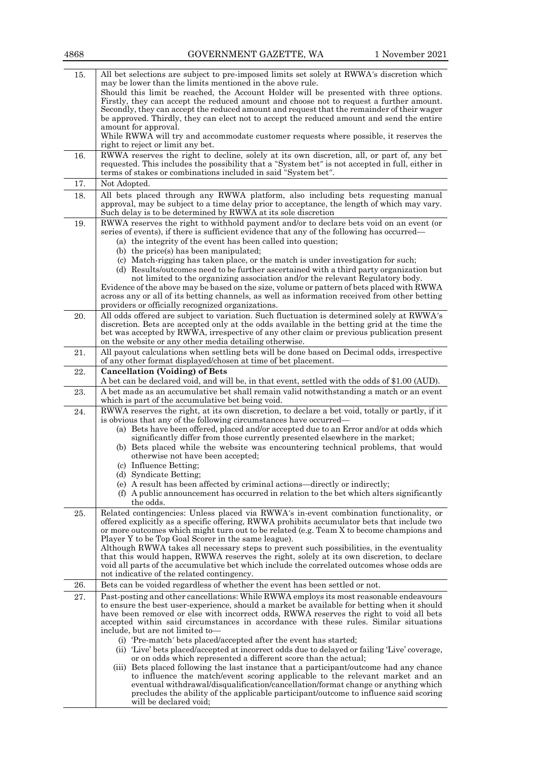| 15. | All bet selections are subject to pre-imposed limits set solely at RWWA's discretion which<br>may be lower than the limits mentioned in the above rule.<br>Should this limit be reached, the Account Holder will be presented with three options.<br>Firstly, they can accept the reduced amount and choose not to request a further amount.<br>Secondly, they can accept the reduced amount and request that the remainder of their wager<br>be approved. Thirdly, they can elect not to accept the reduced amount and send the entire<br>amount for approval.                                                                                                                                         |
|-----|---------------------------------------------------------------------------------------------------------------------------------------------------------------------------------------------------------------------------------------------------------------------------------------------------------------------------------------------------------------------------------------------------------------------------------------------------------------------------------------------------------------------------------------------------------------------------------------------------------------------------------------------------------------------------------------------------------|
|     | While RWWA will try and accommodate customer requests where possible, it reserves the<br>right to reject or limit any bet.                                                                                                                                                                                                                                                                                                                                                                                                                                                                                                                                                                              |
| 16. | RWWA reserves the right to decline, solely at its own discretion, all, or part of, any bet<br>requested. This includes the possibility that a "System bet" is not accepted in full, either in<br>terms of stakes or combinations included in said "System bet".                                                                                                                                                                                                                                                                                                                                                                                                                                         |
| 17. | Not Adopted.                                                                                                                                                                                                                                                                                                                                                                                                                                                                                                                                                                                                                                                                                            |
| 18. | All bets placed through any RWWA platform, also including bets requesting manual<br>approval, may be subject to a time delay prior to acceptance, the length of which may vary.<br>Such delay is to be determined by RWWA at its sole discretion                                                                                                                                                                                                                                                                                                                                                                                                                                                        |
| 19. | RWWA reserves the right to withhold payment and/or to declare bets void on an event (or<br>series of events), if there is sufficient evidence that any of the following has occurred—<br>(a) the integrity of the event has been called into question;<br>(b) the price(s) has been manipulated;<br>(c) Match-rigging has taken place, or the match is under investigation for such;<br>(d) Results/outcomes need to be further ascertained with a third party organization but<br>not limited to the organizing association and/or the relevant Regulatory body.                                                                                                                                       |
|     | Evidence of the above may be based on the size, volume or pattern of bets placed with RWWA<br>across any or all of its betting channels, as well as information received from other betting<br>providers or officially recognized organizations.                                                                                                                                                                                                                                                                                                                                                                                                                                                        |
| 20. | All odds offered are subject to variation. Such fluctuation is determined solely at RWWA's<br>discretion. Bets are accepted only at the odds available in the betting grid at the time the<br>bet was accepted by RWWA, irrespective of any other claim or previous publication present<br>on the website or any other media detailing otherwise.                                                                                                                                                                                                                                                                                                                                                       |
| 21. | All payout calculations when settling bets will be done based on Decimal odds, irrespective<br>of any other format displayed/chosen at time of bet placement.                                                                                                                                                                                                                                                                                                                                                                                                                                                                                                                                           |
| 22. | <b>Cancellation (Voiding) of Bets</b><br>A bet can be declared void, and will be, in that event, settled with the odds of \$1.00 (AUD).                                                                                                                                                                                                                                                                                                                                                                                                                                                                                                                                                                 |
| 23. | A bet made as an accumulative bet shall remain valid notwithstanding a match or an event<br>which is part of the accumulative bet being void.                                                                                                                                                                                                                                                                                                                                                                                                                                                                                                                                                           |
| 24. | RWWA reserves the right, at its own discretion, to declare a bet void, totally or partly, if it<br>is obvious that any of the following circumstances have occurred—<br>(a) Bets have been offered, placed and/or accepted due to an Error and/or at odds which<br>significantly differ from those currently presented elsewhere in the market;<br>(b) Bets placed while the website was encountering technical problems, that would<br>otherwise not have been accepted;<br>(c) Influence Betting;<br>(d) Syndicate Betting;<br>(e) A result has been affected by criminal actions—directly or indirectly;<br>(f) A public announcement has occurred in relation to the bet which alters significantly |
|     | the odds.                                                                                                                                                                                                                                                                                                                                                                                                                                                                                                                                                                                                                                                                                               |
| 25. | Related contingencies: Unless placed via RWWA's in-event combination functionality, or<br>offered explicitly as a specific offering, RWWA prohibits accumulator bets that include two<br>or more outcomes which might turn out to be related (e.g. Team X to become champions and<br>Player Y to be Top Goal Scorer in the same league).<br>Although RWWA takes all necessary steps to prevent such possibilities, in the eventuality<br>that this would happen, RWWA reserves the right, solely at its own discretion, to declare<br>void all parts of the accumulative bet which include the correlated outcomes whose odds are<br>not indicative of the related contingency.                         |
| 26. | Bets can be voided regardless of whether the event has been settled or not.                                                                                                                                                                                                                                                                                                                                                                                                                                                                                                                                                                                                                             |
| 27. | Past-posting and other cancellations: While RWWA employs its most reasonable endeavours<br>to ensure the best user-experience, should a market be available for betting when it should<br>have been removed or else with incorrect odds, RWWA reserves the right to void all bets<br>accepted within said circumstances in accordance with these rules. Similar situations<br>include, but are not limited to-<br>(i) 'Pre-match' bets placed/accepted after the event has started;<br>(ii) 'Live' bets placed/accepted at incorrect odds due to delayed or failing 'Live' coverage,                                                                                                                    |
|     | or on odds which represented a different score than the actual;<br>(iii) Bets placed following the last instance that a participant/outcome had any chance<br>to influence the match/event scoring applicable to the relevant market and an<br>eventual withdrawal/disqualification/cancellation/format change or anything which<br>precludes the ability of the applicable participant/outcome to influence said scoring                                                                                                                                                                                                                                                                               |

will be declared void;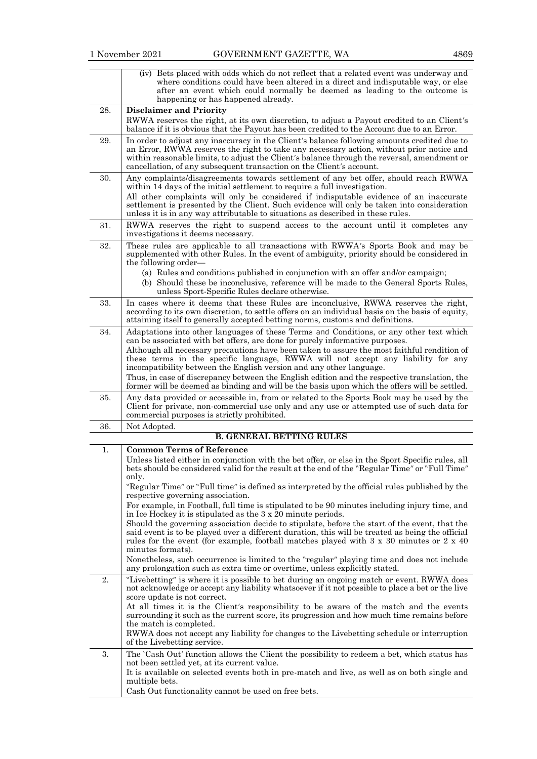|     | (iv) Bets placed with odds which do not reflect that a related event was underway and<br>where conditions could have been altered in a direct and indisputable way, or else<br>after an event which could normally be deemed as leading to the outcome is<br>happening or has happened already.                                                                                                                                             |
|-----|---------------------------------------------------------------------------------------------------------------------------------------------------------------------------------------------------------------------------------------------------------------------------------------------------------------------------------------------------------------------------------------------------------------------------------------------|
| 28. | <b>Disclaimer and Priority</b><br>RWWA reserves the right, at its own discretion, to adjust a Payout credited to an Client's<br>balance if it is obvious that the Payout has been credited to the Account due to an Error.                                                                                                                                                                                                                  |
| 29. | In order to adjust any inaccuracy in the Client's balance following amounts credited due to<br>an Error, RWWA reserves the right to take any necessary action, without prior notice and<br>within reasonable limits, to adjust the Client's balance through the reversal, amendment or<br>cancellation, of any subsequent transaction on the Client's account.                                                                              |
| 30. | Any complaints/disagreements towards settlement of any bet offer, should reach RWWA<br>within 14 days of the initial settlement to require a full investigation.<br>All other complaints will only be considered if indisputable evidence of an inaccurate<br>settlement is presented by the Client. Such evidence will only be taken into consideration<br>unless it is in any way attributable to situations as described in these rules. |
| 31. | RWWA reserves the right to suspend access to the account until it completes any<br>investigations it deems necessary.                                                                                                                                                                                                                                                                                                                       |
| 32. | These rules are applicable to all transactions with RWWA's Sports Book and may be<br>supplemented with other Rules. In the event of ambiguity, priority should be considered in<br>the following order—                                                                                                                                                                                                                                     |
|     | (a) Rules and conditions published in conjunction with an offer and/or campaign;<br>(b) Should these be inconclusive, reference will be made to the General Sports Rules,<br>unless Sport-Specific Rules declare otherwise.                                                                                                                                                                                                                 |
| 33. | In cases where it deems that these Rules are inconclusive, RWWA reserves the right,<br>according to its own discretion, to settle offers on an individual basis on the basis of equity,<br>attaining itself to generally accepted betting norms, customs and definitions.                                                                                                                                                                   |
| 34. | Adaptations into other languages of these Terms and Conditions, or any other text which<br>can be associated with bet offers, are done for purely informative purposes.                                                                                                                                                                                                                                                                     |
|     | Although all necessary precautions have been taken to assure the most faithful rendition of<br>these terms in the specific language, RWWA will not accept any liability for any<br>incompatibility between the English version and any other language.                                                                                                                                                                                      |
|     | Thus, in case of discrepancy between the English edition and the respective translation, the<br>former will be deemed as binding and will be the basis upon which the offers will be settled.                                                                                                                                                                                                                                               |
| 35. | Any data provided or accessible in, from or related to the Sports Book may be used by the<br>Client for private, non-commercial use only and any use or attempted use of such data for<br>commercial purposes is strictly prohibited.                                                                                                                                                                                                       |
| 36. | Not Adopted.<br><b>B. GENERAL BETTING RULES</b>                                                                                                                                                                                                                                                                                                                                                                                             |
| 1.  | <b>Common Terms of Reference</b>                                                                                                                                                                                                                                                                                                                                                                                                            |
|     | Unless listed either in conjunction with the bet offer, or else in the Sport Specific rules, all<br>bets should be considered valid for the result at the end of the "Regular Time" or "Full Time"<br>only.                                                                                                                                                                                                                                 |
|     | "Regular Time" or "Full time" is defined as interpreted by the official rules published by the<br>respective governing association.                                                                                                                                                                                                                                                                                                         |
|     | For example, in Football, full time is stipulated to be 90 minutes including injury time, and<br>in Ice Hockey it is stipulated as the 3 x 20 minute periods.                                                                                                                                                                                                                                                                               |
|     | Should the governing association decide to stipulate, before the start of the event, that the<br>said event is to be played over a different duration, this will be treated as being the official<br>rules for the event (for example, football matches played with $3 \times 30$ minutes or $2 \times 40$<br>minutes formats).                                                                                                             |
|     | Nonetheless, such occurrence is limited to the "regular" playing time and does not include<br>any prolongation such as extra time or overtime, unless explicitly stated.                                                                                                                                                                                                                                                                    |
| 2.  | "Livebetting" is where it is possible to bet during an ongoing match or event. RWWA does<br>not acknowledge or accept any liability whatsoever if it not possible to place a bet or the live<br>score update is not correct.<br>At all times it is the Client's responsibility to be aware of the match and the events<br>surrounding it such as the current score, its progression and how much time remains before                        |
|     | the match is completed.<br>RWWA does not accept any liability for changes to the Livebetting schedule or interruption<br>of the Livebetting service.                                                                                                                                                                                                                                                                                        |
| 3.  | The 'Cash Out' function allows the Client the possibility to redeem a bet, which status has<br>not been settled yet, at its current value.                                                                                                                                                                                                                                                                                                  |
|     | It is available on selected events both in pre-match and live, as well as on both single and<br>multiple bets.                                                                                                                                                                                                                                                                                                                              |
|     | Cash Out functionality cannot be used on free bets.                                                                                                                                                                                                                                                                                                                                                                                         |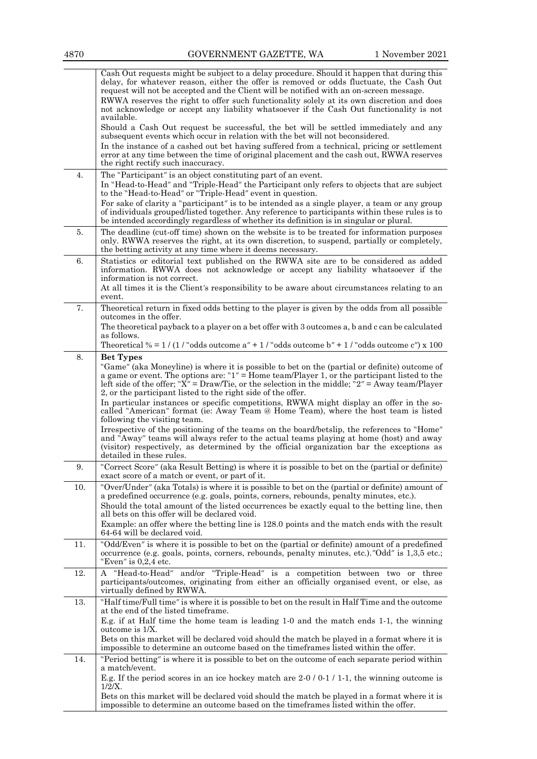|     | Cash Out requests might be subject to a delay procedure. Should it happen that during this<br>delay, for whatever reason, either the offer is removed or odds fluctuate, the Cash Out<br>request will not be accepted and the Client will be notified with an on-screen message.<br>RWWA reserves the right to offer such functionality solely at its own discretion and does<br>not acknowledge or accept any liability whatsoever if the Cash Out functionality is not<br>available. |
|-----|----------------------------------------------------------------------------------------------------------------------------------------------------------------------------------------------------------------------------------------------------------------------------------------------------------------------------------------------------------------------------------------------------------------------------------------------------------------------------------------|
|     | Should a Cash Out request be successful, the bet will be settled immediately and any<br>subsequent events which occur in relation with the bet will not beconsidered.<br>In the instance of a cashed out bet having suffered from a technical, pricing or settlement<br>error at any time between the time of original placement and the cash out, RWWA reserves                                                                                                                       |
|     | the right rectify such inaccuracy.                                                                                                                                                                                                                                                                                                                                                                                                                                                     |
| 4.  | The "Participant" is an object constituting part of an event.<br>In "Head-to-Head" and "Triple-Head" the Participant only refers to objects that are subject<br>to the "Head-to-Head" or "Triple-Head" event in question.                                                                                                                                                                                                                                                              |
|     | For sake of clarity a "participant" is to be intended as a single player, a team or any group<br>of individuals grouped/listed together. Any reference to participants within these rules is to<br>be intended accordingly regardless of whether its definition is in singular or plural.                                                                                                                                                                                              |
| 5.  | The deadline (cut-off time) shown on the website is to be treated for information purposes<br>only. RWWA reserves the right, at its own discretion, to suspend, partially or completely,<br>the betting activity at any time where it deems necessary.                                                                                                                                                                                                                                 |
| 6.  | Statistics or editorial text published on the RWWA site are to be considered as added<br>information. RWWA does not acknowledge or accept any liability whatsoever if the<br>information is not correct.                                                                                                                                                                                                                                                                               |
|     | At all times it is the Client's responsibility to be aware about circumstances relating to an<br>event.                                                                                                                                                                                                                                                                                                                                                                                |
| 7.  | Theoretical return in fixed odds betting to the player is given by the odds from all possible<br>outcomes in the offer.                                                                                                                                                                                                                                                                                                                                                                |
|     | The theoretical payback to a player on a bet offer with 3 outcomes a, b and c can be calculated<br>as follows.                                                                                                                                                                                                                                                                                                                                                                         |
| 8.  | Theoretical $% = 1/(1/\text{°odds outcome a} + 1/\text{°odds outcome b} + 1/\text{°odds outcome c} + 100$<br><b>Bet Types</b>                                                                                                                                                                                                                                                                                                                                                          |
|     | "Game" (aka Moneyline) is where it is possible to bet on the (partial or definite) outcome of<br>a game or event. The options are: " $1'' =$ Home team/Player 1, or the participant listed to the<br>left side of the offer; " $X'' = Draw/T$ ie, or the selection in the middle; "2" = Away team/Player<br>2, or the participant listed to the right side of the offer.                                                                                                               |
|     | In particular instances or specific competitions, RWWA might display an offer in the so-<br>called "American" format (ie: Away Team @ Home Team), where the host team is listed<br>following the visiting team.                                                                                                                                                                                                                                                                        |
|     | Irrespective of the positioning of the teams on the board/betslip, the references to "Home"<br>and "Away" teams will always refer to the actual teams playing at home (host) and away<br>(visitor) respectively, as determined by the official organization bar the exceptions as<br>detailed in these rules.                                                                                                                                                                          |
| 9.  | "Correct Score" (aka Result Betting) is where it is possible to bet on the (partial or definite)<br>exact score of a match or event, or part of it.                                                                                                                                                                                                                                                                                                                                    |
| 10. | "Over/Under" (aka Totals) is where it is possible to bet on the (partial or definite) amount of<br>a predefined occurrence (e.g. goals, points, corners, rebounds, penalty minutes, etc.).                                                                                                                                                                                                                                                                                             |
|     | Should the total amount of the listed occurrences be exactly equal to the betting line, then<br>all bets on this offer will be declared void.                                                                                                                                                                                                                                                                                                                                          |
|     | Example: an offer where the betting line is 128.0 points and the match ends with the result<br>64-64 will be declared void.                                                                                                                                                                                                                                                                                                                                                            |
| 11. | "Odd/Even" is where it is possible to bet on the (partial or definite) amount of a predefined<br>occurrence (e.g. goals, points, corners, rebounds, penalty minutes, etc.)."Odd" is 1,3,5 etc.;<br>"Even" is $0.2.4$ etc.                                                                                                                                                                                                                                                              |
| 12. | A "Head-to-Head" and/or "Triple-Head" is a competition between two or three<br>participants/outcomes, originating from either an officially organised event, or else, as<br>virtually defined by RWWA.                                                                                                                                                                                                                                                                                 |
| 13. | "Half time/Full time" is where it is possible to bet on the result in Half Time and the outcome<br>at the end of the listed timeframe.<br>E.g. if at Half time the home team is leading 1-0 and the match ends 1-1, the winning                                                                                                                                                                                                                                                        |
|     | outcome is 1/X.<br>Bets on this market will be declared void should the match be played in a format where it is<br>impossible to determine an outcome based on the time frames listed within the offer.                                                                                                                                                                                                                                                                                |
| 14. | "Period betting" is where it is possible to bet on the outcome of each separate period within                                                                                                                                                                                                                                                                                                                                                                                          |
|     | a match/event.<br>E.g. If the period scores in an ice hockey match are $2-0/0-1/1-1$ , the winning outcome is<br>$1/2/X$ .                                                                                                                                                                                                                                                                                                                                                             |
|     | Bets on this market will be declared void should the match be played in a format where it is<br>impossible to determine an outcome based on the timeframes listed within the offer.                                                                                                                                                                                                                                                                                                    |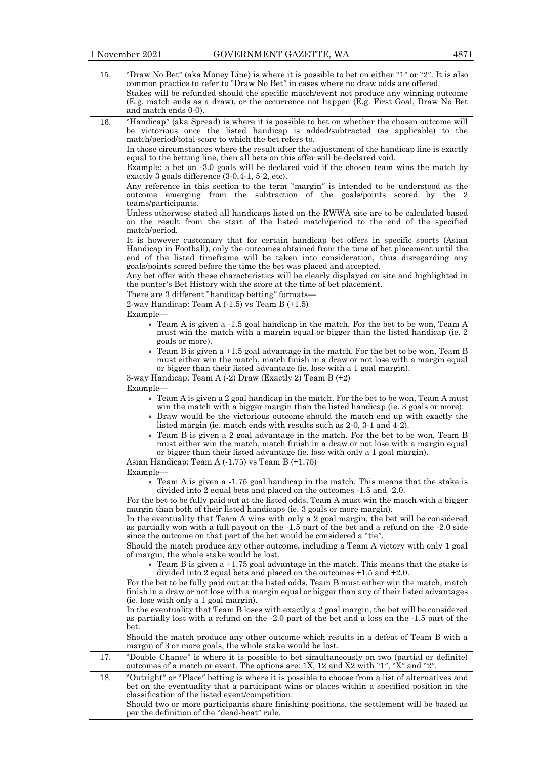| 15. | "Draw No Bet" (aka Money Line) is where it is possible to bet on either "1" or "2". It is also<br>common practice to refer to "Draw No Bet" in cases where no draw odds are offered.<br>Stakes will be refunded should the specific match/event not produce any winning outcome<br>(E.g. match ends as a draw), or the occurrence not happen (E.g. First Goal, Draw No Bet<br>and match ends 0-0).                                                                                                                                                                                                                                                                                                                                                                                                                                                                                                                                                                                                                                                                                                                                                                                                                                                                                                                                                                                                                                                                                                                                                                                                                                                                                                                    |
|-----|-----------------------------------------------------------------------------------------------------------------------------------------------------------------------------------------------------------------------------------------------------------------------------------------------------------------------------------------------------------------------------------------------------------------------------------------------------------------------------------------------------------------------------------------------------------------------------------------------------------------------------------------------------------------------------------------------------------------------------------------------------------------------------------------------------------------------------------------------------------------------------------------------------------------------------------------------------------------------------------------------------------------------------------------------------------------------------------------------------------------------------------------------------------------------------------------------------------------------------------------------------------------------------------------------------------------------------------------------------------------------------------------------------------------------------------------------------------------------------------------------------------------------------------------------------------------------------------------------------------------------------------------------------------------------------------------------------------------------|
| 16. | "Handicap" (aka Spread) is where it is possible to bet on whether the chosen outcome will<br>be victorious once the listed handicap is added/subtracted (as applicable) to the<br>match/period/total score to which the bet refers to.<br>In those circumstances where the result after the adjustment of the handicap line is exactly<br>equal to the betting line, then all bets on this offer will be declared void.<br>Example: a bet on -3.0 goals will be declared void if the chosen team wins the match by<br>exactly 3 goals difference (3-0,4-1, 5-2, etc).<br>Any reference in this section to the term "margin" is intended to be understood as the<br>outcome emerging from the subtraction of the goals/points scored by the 2<br>teams/participants.<br>Unless otherwise stated all handicaps listed on the RWWA site are to be calculated based<br>on the result from the start of the listed match/period to the end of the specified<br>match/period.<br>It is however customary that for certain handicap bet offers in specific sports (Asian<br>Handicap in Football), only the outcomes obtained from the time of bet placement until the<br>end of the listed timeframe will be taken into consideration, thus disregarding any<br>goals/points scored before the time the bet was placed and accepted.<br>Any bet offer with these characteristics will be clearly displayed on site and highlighted in<br>the punter's Bet History with the score at the time of bet placement.<br>There are 3 different "handicap betting" formats—<br>2-way Handicap: Team $A( -1.5)$ vs Team $B( +1.5)$<br>Example-<br>• Team A is given a -1.5 goal handicap in the match. For the bet to be won, Team A |
|     | must win the match with a margin equal or bigger than the listed handicap (ie. 2)<br>goals or more).<br>• Team B is given a $+1.5$ goal advantage in the match. For the bet to be won, Team B<br>must either win the match, match finish in a draw or not lose with a margin equal<br>or bigger than their listed advantage (ie. lose with a 1 goal margin).<br>3-way Handicap: Team A $(-2)$ Draw (Exactly 2) Team B $(+2)$<br>Example-<br>• Team A is given a 2 goal handicap in the match. For the bet to be won, Team A must<br>win the match with a bigger margin than the listed handicap (ie. 3 goals or more).<br>• Draw would be the victorious outcome should the match end up with exactly the                                                                                                                                                                                                                                                                                                                                                                                                                                                                                                                                                                                                                                                                                                                                                                                                                                                                                                                                                                                                             |
|     | listed margin (ie. match ends with results such as 2-0, 3-1 and 4-2).<br>• Team B is given a 2 goal advantage in the match. For the bet to be won, Team B<br>must either win the match, match finish in a draw or not lose with a margin equal<br>or bigger than their listed advantage (ie. lose with only a 1 goal margin).<br>Asian Handicap: Team A $(-1.75)$ vs Team B $(+1.75)$                                                                                                                                                                                                                                                                                                                                                                                                                                                                                                                                                                                                                                                                                                                                                                                                                                                                                                                                                                                                                                                                                                                                                                                                                                                                                                                                 |
| 17. | Example-<br>• Team A is given a -1.75 goal handicap in the match. This means that the stake is<br>divided into 2 equal bets and placed on the outcomes -1.5 and -2.0.<br>For the bet to be fully paid out at the listed odds, Team A must win the match with a bigger<br>margin than both of their listed handicaps (ie. 3 goals or more margin).<br>In the eventuality that Team A wins with only a 2 goal margin, the bet will be considered<br>as partially won with a full payout on the -1.5 part of the bet and a refund on the -2.0 side<br>since the outcome on that part of the bet would be considered a "tie".<br>Should the match produce any other outcome, including a Team A victory with only 1 goal<br>of margin, the whole stake would be lost.<br>$\bullet$ Team B is given a +1.75 goal advantage in the match. This means that the stake is<br>divided into 2 equal bets and placed on the outcomes $+1.5$ and $+2.0$ .<br>For the bet to be fully paid out at the listed odds, Team B must either win the match, match<br>finish in a draw or not lose with a margin equal or bigger than any of their listed advantages<br>(ie. lose with only a 1 goal margin).<br>In the eventuality that Team B loses with exactly a 2 goal margin, the bet will be considered<br>as partially lost with a refund on the -2.0 part of the bet and a loss on the -1.5 part of the<br>bet.<br>Should the match produce any other outcome which results in a defeat of Team B with a<br>margin of 3 or more goals, the whole stake would be lost.<br>"Double Chance" is where it is possible to bet simultaneously on two (partial or definite)                                                                |
|     | outcomes of a match or event. The options are: 1X, 12 and X2 with "1", "X" and "2".                                                                                                                                                                                                                                                                                                                                                                                                                                                                                                                                                                                                                                                                                                                                                                                                                                                                                                                                                                                                                                                                                                                                                                                                                                                                                                                                                                                                                                                                                                                                                                                                                                   |
| 18. | "Outright" or "Place" betting is where it is possible to choose from a list of alternatives and<br>bet on the eventuality that a participant wins or places within a specified position in the<br>classification of the listed event/competition.<br>Should two or more participants share finishing positions, the settlement will be based as<br>per the definition of the "dead-heat" rule.                                                                                                                                                                                                                                                                                                                                                                                                                                                                                                                                                                                                                                                                                                                                                                                                                                                                                                                                                                                                                                                                                                                                                                                                                                                                                                                        |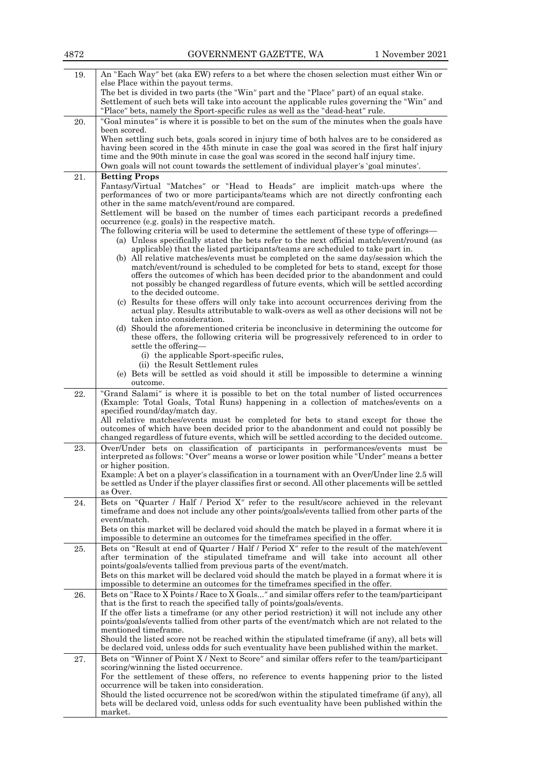| 4872 | GOVERNMENT GAZETTE, WA                                                                                                                                                                                                                                                                                                                                                                                                                                | 1 November 2021 |
|------|-------------------------------------------------------------------------------------------------------------------------------------------------------------------------------------------------------------------------------------------------------------------------------------------------------------------------------------------------------------------------------------------------------------------------------------------------------|-----------------|
| 19.  | An "Each Way" bet (aka EW) refers to a bet where the chosen selection must either Win or<br>else Place within the payout terms.<br>The bet is divided in two parts (the "Win" part and the "Place" part) of an equal stake.                                                                                                                                                                                                                           |                 |
|      | Settlement of such bets will take into account the applicable rules governing the "Win" and<br>"Place" bets, namely the Sport-specific rules as well as the "dead-heat" rule.                                                                                                                                                                                                                                                                         |                 |
| 20.  | "Goal minutes" is where it is possible to bet on the sum of the minutes when the goals have<br>been scored.                                                                                                                                                                                                                                                                                                                                           |                 |
|      | When settling such bets, goals scored in injury time of both halves are to be considered as<br>having been scored in the 45th minute in case the goal was scored in the first half injury<br>time and the 90th minute in case the goal was scored in the second half injury time.<br>Own goals will not count towards the settlement of individual player's 'goal minutes'.                                                                           |                 |
| 21.  | <b>Betting Props</b><br>Fantasy/Virtual "Matches" or "Head to Heads" are implicit match-ups where the<br>performances of two or more participants/teams which are not directly confronting each<br>other in the same match/event/round are compared.                                                                                                                                                                                                  |                 |
|      | Settlement will be based on the number of times each participant records a predefined<br>occurrence (e.g. goals) in the respective match.                                                                                                                                                                                                                                                                                                             |                 |
|      | The following criteria will be used to determine the settlement of these type of offerings—<br>(a) Unless specifically stated the bets refer to the next official match/event/round (as<br>applicable) that the listed participants/teams are scheduled to take part in.<br>(b) All relative matches/events must be completed on the same day/session which the<br>match/event/round is scheduled to be completed for bets to stand, except for those |                 |
|      | offers the outcomes of which has been decided prior to the abandonment and could<br>not possibly be changed regardless of future events, which will be settled according<br>to the decided outcome.                                                                                                                                                                                                                                                   |                 |
|      | (c) Results for these offers will only take into account occurrences deriving from the<br>actual play. Results attributable to walk-overs as well as other decisions will not be<br>taken into consideration.<br>(d) Should the aforementioned criteria be inconclusive in determining the outcome for                                                                                                                                                |                 |
|      | these offers, the following criteria will be progressively referenced to in order to<br>settle the offering-                                                                                                                                                                                                                                                                                                                                          |                 |
|      | (i) the applicable Sport-specific rules,<br>(ii) the Result Settlement rules                                                                                                                                                                                                                                                                                                                                                                          |                 |
|      | (e) Bets will be settled as void should it still be impossible to determine a winning<br>outcome.                                                                                                                                                                                                                                                                                                                                                     |                 |
| 22.  | "Grand Salami" is where it is possible to bet on the total number of listed occurrences<br>(Example: Total Goals, Total Runs) happening in a collection of matches/events on a<br>specified round/day/match day.                                                                                                                                                                                                                                      |                 |
|      | All relative matches/events must be completed for bets to stand except for those the<br>outcomes of which have been decided prior to the abandonment and could not possibly be<br>changed regardless of future events, which will be settled according to the decided outcome.                                                                                                                                                                        |                 |
| 23.  | Over/Under bets on classification of participants in performances/events must be<br>interpreted as follows: "Over" means a worse or lower position while "Under" means a better<br>or higher position.<br>Example: A bet on a player's classification in a tournament with an Over/Under line 2.5 will                                                                                                                                                |                 |
|      | be settled as Under if the player classifies first or second. All other placements will be settled<br>as Over.                                                                                                                                                                                                                                                                                                                                        |                 |
| 24.  | Bets on "Quarter / Half / Period X" refer to the result/score achieved in the relevant<br>time frame and does not include any other points/goals/events tallied from other parts of the<br>event/match.                                                                                                                                                                                                                                               |                 |
|      | Bets on this market will be declared void should the match be played in a format where it is<br>impossible to determine an outcomes for the timeframes specified in the offer.                                                                                                                                                                                                                                                                        |                 |
| 25.  | Bets on "Result at end of Quarter / Half / Period X" refer to the result of the match/event<br>after termination of the stipulated timeframe and will take into account all other<br>points/goals/events tallied from previous parts of the event/match.                                                                                                                                                                                              |                 |
|      | Bets on this market will be declared void should the match be played in a format where it is<br>impossible to determine an outcomes for the timeframes specified in the offer.                                                                                                                                                                                                                                                                        |                 |
| 26.  | Bets on "Race to X Points / Race to X Goals" and similar offers refer to the team/participant<br>that is the first to reach the specified tally of points/goals/events.<br>If the offer lists a timeframe (or any other period restriction) it will not include any other<br>points/goals/events tallied from other parts of the event/match which are not related to the<br>mentioned timeframe.                                                     |                 |
|      | Should the listed score not be reached within the stipulated time frame (if any), all bets will<br>be declared void, unless odds for such eventuality have been published within the market.                                                                                                                                                                                                                                                          |                 |
| 27.  | Bets on "Winner of Point X / Next to Score" and similar offers refer to the team/participant<br>scoring/winning the listed occurrence.<br>For the settlement of these offers, no reference to events happening prior to the listed                                                                                                                                                                                                                    |                 |
|      | occurrence will be taken into consideration.<br>Should the listed occurrence not be scored/won within the stipulated time frame (if any), all<br>bets will be declared void, unless odds for such eventuality have been published within the<br>market.                                                                                                                                                                                               |                 |
|      |                                                                                                                                                                                                                                                                                                                                                                                                                                                       |                 |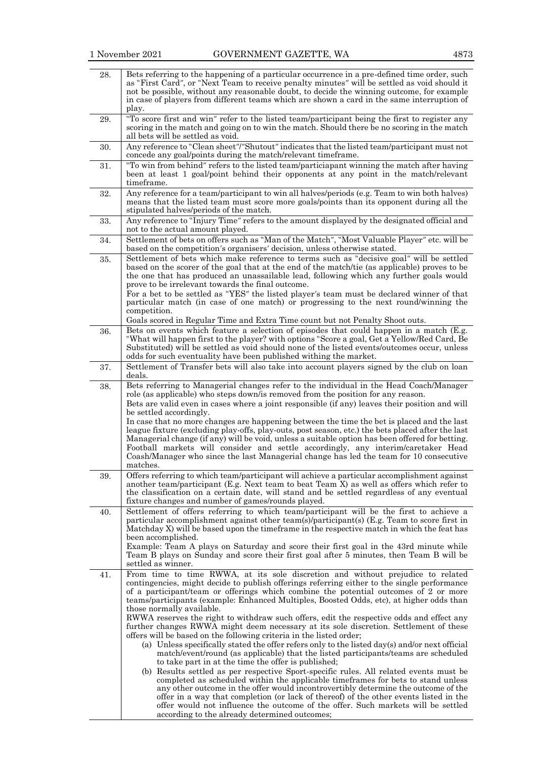| 28. | Bets referring to the happening of a particular occurrence in a pre-defined time order, such<br>as "First Card", or "Next Team to receive penalty minutes" will be settled as void should it<br>not be possible, without any reasonable doubt, to decide the winning outcome, for example<br>in case of players from different teams which are shown a card in the same interruption of                                                                                                                                                                                                                                                                                                                                                                                                                                                                                                                                                                                                                                                                                                                                                                                                                                                                                                                                                                                                                      |
|-----|--------------------------------------------------------------------------------------------------------------------------------------------------------------------------------------------------------------------------------------------------------------------------------------------------------------------------------------------------------------------------------------------------------------------------------------------------------------------------------------------------------------------------------------------------------------------------------------------------------------------------------------------------------------------------------------------------------------------------------------------------------------------------------------------------------------------------------------------------------------------------------------------------------------------------------------------------------------------------------------------------------------------------------------------------------------------------------------------------------------------------------------------------------------------------------------------------------------------------------------------------------------------------------------------------------------------------------------------------------------------------------------------------------------|
|     | play.                                                                                                                                                                                                                                                                                                                                                                                                                                                                                                                                                                                                                                                                                                                                                                                                                                                                                                                                                                                                                                                                                                                                                                                                                                                                                                                                                                                                        |
| 29. | "To score first and win" refer to the listed team/participant being the first to register any<br>scoring in the match and going on to win the match. Should there be no scoring in the match<br>all bets will be settled as void.                                                                                                                                                                                                                                                                                                                                                                                                                                                                                                                                                                                                                                                                                                                                                                                                                                                                                                                                                                                                                                                                                                                                                                            |
| 30. | Any reference to "Clean sheet"/"Shutout" indicates that the listed team/participant must not<br>concede any goal/points during the match/relevant timeframe.                                                                                                                                                                                                                                                                                                                                                                                                                                                                                                                                                                                                                                                                                                                                                                                                                                                                                                                                                                                                                                                                                                                                                                                                                                                 |
| 31. | "To win from behind" refers to the listed team/particiapant winning the match after having<br>been at least 1 goal/point behind their opponents at any point in the match/relevant<br>timeframe.                                                                                                                                                                                                                                                                                                                                                                                                                                                                                                                                                                                                                                                                                                                                                                                                                                                                                                                                                                                                                                                                                                                                                                                                             |
| 32. | Any reference for a team/participant to win all halves/periods (e.g. Team to win both halves)<br>means that the listed team must score more goals/points than its opponent during all the<br>stipulated halves/periods of the match.                                                                                                                                                                                                                                                                                                                                                                                                                                                                                                                                                                                                                                                                                                                                                                                                                                                                                                                                                                                                                                                                                                                                                                         |
| 33. | Any reference to "Injury Time" refers to the amount displayed by the designated official and<br>not to the actual amount played.                                                                                                                                                                                                                                                                                                                                                                                                                                                                                                                                                                                                                                                                                                                                                                                                                                                                                                                                                                                                                                                                                                                                                                                                                                                                             |
| 34. | Settlement of bets on offers such as "Man of the Match", "Most Valuable Player" etc. will be<br>based on the competition's organisers' decision, unless otherwise stated.                                                                                                                                                                                                                                                                                                                                                                                                                                                                                                                                                                                                                                                                                                                                                                                                                                                                                                                                                                                                                                                                                                                                                                                                                                    |
| 35. | Settlement of bets which make reference to terms such as "decisive goal" will be settled<br>based on the scorer of the goal that at the end of the match/tie (as applicable) proves to be<br>the one that has produced an unassailable lead, following which any further goals would<br>prove to be irrelevant towards the final outcome.<br>For a bet to be settled as "YES" the listed player's team must be declared winner of that<br>particular match (in case of one match) or progressing to the next round/winning the<br>competition.                                                                                                                                                                                                                                                                                                                                                                                                                                                                                                                                                                                                                                                                                                                                                                                                                                                               |
| 36. | Goals scored in Regular Time and Extra Time count but not Penalty Shoot outs.<br>Bets on events which feature a selection of episodes that could happen in a match (E.g.<br>"What will happen first to the player? with options "Score a goal, Get a Yellow/Red Card, Be<br>Substituted) will be settled as void should none of the listed events/outcomes occur, unless<br>odds for such eventuality have been published withing the market.                                                                                                                                                                                                                                                                                                                                                                                                                                                                                                                                                                                                                                                                                                                                                                                                                                                                                                                                                                |
| 37. | Settlement of Transfer bets will also take into account players signed by the club on loan<br>deals.                                                                                                                                                                                                                                                                                                                                                                                                                                                                                                                                                                                                                                                                                                                                                                                                                                                                                                                                                                                                                                                                                                                                                                                                                                                                                                         |
| 38. | Bets referring to Managerial changes refer to the individual in the Head Coach/Manager<br>role (as applicable) who steps down/is removed from the position for any reason.<br>Bets are valid even in cases where a joint responsible (if any) leaves their position and will<br>be settled accordingly.<br>In case that no more changes are happening between the time the bet is placed and the last<br>league fixture (excluding play-offs, play-outs, post season, etc.) the bets placed after the last<br>Managerial change (if any) will be void, unless a suitable option has been offered for betting.<br>Football markets will consider and settle accordingly, any interim/caretaker Head<br>Coash/Manager who since the last Managerial change has led the team for 10 consecutive<br>matches.                                                                                                                                                                                                                                                                                                                                                                                                                                                                                                                                                                                                     |
| 39. | Offers referring to which team/participant will achieve a particular accomplishment against<br>another team/participant (E.g. Next team to beat Team X) as well as offers which refer to<br>the classification on a certain date, will stand and be settled regardless of any eventual<br>fixture changes and number of games/rounds played.                                                                                                                                                                                                                                                                                                                                                                                                                                                                                                                                                                                                                                                                                                                                                                                                                                                                                                                                                                                                                                                                 |
| 40. | Settlement of offers referring to which team/participant will be the first to achieve a<br>particular accomplishment against other team(s)/participant(s) (E.g. Team to score first in<br>Matchday X) will be based upon the timeframe in the respective match in which the feat has<br>been accomplished.<br>Example: Team A plays on Saturday and score their first goal in the 43rd minute while<br>Team B plays on Sunday and score their first goal after 5 minutes, then Team B will be<br>settled as winner.                                                                                                                                                                                                                                                                                                                                                                                                                                                                                                                                                                                                                                                                                                                                                                                                                                                                                          |
| 41. | From time to time RWWA, at its sole discretion and without prejudice to related<br>contingencies, might decide to publish offerings referring either to the single performance<br>of a participant/team or offerings which combine the potential outcomes of 2 or more<br>teams/participants (example: Enhanced Multiples, Boosted Odds, etc), at higher odds than<br>those normally available.<br>RWWA reserves the right to withdraw such offers, edit the respective odds and effect any<br>further changes RWWA might deem necessary at its sole discretion. Settlement of these<br>offers will be based on the following criteria in the listed order;<br>(a) Unless specifically stated the offer refers only to the listed day(s) and/or next official<br>match/event/round (as applicable) that the listed participants/teams are scheduled<br>to take part in at the time the offer is published;<br>(b) Results settled as per respective Sport-specific rules. All related events must be<br>completed as scheduled within the applicable timeframes for bets to stand unless<br>any other outcome in the offer would incontrovertibly determine the outcome of the<br>offer in a way that completion (or lack of thereof) of the other events listed in the<br>offer would not influence the outcome of the offer. Such markets will be settled<br>according to the already determined outcomes; |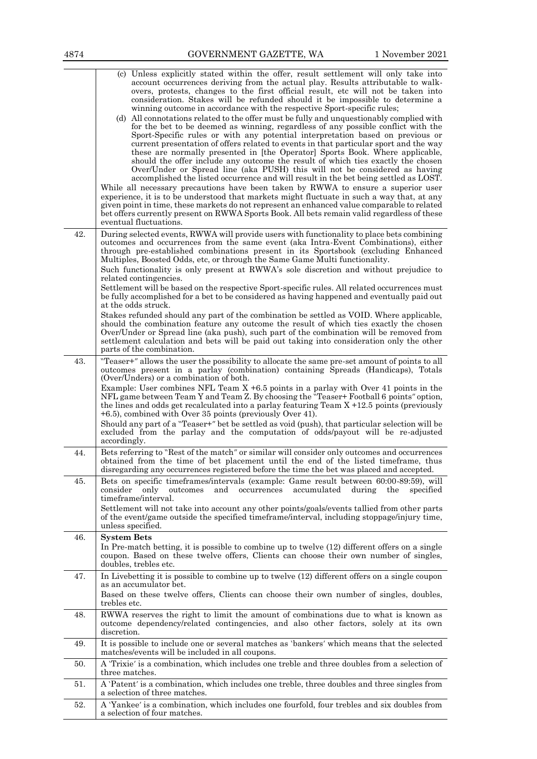|     | (c) Unless explicitly stated within the offer, result settlement will only take into<br>account occurrences deriving from the actual play. Results attributable to walk-<br>overs, protests, changes to the first official result, etc will not be taken into<br>consideration. Stakes will be refunded should it be impossible to determine a                                                                                                                                                                                                                                                                                                                                                                                                                                                                                                                      |
|-----|---------------------------------------------------------------------------------------------------------------------------------------------------------------------------------------------------------------------------------------------------------------------------------------------------------------------------------------------------------------------------------------------------------------------------------------------------------------------------------------------------------------------------------------------------------------------------------------------------------------------------------------------------------------------------------------------------------------------------------------------------------------------------------------------------------------------------------------------------------------------|
|     | winning outcome in accordance with the respective Sport-specific rules;<br>(d) All connotations related to the offer must be fully and unquestionably complied with<br>for the bet to be deemed as winning, regardless of any possible conflict with the<br>Sport-Specific rules or with any potential interpretation based on previous or<br>current presentation of offers related to events in that particular sport and the way<br>these are normally presented in [the Operator] Sports Book. Where applicable,<br>should the offer include any outcome the result of which ties exactly the chosen<br>Over/Under or Spread line (aka PUSH) this will not be considered as having<br>accomplished the listed occurrence and will result in the bet being settled as LOST.<br>While all necessary precautions have been taken by RWWA to ensure a superior user |
|     | experience, it is to be understood that markets might fluctuate in such a way that, at any<br>given point in time, these markets do not represent an enhanced value comparable to related<br>bet offers currently present on RWWA Sports Book. All bets remain valid regardless of these<br>eventual fluctuations.                                                                                                                                                                                                                                                                                                                                                                                                                                                                                                                                                  |
| 42. | During selected events, RWWA will provide users with functionality to place bets combining<br>outcomes and occurrences from the same event (aka Intra-Event Combinations), either<br>through pre-established combinations present in its Sportsbook (excluding Enhanced<br>Multiples, Boosted Odds, etc, or through the Same Game Multi functionality.                                                                                                                                                                                                                                                                                                                                                                                                                                                                                                              |
|     | Such functionality is only present at RWWA's sole discretion and without prejudice to<br>related contingencies.<br>Settlement will be based on the respective Sport-specific rules. All related occurrences must<br>be fully accomplished for a bet to be considered as having happened and eventually paid out<br>at the odds struck.<br>Stakes refunded should any part of the combination be settled as VOID. Where applicable,<br>should the combination feature any outcome the result of which ties exactly the chosen<br>Over/Under or Spread line (aka push), such part of the combination will be removed from<br>settlement calculation and bets will be paid out taking into consideration only the other<br>parts of the combination.                                                                                                                   |
| 43. | "Teaser+" allows the user the possibility to allocate the same pre-set amount of points to all<br>outcomes present in a parlay (combination) containing Spreads (Handicaps), Totals<br>(Over/Unders) or a combination of both.<br>Example: User combines NFL Team $X + 6.5$ points in a parlay with Over 41 points in the<br>NFL game between Team Y and Team Z. By choosing the "Teaser+ Football 6 points" option,<br>the lines and odds get recalculated into a parlay featuring Team $X + 12.5$ points (previously<br>$+6.5$ , combined with Over 35 points (previously Over 41).<br>Should any part of a "Teaser+" bet be settled as void (push), that particular selection will be                                                                                                                                                                            |
|     | excluded from the parlay and the computation of odds/payout will be re-adjusted<br>accordingly.                                                                                                                                                                                                                                                                                                                                                                                                                                                                                                                                                                                                                                                                                                                                                                     |
| 44. | Bets referring to "Rest of the match" or similar will consider only outcomes and occurrences<br>obtained from the time of bet placement until the end of the listed timeframe, thus<br>disregarding any occurrences registered before the time the bet was placed and accepted.                                                                                                                                                                                                                                                                                                                                                                                                                                                                                                                                                                                     |
| 45. | Bets on specific timeframes/intervals (example: Game result between 60:00-89:59), will<br>consider<br>only<br>occurrences<br>accumulated<br>outcomes<br>and<br>during<br>the<br>specified<br>timeframe/interval.<br>Settlement will not take into account any other points/goals/events tallied from other parts<br>of the event/game outside the specified timeframe/interval, including stoppage/injury time,<br>unless specified.                                                                                                                                                                                                                                                                                                                                                                                                                                |
| 46. | <b>System Bets</b><br>In Pre-match betting, it is possible to combine up to twelve (12) different offers on a single<br>coupon. Based on these twelve offers, Clients can choose their own number of singles,<br>doubles, trebles etc.                                                                                                                                                                                                                                                                                                                                                                                                                                                                                                                                                                                                                              |
| 47. | In Livebetting it is possible to combine up to twelve $(12)$ different offers on a single coupon<br>as an accumulator bet.<br>Based on these twelve offers, Clients can choose their own number of singles, doubles,<br>trebles etc.                                                                                                                                                                                                                                                                                                                                                                                                                                                                                                                                                                                                                                |
| 48. | RWWA reserves the right to limit the amount of combinations due to what is known as<br>outcome dependency/related contingencies, and also other factors, solely at its own<br>discretion.                                                                                                                                                                                                                                                                                                                                                                                                                                                                                                                                                                                                                                                                           |
| 49. | It is possible to include one or several matches as 'bankers' which means that the selected<br>matches/events will be included in all coupons.                                                                                                                                                                                                                                                                                                                                                                                                                                                                                                                                                                                                                                                                                                                      |
| 50. | A 'Trixie' is a combination, which includes one treble and three doubles from a selection of<br>three matches.                                                                                                                                                                                                                                                                                                                                                                                                                                                                                                                                                                                                                                                                                                                                                      |
| 51. | A 'Patent' is a combination, which includes one treble, three doubles and three singles from<br>a selection of three matches.                                                                                                                                                                                                                                                                                                                                                                                                                                                                                                                                                                                                                                                                                                                                       |
| 52. | A 'Yankee' is a combination, which includes one fourfold, four trebles and six doubles from<br>a selection of four matches.                                                                                                                                                                                                                                                                                                                                                                                                                                                                                                                                                                                                                                                                                                                                         |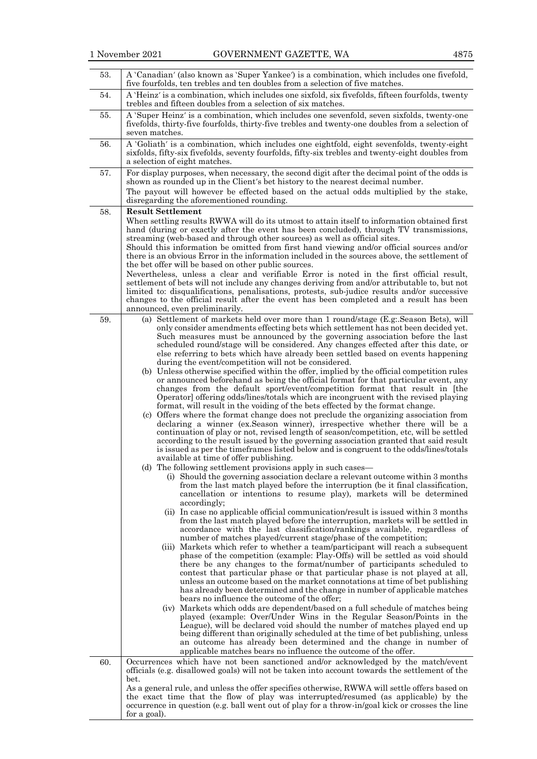| 53. | A 'Canadian' (also known as 'Super Yankee') is a combination, which includes one fivefold,<br>five fourfolds, ten trebles and ten doubles from a selection of five matches.                                                                                                                                                                                                                                                                                                                                                                                                                                                                                                                                                                                                                                                                                                                                                                                                                                                                                                                                                                                                                                                                                                                                                                                                                                                                                                                                                                                                                                                                                                                                                                                                                                                                                                                                                                                                                                                                                                                                                                                                                                                                                                                                                                                                                                                                                                                                                                                                                                                                                                                                                                                                                                                                                                                                                                                                                                                                                                                                    |
|-----|----------------------------------------------------------------------------------------------------------------------------------------------------------------------------------------------------------------------------------------------------------------------------------------------------------------------------------------------------------------------------------------------------------------------------------------------------------------------------------------------------------------------------------------------------------------------------------------------------------------------------------------------------------------------------------------------------------------------------------------------------------------------------------------------------------------------------------------------------------------------------------------------------------------------------------------------------------------------------------------------------------------------------------------------------------------------------------------------------------------------------------------------------------------------------------------------------------------------------------------------------------------------------------------------------------------------------------------------------------------------------------------------------------------------------------------------------------------------------------------------------------------------------------------------------------------------------------------------------------------------------------------------------------------------------------------------------------------------------------------------------------------------------------------------------------------------------------------------------------------------------------------------------------------------------------------------------------------------------------------------------------------------------------------------------------------------------------------------------------------------------------------------------------------------------------------------------------------------------------------------------------------------------------------------------------------------------------------------------------------------------------------------------------------------------------------------------------------------------------------------------------------------------------------------------------------------------------------------------------------------------------------------------------------------------------------------------------------------------------------------------------------------------------------------------------------------------------------------------------------------------------------------------------------------------------------------------------------------------------------------------------------------------------------------------------------------------------------------------------------|
| 54. | A 'Heinz' is a combination, which includes one sixfold, six fivefolds, fifteen fourfolds, twenty<br>trebles and fifteen doubles from a selection of six matches.                                                                                                                                                                                                                                                                                                                                                                                                                                                                                                                                                                                                                                                                                                                                                                                                                                                                                                                                                                                                                                                                                                                                                                                                                                                                                                                                                                                                                                                                                                                                                                                                                                                                                                                                                                                                                                                                                                                                                                                                                                                                                                                                                                                                                                                                                                                                                                                                                                                                                                                                                                                                                                                                                                                                                                                                                                                                                                                                               |
| 55. | A 'Super Heinz' is a combination, which includes one sevenfold, seven sixfolds, twenty-one<br>fivefolds, thirty-five fourfolds, thirty-five trebles and twenty-one doubles from a selection of<br>seven matches.                                                                                                                                                                                                                                                                                                                                                                                                                                                                                                                                                                                                                                                                                                                                                                                                                                                                                                                                                                                                                                                                                                                                                                                                                                                                                                                                                                                                                                                                                                                                                                                                                                                                                                                                                                                                                                                                                                                                                                                                                                                                                                                                                                                                                                                                                                                                                                                                                                                                                                                                                                                                                                                                                                                                                                                                                                                                                               |
| 56. | A 'Goliath' is a combination, which includes one eightfold, eight sevenfolds, twenty-eight<br>sixfolds, fifty-six fivefolds, seventy fourfolds, fifty-six trebles and twenty-eight doubles from<br>a selection of eight matches.                                                                                                                                                                                                                                                                                                                                                                                                                                                                                                                                                                                                                                                                                                                                                                                                                                                                                                                                                                                                                                                                                                                                                                                                                                                                                                                                                                                                                                                                                                                                                                                                                                                                                                                                                                                                                                                                                                                                                                                                                                                                                                                                                                                                                                                                                                                                                                                                                                                                                                                                                                                                                                                                                                                                                                                                                                                                               |
| 57. | For display purposes, when necessary, the second digit after the decimal point of the odds is<br>shown as rounded up in the Client's bet history to the nearest decimal number.<br>The payout will however be effected based on the actual odds multiplied by the stake,<br>disregarding the aforementioned rounding.                                                                                                                                                                                                                                                                                                                                                                                                                                                                                                                                                                                                                                                                                                                                                                                                                                                                                                                                                                                                                                                                                                                                                                                                                                                                                                                                                                                                                                                                                                                                                                                                                                                                                                                                                                                                                                                                                                                                                                                                                                                                                                                                                                                                                                                                                                                                                                                                                                                                                                                                                                                                                                                                                                                                                                                          |
| 58. | <b>Result Settlement</b><br>When settling results RWWA will do its utmost to attain itself to information obtained first<br>hand (during or exactly after the event has been concluded), through TV transmissions,<br>streaming (web-based and through other sources) as well as official sites.<br>Should this information be omitted from first hand viewing and/or official sources and/or<br>there is an obvious Error in the information included in the sources above, the settlement of<br>the bet offer will be based on other public sources.<br>Nevertheless, unless a clear and verifiable Error is noted in the first official result,<br>settlement of bets will not include any changes deriving from and/or attributable to, but not<br>limited to: disqualifications, penalisations, protests, sub-judice results and/or successive<br>changes to the official result after the event has been completed and a result has been<br>announced, even preliminarily.                                                                                                                                                                                                                                                                                                                                                                                                                                                                                                                                                                                                                                                                                                                                                                                                                                                                                                                                                                                                                                                                                                                                                                                                                                                                                                                                                                                                                                                                                                                                                                                                                                                                                                                                                                                                                                                                                                                                                                                                                                                                                                                               |
| 59. | (a) Settlement of markets held over more than 1 round/stage (E.g. Season Bets), will<br>only consider amendments effecting bets which settlement has not been decided yet.<br>Such measures must be announced by the governing association before the last<br>scheduled round/stage will be considered. Any changes effected after this date, or<br>else referring to bets which have already been settled based on events happening<br>during the event/competition will not be considered.<br>(b) Unless otherwise specified within the offer, implied by the official competition rules<br>or announced beforehand as being the official format for that particular event, any<br>changes from the default sport/event/competition format that result in [the<br>Operator offering odds/lines/totals which are incongruent with the revised playing<br>format, will result in the voiding of the bets effected by the format change.<br>(c) Offers where the format change does not preclude the organizing association from<br>declaring a winner (ex. Season winner), irrespective whether there will be a<br>continuation of play or not, revised length of season/competition, etc, will be settled<br>according to the result issued by the governing association granted that said result<br>is issued as per the timeframes listed below and is congruent to the odds/lines/totals<br>available at time of offer publishing.<br>(d) The following settlement provisions apply in such cases-<br>(i) Should the governing association declare a relevant outcome within 3 months<br>from the last match played before the interruption (be it final classification,<br>cancellation or intentions to resume play), markets will be determined<br>accordingly;<br>(ii) In case no applicable official communication/result is issued within 3 months<br>from the last match played before the interruption, markets will be settled in<br>accordance with the last classification/rankings available, regardless of<br>number of matches played/current stage/phase of the competition;<br>(iii) Markets which refer to whether a team/participant will reach a subsequent<br>phase of the competition (example: Play-Offs) will be settled as void should<br>there be any changes to the format/number of participants scheduled to<br>contest that particular phase or that particular phase is not played at all,<br>unless an outcome based on the market connotations at time of bet publishing<br>has already been determined and the change in number of applicable matches<br>bears no influence the outcome of the offer;<br>(iv) Markets which odds are dependent/based on a full schedule of matches being<br>played (example: Over/Under Wins in the Regular Season/Points in the<br>League), will be declared void should the number of matches played end up<br>being different than originally scheduled at the time of bet publishing, unless<br>an outcome has already been determined and the change in number of<br>applicable matches bears no influence the outcome of the offer. |
| 60. | Occurrences which have not been sanctioned and/or acknowledged by the match/event<br>officials (e.g. disallowed goals) will not be taken into account towards the settlement of the<br>bet.<br>As a general rule, and unless the offer specifies otherwise, RWWA will settle offers based on<br>the exact time that the flow of play was interrupted/resumed (as applicable) by the<br>occurrence in question (e.g. ball went out of play for a throw-in/goal kick or crosses the line<br>for a goal).                                                                                                                                                                                                                                                                                                                                                                                                                                                                                                                                                                                                                                                                                                                                                                                                                                                                                                                                                                                                                                                                                                                                                                                                                                                                                                                                                                                                                                                                                                                                                                                                                                                                                                                                                                                                                                                                                                                                                                                                                                                                                                                                                                                                                                                                                                                                                                                                                                                                                                                                                                                                         |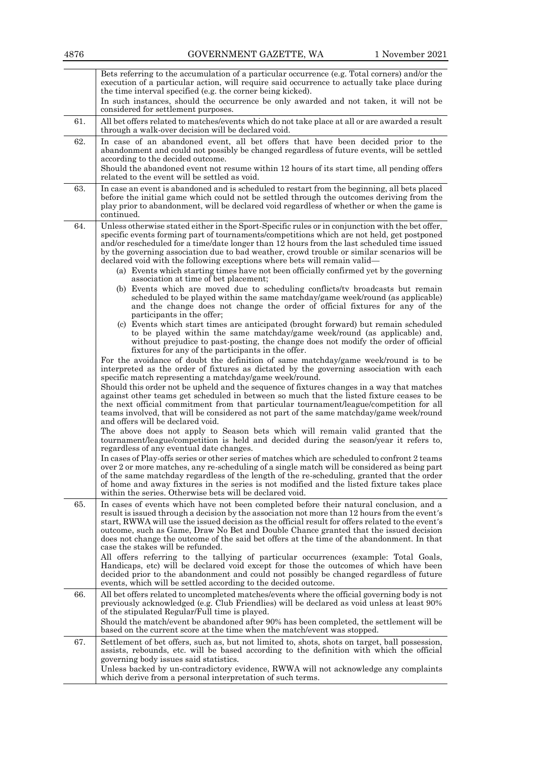|     | Bets referring to the accumulation of a particular occurrence (e.g. Total corners) and/or the<br>execution of a particular action, will require said occurrence to actually take place during<br>the time interval specified (e.g. the corner being kicked).<br>In such instances, should the occurrence be only awarded and not taken, it will not be<br>considered for settlement purposes.                                                                                                                                                                                                                                                                                                                                                                                                                                                                                                                                                                                                                                                                                                                                                                                                                                                                                                                                                                                                                                                                                                                                                                                    |
|-----|----------------------------------------------------------------------------------------------------------------------------------------------------------------------------------------------------------------------------------------------------------------------------------------------------------------------------------------------------------------------------------------------------------------------------------------------------------------------------------------------------------------------------------------------------------------------------------------------------------------------------------------------------------------------------------------------------------------------------------------------------------------------------------------------------------------------------------------------------------------------------------------------------------------------------------------------------------------------------------------------------------------------------------------------------------------------------------------------------------------------------------------------------------------------------------------------------------------------------------------------------------------------------------------------------------------------------------------------------------------------------------------------------------------------------------------------------------------------------------------------------------------------------------------------------------------------------------|
| 61. | All bet offers related to matches/events which do not take place at all or are awarded a result<br>through a walk-over decision will be declared void.                                                                                                                                                                                                                                                                                                                                                                                                                                                                                                                                                                                                                                                                                                                                                                                                                                                                                                                                                                                                                                                                                                                                                                                                                                                                                                                                                                                                                           |
| 62. | In case of an abandoned event, all bet offers that have been decided prior to the<br>abandonment and could not possibly be changed regardless of future events, will be settled<br>according to the decided outcome.<br>Should the abandoned event not resume within 12 hours of its start time, all pending offers<br>related to the event will be settled as void.                                                                                                                                                                                                                                                                                                                                                                                                                                                                                                                                                                                                                                                                                                                                                                                                                                                                                                                                                                                                                                                                                                                                                                                                             |
| 63. | In case an event is abandoned and is scheduled to restart from the beginning, all bets placed<br>before the initial game which could not be settled through the outcomes deriving from the<br>play prior to abandonment, will be declared void regardless of whether or when the game is<br>continued.                                                                                                                                                                                                                                                                                                                                                                                                                                                                                                                                                                                                                                                                                                                                                                                                                                                                                                                                                                                                                                                                                                                                                                                                                                                                           |
| 64. | Unless otherwise stated either in the Sport-Specific rules or in conjunction with the bet offer,<br>specific events forming part of tournaments/competitions which are not held, get postponed<br>and/or rescheduled for a time/date longer than 12 hours from the last scheduled time issued<br>by the governing association due to bad weather, crowd trouble or similar scenarios will be<br>declared void with the following exceptions where bets will remain valid—<br>(a) Events which starting times have not been officially confirmed yet by the governing<br>association at time of bet placement;<br>(b) Events which are moved due to scheduling conflicts/tv broadcasts but remain<br>scheduled to be played within the same matchday/game week/round (as applicable)<br>and the change does not change the order of official fixtures for any of the<br>participants in the offer;<br>(c) Events which start times are anticipated (brought forward) but remain scheduled                                                                                                                                                                                                                                                                                                                                                                                                                                                                                                                                                                                         |
|     | to be played within the same matchday/game week/round (as applicable) and,<br>without prejudice to past-posting, the change does not modify the order of official<br>fixtures for any of the participants in the offer.<br>For the avoidance of doubt the definition of same matchday/game week/round is to be<br>interpreted as the order of fixtures as dictated by the governing association with each<br>specific match representing a matchday/game week/round.<br>Should this order not be upheld and the sequence of fixtures changes in a way that matches<br>against other teams get scheduled in between so much that the listed fixture ceases to be<br>the next official commitment from that particular tournament/league/competition for all<br>teams involved, that will be considered as not part of the same matchday/game week/round<br>and offers will be declared void.<br>The above does not apply to Season bets which will remain valid granted that the<br>tournament/league/competition is held and decided during the season/year it refers to,<br>regardless of any eventual date changes.<br>In cases of Play-offs series or other series of matches which are scheduled to confront 2 teams<br>over 2 or more matches, any re-scheduling of a single match will be considered as being part<br>of the same matchday regardless of the length of the re-scheduling, granted that the order<br>of home and away fixtures in the series is not modified and the listed fixture takes place<br>within the series. Otherwise bets will be declared void. |
| 65. | In cases of events which have not been completed before their natural conclusion, and a<br>result is issued through a decision by the association not more than 12 hours from the event's<br>start, RWWA will use the issued decision as the official result for offers related to the event's<br>outcome, such as Game, Draw No Bet and Double Chance granted that the issued decision<br>does not change the outcome of the said bet offers at the time of the abandonment. In that<br>case the stakes will be refunded.<br>All offers referring to the tallying of particular occurrences (example: Total Goals,<br>Handicaps, etc) will be declared void except for those the outcomes of which have been<br>decided prior to the abandonment and could not possibly be changed regardless of future<br>events, which will be settled according to the decided outcome.                                                                                                                                                                                                                                                                                                                                                                                                                                                                                                                                                                                                                                                                                                      |
| 66. | All bet offers related to uncompleted matches/events where the official governing body is not<br>previously acknowledged (e.g. Club Friendlies) will be declared as void unless at least 90%<br>of the stipulated Regular/Full time is played.<br>Should the match/event be abandoned after 90% has been completed, the settlement will be<br>based on the current score at the time when the match/event was stopped.                                                                                                                                                                                                                                                                                                                                                                                                                                                                                                                                                                                                                                                                                                                                                                                                                                                                                                                                                                                                                                                                                                                                                           |
| 67. | Settlement of bet offers, such as, but not limited to, shots, shots on target, ball possession,<br>assists, rebounds, etc. will be based according to the definition with which the official<br>governing body issues said statistics.<br>Unless backed by un-contradictory evidence, RWWA will not acknowledge any complaints<br>which derive from a personal interpretation of such terms.                                                                                                                                                                                                                                                                                                                                                                                                                                                                                                                                                                                                                                                                                                                                                                                                                                                                                                                                                                                                                                                                                                                                                                                     |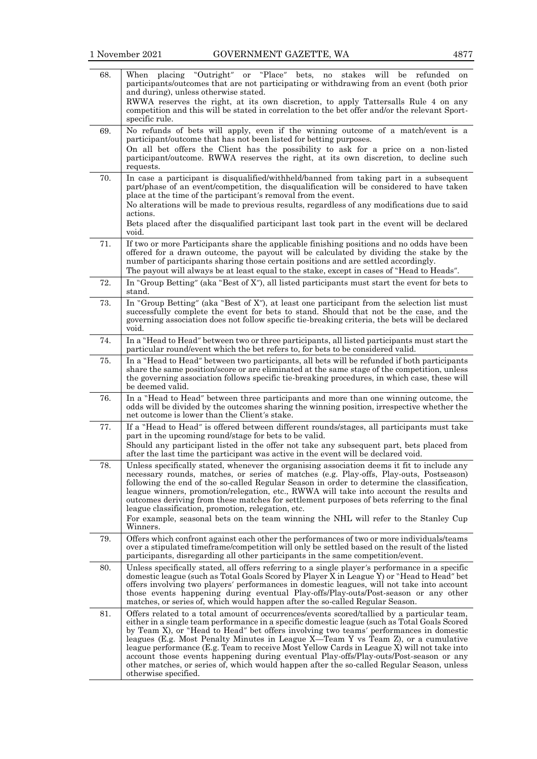| 68. | When placing "Outright"<br>or "Place" bets, no stakes will be<br>refunded on<br>participants/outcomes that are not participating or withdrawing from an event (both prior<br>and during), unless otherwise stated.<br>RWWA reserves the right, at its own discretion, to apply Tattersalls Rule 4 on any<br>competition and this will be stated in correlation to the bet offer and/or the relevant Sport-<br>specific rule.                                                                                                                                                                                                                                                             |
|-----|------------------------------------------------------------------------------------------------------------------------------------------------------------------------------------------------------------------------------------------------------------------------------------------------------------------------------------------------------------------------------------------------------------------------------------------------------------------------------------------------------------------------------------------------------------------------------------------------------------------------------------------------------------------------------------------|
| 69. | No refunds of bets will apply, even if the winning outcome of a match/event is a<br>participant/outcome that has not been listed for betting purposes.<br>On all bet offers the Client has the possibility to ask for a price on a non-listed<br>participant/outcome. RWWA reserves the right, at its own discretion, to decline such<br>requests.                                                                                                                                                                                                                                                                                                                                       |
| 70. | In case a participant is disqualified/withheld/banned from taking part in a subsequent<br>part/phase of an event/competition, the disqualification will be considered to have taken<br>place at the time of the participant's removal from the event.<br>No alterations will be made to previous results, regardless of any modifications due to said<br>actions.<br>Bets placed after the disqualified participant last took part in the event will be declared<br>void.                                                                                                                                                                                                                |
| 71. | If two or more Participants share the applicable finishing positions and no odds have been<br>offered for a drawn outcome, the payout will be calculated by dividing the stake by the<br>number of participants sharing those certain positions and are settled accordingly.<br>The payout will always be at least equal to the stake, except in cases of "Head to Heads".                                                                                                                                                                                                                                                                                                               |
| 72. | In "Group Betting" (aka "Best of X"), all listed participants must start the event for bets to<br>stand.                                                                                                                                                                                                                                                                                                                                                                                                                                                                                                                                                                                 |
| 73. | In "Group Betting" (aka "Best of X"), at least one participant from the selection list must<br>successfully complete the event for bets to stand. Should that not be the case, and the<br>governing association does not follow specific tie-breaking criteria, the bets will be declared<br>void.                                                                                                                                                                                                                                                                                                                                                                                       |
| 74. | In a "Head to Head" between two or three participants, all listed participants must start the<br>particular round/event which the bet refers to, for bets to be considered valid.                                                                                                                                                                                                                                                                                                                                                                                                                                                                                                        |
| 75. | In a "Head to Head" between two participants, all bets will be refunded if both participants<br>share the same position/score or are eliminated at the same stage of the competition, unless<br>the governing association follows specific tie-breaking procedures, in which case, these will<br>be deemed valid.                                                                                                                                                                                                                                                                                                                                                                        |
| 76. | In a "Head to Head" between three participants and more than one winning outcome, the<br>odds will be divided by the outcomes sharing the winning position, irrespective whether the<br>net outcome is lower than the Client's stake.                                                                                                                                                                                                                                                                                                                                                                                                                                                    |
| 77. | If a "Head to Head" is offered between different rounds/stages, all participants must take<br>part in the upcoming round/stage for bets to be valid.<br>Should any participant listed in the offer not take any subsequent part, bets placed from<br>after the last time the participant was active in the event will be declared void.                                                                                                                                                                                                                                                                                                                                                  |
| 78. | Unless specifically stated, whenever the organising association deems it fit to include any<br>necessary rounds, matches, or series of matches (e.g. Play-offs, Play-outs, Postseason)<br>following the end of the so-called Regular Season in order to determine the classification,<br>league winners, promotion/relegation, etc., RWWA will take into account the results and<br>outcomes deriving from these matches for settlement purposes of bets referring to the final<br>league classification, promotion, relegation, etc.<br>For example, seasonal bets on the team winning the NHL will refer to the Stanley Cup<br>Winners.                                                |
| 79. | Offers which confront against each other the performances of two or more individuals/teams<br>over a stipulated timeframe/competition will only be settled based on the result of the listed<br>participants, disregarding all other participants in the same competition/event.                                                                                                                                                                                                                                                                                                                                                                                                         |
| 80. | Unless specifically stated, all offers referring to a single player's performance in a specific<br>domestic league (such as Total Goals Scored by Player X in League Y) or "Head to Head" bet<br>offers involving two players' performances in domestic leagues, will not take into account<br>those events happening during eventual Play-offs/Play-outs/Post-season or any other<br>matches, or series of, which would happen after the so-called Regular Season.                                                                                                                                                                                                                      |
| 81. | Offers related to a total amount of occurrences/events scored/tallied by a particular team,<br>either in a single team performance in a specific domestic league (such as Total Goals Scored<br>by Team X), or "Head to Head" bet offers involving two teams' performances in domestic<br>leagues (E.g. Most Penalty Minutes in League X—Team Y vs Team Z), or a cumulative<br>league performance (E.g. Team to receive Most Yellow Cards in League X) will not take into<br>account those events happening during eventual Play-offs/Play-outs/Post-season or any<br>other matches, or series of, which would happen after the so-called Regular Season, unless<br>otherwise specified. |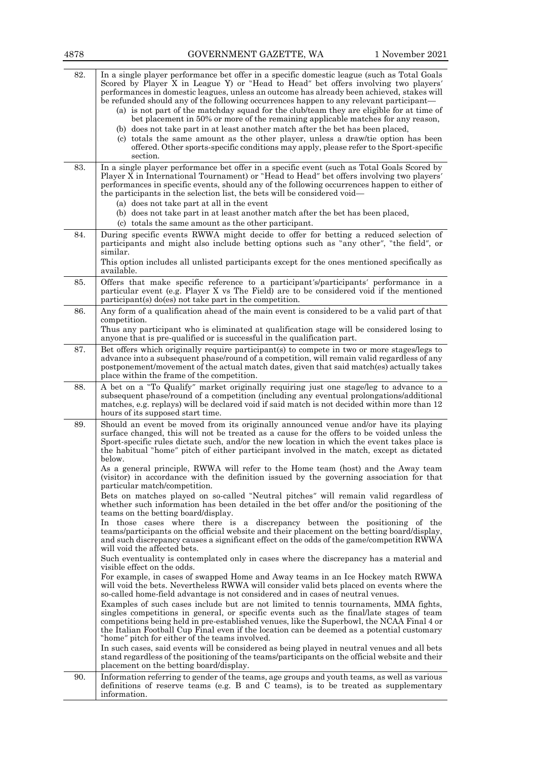| 4878 | GOVERNMENT GAZETTE, WA<br>1 November 2021                                                                                                                                                                                                                                                                                                                                                                                                                                                                                                                                                                                                                                                                                                                                                                                                  |
|------|--------------------------------------------------------------------------------------------------------------------------------------------------------------------------------------------------------------------------------------------------------------------------------------------------------------------------------------------------------------------------------------------------------------------------------------------------------------------------------------------------------------------------------------------------------------------------------------------------------------------------------------------------------------------------------------------------------------------------------------------------------------------------------------------------------------------------------------------|
| 82.  | In a single player performance bet offer in a specific domestic league (such as Total Goals<br>Scored by Player X in League Y) or "Head to Head" bet offers involving two players'<br>performances in domestic leagues, unless an outcome has already been achieved, stakes will<br>be refunded should any of the following occurrences happen to any relevant participant—<br>(a) is not part of the matchday squad for the club/team they are eligible for at time of<br>bet placement in 50% or more of the remaining applicable matches for any reason,<br>(b) does not take part in at least another match after the bet has been placed,<br>(c) totals the same amount as the other player, unless a draw/tie option has been<br>offered. Other sports-specific conditions may apply, please refer to the Sport-specific<br>section. |
| 83.  | In a single player performance bet offer in a specific event (such as Total Goals Scored by<br>Player X in International Tournament) or "Head to Head" bet offers involving two players'<br>performances in specific events, should any of the following occurrences happen to either of<br>the participants in the selection list, the bets will be considered void—<br>(a) does not take part at all in the event                                                                                                                                                                                                                                                                                                                                                                                                                        |
|      | (b) does not take part in at least another match after the bet has been placed,<br>(c) totals the same amount as the other participant.                                                                                                                                                                                                                                                                                                                                                                                                                                                                                                                                                                                                                                                                                                    |
| 84.  | During specific events RWWA might decide to offer for betting a reduced selection of<br>participants and might also include betting options such as "any other", "the field", or<br>similar.<br>This option includes all unlisted participants except for the ones mentioned specifically as<br>available.                                                                                                                                                                                                                                                                                                                                                                                                                                                                                                                                 |
| 85.  | Offers that make specific reference to a participant's/participants' performance in a<br>particular event (e.g. Player X vs The Field) are to be considered void if the mentioned<br>$participant(s)$ do(es) not take part in the competition.                                                                                                                                                                                                                                                                                                                                                                                                                                                                                                                                                                                             |
| 86.  | Any form of a qualification ahead of the main event is considered to be a valid part of that<br>competition.<br>Thus any participant who is eliminated at qualification stage will be considered losing to<br>anyone that is pre-qualified or is successful in the qualification part.                                                                                                                                                                                                                                                                                                                                                                                                                                                                                                                                                     |
| 87.  | Bet offers which originally require participant(s) to compete in two or more stages/legs to<br>advance into a subsequent phase/round of a competition, will remain valid regardless of any<br>postponement/movement of the actual match dates, given that said match(es) actually takes<br>place within the frame of the competition.                                                                                                                                                                                                                                                                                                                                                                                                                                                                                                      |
| 88.  | A bet on a "To Qualify" market originally requiring just one stage/leg to advance to a<br>subsequent phase/round of a competition (including any eventual prolongations/additional<br>matches, e.g. replays) will be declared void if said match is not decided within more than 12<br>hours of its supposed start time.                                                                                                                                                                                                                                                                                                                                                                                                                                                                                                                   |
| 89.  | Should an event be moved from its originally announced venue and/or have its playing<br>surface changed, this will not be treated as a cause for the offers to be voided unless the<br>Sport-specific rules dictate such, and/or the new location in which the event takes place is<br>the habitual "home" pitch of either participant involved in the match, except as dictated<br>below.<br>As a general principle, RWWA will refer to the Home team (host) and the Away team                                                                                                                                                                                                                                                                                                                                                            |
|      | (visitor) in accordance with the definition issued by the governing association for that<br>particular match/competition.<br>Bets on matches played on so-called "Neutral pitches" will remain valid regardless of<br>whether such information has been detailed in the bet offer and/or the positioning of the                                                                                                                                                                                                                                                                                                                                                                                                                                                                                                                            |
|      | teams on the betting board/display.<br>In those cases where there is a discrepancy between the positioning of the<br>teams/participants on the official website and their placement on the betting board/display,<br>and such discrepancy causes a significant effect on the odds of the game/competition RWWA<br>will void the affected bets.                                                                                                                                                                                                                                                                                                                                                                                                                                                                                             |
|      | Such eventuality is contemplated only in cases where the discrepancy has a material and<br>visible effect on the odds.<br>For example, in cases of swapped Home and Away teams in an Ice Hockey match RWWA                                                                                                                                                                                                                                                                                                                                                                                                                                                                                                                                                                                                                                 |
|      | will void the bets. Nevertheless RWWA will consider valid bets placed on events where the<br>so-called home-field advantage is not considered and in cases of neutral venues.<br>Examples of such cases include but are not limited to tennis tournaments, MMA fights,                                                                                                                                                                                                                                                                                                                                                                                                                                                                                                                                                                     |
|      | singles competitions in general, or specific events such as the final/late stages of team<br>competitions being held in pre-established venues, like the Superbowl, the NCAA Final 4 or<br>the Italian Football Cup Final even if the location can be deemed as a potential customary<br>"home" pitch for either of the teams involved.                                                                                                                                                                                                                                                                                                                                                                                                                                                                                                    |
|      | In such cases, said events will be considered as being played in neutral venues and all bets<br>stand regardless of the positioning of the teams/participants on the official website and their<br>placement on the betting board/display.                                                                                                                                                                                                                                                                                                                                                                                                                                                                                                                                                                                                 |
| 90.  | Information referring to gender of the teams, age groups and youth teams, as well as various<br>definitions of reserve teams (e.g. B and C teams), is to be treated as supplementary<br>information.                                                                                                                                                                                                                                                                                                                                                                                                                                                                                                                                                                                                                                       |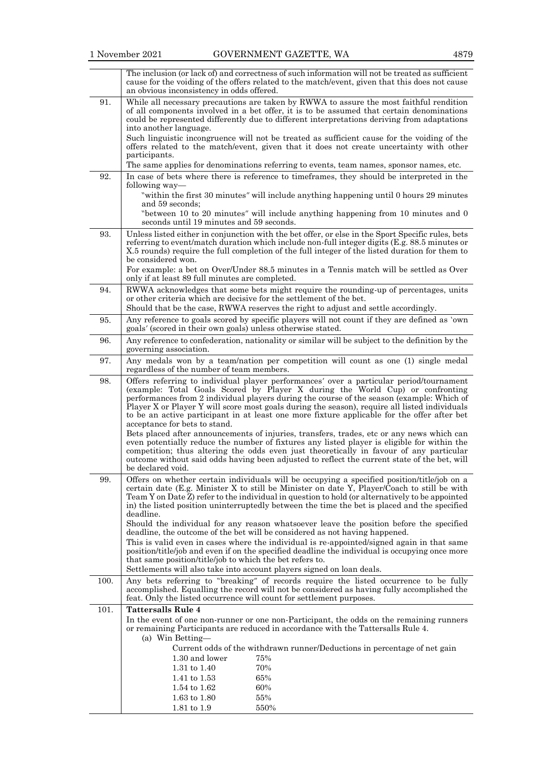$\overline{\phantom{a}}$ 

|      | The inclusion (or lack of) and correctness of such information will not be treated as sufficient<br>cause for the voiding of the offers related to the match/event, given that this does not cause<br>an obvious inconsistency in odds offered.                                                                                                                                                                                                                                                                                                                                                                                                                                                                                                                                               |
|------|-----------------------------------------------------------------------------------------------------------------------------------------------------------------------------------------------------------------------------------------------------------------------------------------------------------------------------------------------------------------------------------------------------------------------------------------------------------------------------------------------------------------------------------------------------------------------------------------------------------------------------------------------------------------------------------------------------------------------------------------------------------------------------------------------|
| 91.  | While all necessary precautions are taken by RWWA to assure the most faithful rendition<br>of all components involved in a bet offer, it is to be assumed that certain denominations<br>could be represented differently due to different interpretations deriving from adaptations<br>into another language.                                                                                                                                                                                                                                                                                                                                                                                                                                                                                 |
|      | Such linguistic incongruence will not be treated as sufficient cause for the voiding of the<br>offers related to the match/event, given that it does not create uncertainty with other<br>participants.                                                                                                                                                                                                                                                                                                                                                                                                                                                                                                                                                                                       |
|      | The same applies for denominations referring to events, team names, sponsor names, etc.                                                                                                                                                                                                                                                                                                                                                                                                                                                                                                                                                                                                                                                                                                       |
| 92.  | In case of bets where there is reference to timeframes, they should be interpreted in the<br>following way—                                                                                                                                                                                                                                                                                                                                                                                                                                                                                                                                                                                                                                                                                   |
|      | "within the first 30 minutes" will include anything happening until 0 hours 29 minutes<br>and 59 seconds;                                                                                                                                                                                                                                                                                                                                                                                                                                                                                                                                                                                                                                                                                     |
|      | "between 10 to 20 minutes" will include anything happening from 10 minutes and 0<br>seconds until 19 minutes and 59 seconds.                                                                                                                                                                                                                                                                                                                                                                                                                                                                                                                                                                                                                                                                  |
| 93.  | Unless listed either in conjunction with the bet offer, or else in the Sport Specific rules, bets<br>referring to event/match duration which include non-full integer digits (E.g. 88.5 minutes or<br>X.5 rounds) require the full completion of the full integer of the listed duration for them to<br>be considered won.                                                                                                                                                                                                                                                                                                                                                                                                                                                                    |
|      | For example: a bet on Over/Under 88.5 minutes in a Tennis match will be settled as Over<br>only if at least 89 full minutes are completed.                                                                                                                                                                                                                                                                                                                                                                                                                                                                                                                                                                                                                                                    |
| 94.  | RWWA acknowledges that some bets might require the rounding-up of percentages, units<br>or other criteria which are decisive for the settlement of the bet.                                                                                                                                                                                                                                                                                                                                                                                                                                                                                                                                                                                                                                   |
|      | Should that be the case, RWWA reserves the right to adjust and settle accordingly.                                                                                                                                                                                                                                                                                                                                                                                                                                                                                                                                                                                                                                                                                                            |
| 95.  | Any reference to goals scored by specific players will not count if they are defined as 'own<br>goals' (scored in their own goals) unless otherwise stated.                                                                                                                                                                                                                                                                                                                                                                                                                                                                                                                                                                                                                                   |
| 96.  | Any reference to confederation, nationality or similar will be subject to the definition by the<br>governing association.                                                                                                                                                                                                                                                                                                                                                                                                                                                                                                                                                                                                                                                                     |
| 97.  | Any medals won by a team/nation per competition will count as one (1) single medal<br>regardless of the number of team members.                                                                                                                                                                                                                                                                                                                                                                                                                                                                                                                                                                                                                                                               |
| 98.  | Offers referring to individual player performances' over a particular period/tournament<br>(example: Total Goals Scored by Player X during the World Cup) or confronting<br>performances from 2 individual players during the course of the season (example: Which of<br>Player X or Player Y will score most goals during the season), require all listed individuals<br>to be an active participant in at least one more fixture applicable for the offer after bet<br>acceptance for bets to stand.<br>Bets placed after announcements of injuries, transfers, trades, etc or any news which can<br>even potentially reduce the number of fixtures any listed player is eligible for within the<br>competition; thus altering the odds even just theoretically in favour of any particular |
|      | outcome without said odds having been adjusted to reflect the current state of the bet, will<br>be declared void.                                                                                                                                                                                                                                                                                                                                                                                                                                                                                                                                                                                                                                                                             |
| 99.  | Offers on whether certain individuals will be occupying a specified position/title/job on a<br>certain date (E.g. Minister X to still be Minister on date Y, Player/Coach to still be with<br>Team Y on Date Z refer to the individual in question to hold (or alternatively to be appointed<br>in) the listed position uninterruptedly between the time the bet is placed and the specified<br>deadline.                                                                                                                                                                                                                                                                                                                                                                                     |
|      | Should the individual for any reason whatsoever leave the position before the specified<br>deadline, the outcome of the bet will be considered as not having happened.                                                                                                                                                                                                                                                                                                                                                                                                                                                                                                                                                                                                                        |
|      | This is valid even in cases where the individual is re-appointed/signed again in that same<br>position/title/job and even if on the specified deadline the individual is occupying once more<br>that same position/title/job to which the bet refers to.<br>Settlements will also take into account players signed on loan deals.                                                                                                                                                                                                                                                                                                                                                                                                                                                             |
| 100. | Any bets referring to "breaking" of records require the listed occurrence to be fully                                                                                                                                                                                                                                                                                                                                                                                                                                                                                                                                                                                                                                                                                                         |
|      | accomplished. Equalling the record will not be considered as having fully accomplished the<br>feat. Only the listed occurrence will count for settlement purposes.                                                                                                                                                                                                                                                                                                                                                                                                                                                                                                                                                                                                                            |
| 101. | <b>Tattersalls Rule 4</b>                                                                                                                                                                                                                                                                                                                                                                                                                                                                                                                                                                                                                                                                                                                                                                     |
|      | In the event of one non-runner or one non-Participant, the odds on the remaining runners<br>or remaining Participants are reduced in accordance with the Tattersalls Rule 4.                                                                                                                                                                                                                                                                                                                                                                                                                                                                                                                                                                                                                  |
|      | (a) Win Betting-<br>Current odds of the withdrawn runner/Deductions in percentage of net gain                                                                                                                                                                                                                                                                                                                                                                                                                                                                                                                                                                                                                                                                                                 |
|      | 1.30 and lower<br>75%                                                                                                                                                                                                                                                                                                                                                                                                                                                                                                                                                                                                                                                                                                                                                                         |
|      | 70%<br>1.31 to 1.40                                                                                                                                                                                                                                                                                                                                                                                                                                                                                                                                                                                                                                                                                                                                                                           |
|      | 65%<br>1.41 to 1.53                                                                                                                                                                                                                                                                                                                                                                                                                                                                                                                                                                                                                                                                                                                                                                           |
|      | 60%<br>1.54 to 1.62                                                                                                                                                                                                                                                                                                                                                                                                                                                                                                                                                                                                                                                                                                                                                                           |
|      | 55%<br>$1.63 \text{ to } 1.80$                                                                                                                                                                                                                                                                                                                                                                                                                                                                                                                                                                                                                                                                                                                                                                |
|      | 1.81 to 1.9<br>550%                                                                                                                                                                                                                                                                                                                                                                                                                                                                                                                                                                                                                                                                                                                                                                           |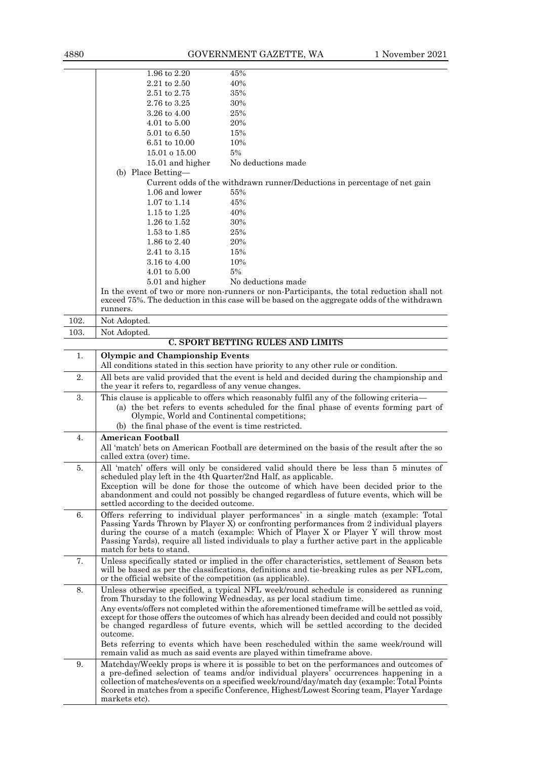|      | 1.96 to 2.20                                                    | 45%                                                                                                                                                                                           |
|------|-----------------------------------------------------------------|-----------------------------------------------------------------------------------------------------------------------------------------------------------------------------------------------|
|      | 2.21 to 2.50                                                    | 40%                                                                                                                                                                                           |
|      | $2.51 \text{ to } 2.75$                                         | 35%                                                                                                                                                                                           |
|      | 2.76 to 3.25                                                    | 30%                                                                                                                                                                                           |
|      | 3.26 to 4.00                                                    | 25%                                                                                                                                                                                           |
|      | $4.01$ to $5.00$                                                | 20%                                                                                                                                                                                           |
|      | $5.01 \text{ to } 6.50$                                         | 15%                                                                                                                                                                                           |
|      | 6.51 to 10.00                                                   | 10%                                                                                                                                                                                           |
|      | 15.01 o 15.00                                                   | 5%                                                                                                                                                                                            |
|      | 15.01 and higher                                                | No deductions made                                                                                                                                                                            |
|      | (b) Place Betting-                                              |                                                                                                                                                                                               |
|      | 1.06 and lower                                                  | Current odds of the withdrawn runner/Deductions in percentage of net gain<br>55%                                                                                                              |
|      | $1.07$ to $1.14$                                                | 45%                                                                                                                                                                                           |
|      | $1.15 \text{ to } 1.25$                                         | 40%                                                                                                                                                                                           |
|      | 1.26 to 1.52                                                    | 30%                                                                                                                                                                                           |
|      | $1.53 \text{ to } 1.85$                                         | 25%                                                                                                                                                                                           |
|      | 1.86 to 2.40                                                    | 20%                                                                                                                                                                                           |
|      | $2.41$ to $3.15\,$                                              | 15%                                                                                                                                                                                           |
|      | 3.16 to 4.00                                                    | 10%                                                                                                                                                                                           |
|      | $4.01 \text{ to } 5.00$                                         | 5%                                                                                                                                                                                            |
|      | 5.01 and higher                                                 | No deductions made                                                                                                                                                                            |
|      |                                                                 | In the event of two or more non-runners or non-Participants, the total reduction shall not                                                                                                    |
|      | runners.                                                        | exceed 75%. The deduction in this case will be based on the aggregate odds of the withdrawn                                                                                                   |
| 102. | Not Adopted.                                                    |                                                                                                                                                                                               |
|      |                                                                 |                                                                                                                                                                                               |
| 103. | Not Adopted.                                                    | <b>C. SPORT BETTING RULES AND LIMITS</b>                                                                                                                                                      |
|      |                                                                 |                                                                                                                                                                                               |
| 1.   | <b>Olympic and Championship Events</b>                          | All conditions stated in this section have priority to any other rule or condition.                                                                                                           |
| 2.   |                                                                 | All bets are valid provided that the event is held and decided during the championship and                                                                                                    |
|      | the year it refers to, regardless of any venue changes.         |                                                                                                                                                                                               |
| 3.   |                                                                 | This clause is applicable to offers which reasonably fulfil any of the following criteria—                                                                                                    |
|      |                                                                 | (a) the bet refers to events scheduled for the final phase of events forming part of                                                                                                          |
|      | Olympic, World and Continental competitions;                    |                                                                                                                                                                                               |
|      | (b) the final phase of the event is time restricted.            |                                                                                                                                                                                               |
| 4.   | <b>American Football</b>                                        |                                                                                                                                                                                               |
|      |                                                                 | All 'match' bets on American Football are determined on the basis of the result after the so                                                                                                  |
|      | called extra (over) time.                                       |                                                                                                                                                                                               |
|      |                                                                 |                                                                                                                                                                                               |
| 5.   |                                                                 | All 'match' offers will only be considered valid should there be less than 5 minutes of                                                                                                       |
|      | scheduled play left in the 4th Quarter/2nd Half, as applicable. |                                                                                                                                                                                               |
|      |                                                                 | Exception will be done for those the outcome of which have been decided prior to the                                                                                                          |
|      |                                                                 | abandonment and could not possibly be changed regardless of future events, which will be                                                                                                      |
|      | settled according to the decided outcome.                       |                                                                                                                                                                                               |
| 6.   |                                                                 | Offers referring to individual player performances' in a single match (example: Total                                                                                                         |
|      |                                                                 | Passing Yards Thrown by Player X) or confronting performances from 2 individual players<br>during the course of a match (example: Which of Player X or Player Y will throw most               |
|      |                                                                 | Passing Yards), require all listed individuals to play a further active part in the applicable                                                                                                |
|      | match for bets to stand.                                        |                                                                                                                                                                                               |
| 7.   |                                                                 | Unless specifically stated or implied in the offer characteristics, settlement of Season bets                                                                                                 |
|      |                                                                 | will be based as per the classifications, definitions and tie-breaking rules as per NFL.com,                                                                                                  |
|      | or the official website of the competition (as applicable).     |                                                                                                                                                                                               |
| 8.   |                                                                 | Unless otherwise specified, a typical NFL week/round schedule is considered as running                                                                                                        |
|      |                                                                 | from Thursday to the following Wednesday, as per local stadium time.                                                                                                                          |
|      |                                                                 | Any events/offers not completed within the aforementioned timeframe will be settled as void,<br>except for those offers the outcomes of which has already been decided and could not possibly |
|      |                                                                 | be changed regardless of future events, which will be settled according to the decided                                                                                                        |
|      | outcome.                                                        |                                                                                                                                                                                               |
|      |                                                                 | Bets referring to events which have been rescheduled within the same week/round will                                                                                                          |
|      |                                                                 | remain valid as much as said events are played within time frame above.                                                                                                                       |
| 9.   |                                                                 | Matchday/Weekly props is where it is possible to bet on the performances and outcomes of                                                                                                      |
|      |                                                                 | a pre-defined selection of teams and/or individual players' occurrences happening in a                                                                                                        |
|      |                                                                 | collection of matches/events on a specified week/round/day/match day (example: Total Points<br>Scored in matches from a specific Conference, Highest/Lowest Scoring team, Player Yardage      |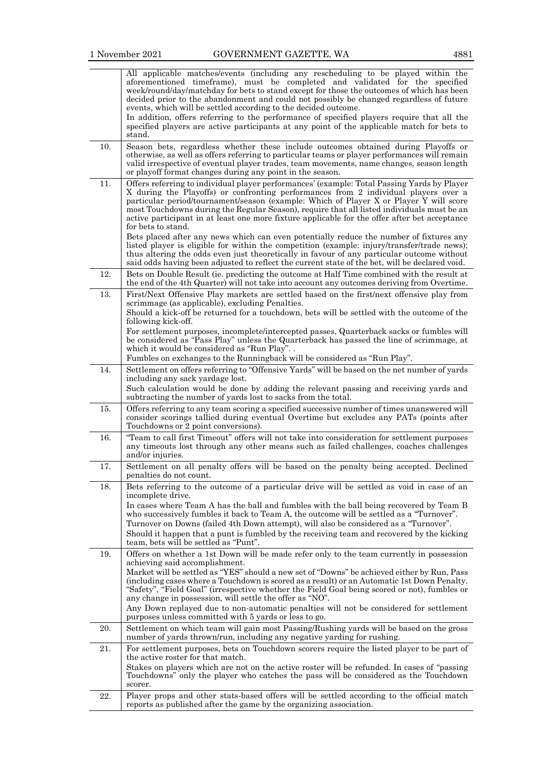|--|--|

|          | All applicable matches/events (including any rescheduling to be played within the<br>aforementioned timeframe), must be completed and validated for the specified<br>week/round/day/matchday for bets to stand except for those the outcomes of which has been<br>decided prior to the abandonment and could not possibly be changed regardless of future<br>events, which will be settled according to the decided outcome.                                                                                                                                                                                                            |
|----------|-----------------------------------------------------------------------------------------------------------------------------------------------------------------------------------------------------------------------------------------------------------------------------------------------------------------------------------------------------------------------------------------------------------------------------------------------------------------------------------------------------------------------------------------------------------------------------------------------------------------------------------------|
|          | In addition, offers referring to the performance of specified players require that all the<br>specified players are active participants at any point of the applicable match for bets to<br>stand.                                                                                                                                                                                                                                                                                                                                                                                                                                      |
| 10.      | Season bets, regardless whether these include outcomes obtained during Playoffs or<br>otherwise, as well as offers referring to particular teams or player performances will remain<br>valid irrespective of eventual player trades, team movements, name changes, season length<br>or playoff format changes during any point in the season.                                                                                                                                                                                                                                                                                           |
| 11.      | Offers referring to individual player performances' (example: Total Passing Yards by Player<br>X during the Playoffs) or confronting performances from 2 individual players over a<br>particular period/tournament/season (example: Which of Player X or Player Y will score<br>most Touchdowns during the Regular Season), require that all listed individuals must be an<br>active participant in at least one more fixture applicable for the offer after bet acceptance<br>for bets to stand.                                                                                                                                       |
|          | Bets placed after any news which can even potentially reduce the number of fixtures any<br>listed player is eligible for within the competition (example: injury/transfer/trade news);<br>thus altering the odds even just theoretically in favour of any particular outcome without<br>said odds having been adjusted to reflect the current state of the bet, will be declared void.                                                                                                                                                                                                                                                  |
| 12.      | Bets on Double Result (ie. predicting the outcome at Half Time combined with the result at<br>the end of the 4th Quarter) will not take into account any outcomes deriving from Overtime.                                                                                                                                                                                                                                                                                                                                                                                                                                               |
| 13.      | First/Next Offensive Play markets are settled based on the first/next offensive play from<br>scrimmage (as applicable), excluding Penalties.<br>Should a kick-off be returned for a touchdown, bets will be settled with the outcome of the<br>following kick-off.                                                                                                                                                                                                                                                                                                                                                                      |
|          | For settlement purposes, incomplete/intercepted passes, Quarterback sacks or fumbles will<br>be considered as "Pass Play" unless the Quarterback has passed the line of scrimmage, at<br>which it would be considered as "Run Play"                                                                                                                                                                                                                                                                                                                                                                                                     |
|          | Fumbles on exchanges to the Runningback will be considered as "Run Play".                                                                                                                                                                                                                                                                                                                                                                                                                                                                                                                                                               |
| 14.      | Settlement on offers referring to "Offensive Yards" will be based on the net number of yards<br>including any sack yardage lost.<br>Such calculation would be done by adding the relevant passing and receiving yards and                                                                                                                                                                                                                                                                                                                                                                                                               |
| 15.      | subtracting the number of yards lost to sacks from the total.<br>Offers referring to any team scoring a specified successive number of times unanswered will<br>consider scorings tallied during eventual Overtime but excludes any PATs (points after                                                                                                                                                                                                                                                                                                                                                                                  |
| 16.      | Touchdowns or 2 point conversions).<br>"Team to call first Timeout" offers will not take into consideration for settlement purposes                                                                                                                                                                                                                                                                                                                                                                                                                                                                                                     |
|          | any timeouts lost through any other means such as failed challenges, coaches challenges<br>and/or injuries.                                                                                                                                                                                                                                                                                                                                                                                                                                                                                                                             |
| 17.      | Settlement on all penalty offers will be based on the penalty being accepted. Declined<br>penalties do not count.                                                                                                                                                                                                                                                                                                                                                                                                                                                                                                                       |
| 18.      | Bets referring to the outcome of a particular drive will be settled as void in case of an<br>incomplete drive.                                                                                                                                                                                                                                                                                                                                                                                                                                                                                                                          |
|          | In cases where Team A has the ball and fumbles with the ball being recovered by Team B<br>who successively fumbles it back to Team A, the outcome will be settled as a "Turnover".<br>Turnover on Downs (failed 4th Down attempt), will also be considered as a "Turnover".<br>Should it happen that a punt is fumbled by the receiving team and recovered by the kicking<br>team, bets will be settled as "Punt".                                                                                                                                                                                                                      |
| 19.      | Offers on whether a 1st Down will be made refer only to the team currently in possession<br>achieving said accomplishment.<br>Market will be settled as "YES" should a new set of "Downs" be achieved either by Run, Pass<br>(including cases where a Touchdown is scored as a result) or an Automatic 1st Down Penalty.<br>"Safety", "Field Goal" (irrespective whether the Field Goal being scored or not), fumbles or<br>any change in possession, will settle the offer as "NO".<br>Any Down replayed due to non-automatic penalties will not be considered for settlement<br>purposes unless committed with 5 yards or less to go. |
| 20.      | Settlement on which team will gain most Passing/Rushing yards will be based on the gross<br>number of yards thrown/run, including any negative yarding for rushing.                                                                                                                                                                                                                                                                                                                                                                                                                                                                     |
| 21.      | For settlement purposes, bets on Touchdown scorers require the listed player to be part of<br>the active roster for that match.                                                                                                                                                                                                                                                                                                                                                                                                                                                                                                         |
|          | Stakes on players which are not on the active roster will be refunded. In cases of "passing<br>Touchdowns" only the player who catches the pass will be considered as the Touchdown<br>scorer.                                                                                                                                                                                                                                                                                                                                                                                                                                          |
| $22. \,$ | Player props and other stats-based offers will be settled according to the official match<br>reports as published after the game by the organizing association.                                                                                                                                                                                                                                                                                                                                                                                                                                                                         |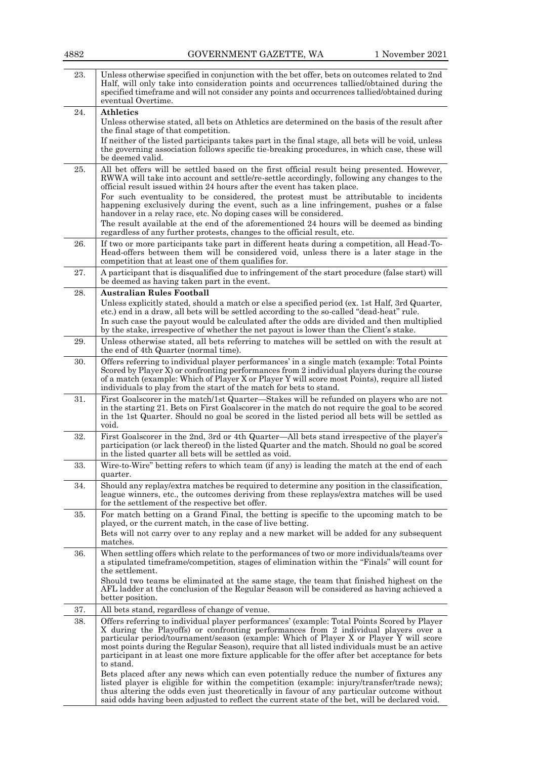| 4882 | GOVERNMENT GAZETTE, WA                                                                                                                                                                                                                                                                                                                                                                                                                                                                                                                                                                                                                                                                               | 1 November 2021 |
|------|------------------------------------------------------------------------------------------------------------------------------------------------------------------------------------------------------------------------------------------------------------------------------------------------------------------------------------------------------------------------------------------------------------------------------------------------------------------------------------------------------------------------------------------------------------------------------------------------------------------------------------------------------------------------------------------------------|-----------------|
| 23.  | Unless otherwise specified in conjunction with the bet offer, bets on outcomes related to 2nd<br>Half, will only take into consideration points and occurrences tallied/obtained during the<br>specified time frame and will not consider any points and occurrences tallied/obtained during<br>eventual Overtime.                                                                                                                                                                                                                                                                                                                                                                                   |                 |
| 24.  | <b>Athletics</b>                                                                                                                                                                                                                                                                                                                                                                                                                                                                                                                                                                                                                                                                                     |                 |
|      | Unless otherwise stated, all bets on Athletics are determined on the basis of the result after<br>the final stage of that competition.<br>If neither of the listed participants takes part in the final stage, all bets will be void, unless<br>the governing association follows specific tie-breaking procedures, in which case, these will<br>be deemed valid.                                                                                                                                                                                                                                                                                                                                    |                 |
| 25.  | All bet offers will be settled based on the first official result being presented. However,<br>RWWA will take into account and settle/re-settle accordingly, following any changes to the<br>official result issued within 24 hours after the event has taken place.<br>For such eventuality to be considered, the protest must be attributable to incidents<br>happening exclusively during the event, such as a line infringement, pushes or a false<br>handover in a relay race, etc. No doping cases will be considered.<br>The result available at the end of the aforementioned 24 hours will be deemed as binding<br>regardless of any further protests, changes to the official result, etc. |                 |
| 26.  | If two or more participants take part in different heats during a competition, all Head-To-<br>Head-offers between them will be considered void, unless there is a later stage in the                                                                                                                                                                                                                                                                                                                                                                                                                                                                                                                |                 |
| 27.  | competition that at least one of them qualifies for.<br>A participant that is disqualified due to infringement of the start procedure (false start) will<br>be deemed as having taken part in the event.                                                                                                                                                                                                                                                                                                                                                                                                                                                                                             |                 |
| 28.  | <b>Australian Rules Football</b><br>Unless explicitly stated, should a match or else a specified period (ex. 1st Half, 3rd Quarter,<br>etc.) end in a draw, all bets will be settled according to the so-called "dead-heat" rule.<br>In such case the payout would be calculated after the odds are divided and then multiplied<br>by the stake, irrespective of whether the net payout is lower than the Client's stake.                                                                                                                                                                                                                                                                            |                 |
| 29.  | Unless otherwise stated, all bets referring to matches will be settled on with the result at<br>the end of 4th Quarter (normal time).                                                                                                                                                                                                                                                                                                                                                                                                                                                                                                                                                                |                 |
| 30.  | Offers referring to individual player performances' in a single match (example: Total Points<br>Scored by Player X) or confronting performances from 2 individual players during the course<br>of a match (example: Which of Player X or Player Y will score most Points), require all listed<br>individuals to play from the start of the match for bets to stand.                                                                                                                                                                                                                                                                                                                                  |                 |
| 31.  | First Goalscorer in the match/1st Quarter—Stakes will be refunded on players who are not<br>in the starting 21. Bets on First Goalscorer in the match do not require the goal to be scored<br>in the 1st Quarter. Should no goal be scored in the listed period all bets will be settled as<br>void.                                                                                                                                                                                                                                                                                                                                                                                                 |                 |
| 32.  | First Goalscorer in the 2nd, 3rd or 4th Quarter—All bets stand irrespective of the player's<br>participation (or lack thereof) in the listed Quarter and the match. Should no goal be scored<br>in the listed quarter all bets will be settled as void.                                                                                                                                                                                                                                                                                                                                                                                                                                              |                 |
| 33.  | Wire-to-Wire" betting refers to which team (if any) is leading the match at the end of each<br>quarter.                                                                                                                                                                                                                                                                                                                                                                                                                                                                                                                                                                                              |                 |
| 34.  | Should any replay/extra matches be required to determine any position in the classification,<br>league winners, etc., the outcomes deriving from these replays/extra matches will be used<br>for the settlement of the respective bet offer.                                                                                                                                                                                                                                                                                                                                                                                                                                                         |                 |
| 35.  | For match betting on a Grand Final, the betting is specific to the upcoming match to be<br>played, or the current match, in the case of live betting.<br>Bets will not carry over to any replay and a new market will be added for any subsequent<br>matches.                                                                                                                                                                                                                                                                                                                                                                                                                                        |                 |
| 36.  | When settling offers which relate to the performances of two or more individuals/teams over<br>a stipulated time frame/competition, stages of elimination within the "Finals" will count for<br>the settlement.<br>Should two teams be eliminated at the same stage, the team that finished highest on the<br>AFL ladder at the conclusion of the Regular Season will be considered as having achieved a<br>better position.                                                                                                                                                                                                                                                                         |                 |
| 37.  | All bets stand, regardless of change of venue.                                                                                                                                                                                                                                                                                                                                                                                                                                                                                                                                                                                                                                                       |                 |
| 38.  | Offers referring to individual player performances' (example: Total Points Scored by Player<br>X during the Playoffs) or confronting performances from 2 individual players over a<br>particular period/tournament/season (example: Which of Player X or Player Y will score<br>most points during the Regular Season), require that all listed individuals must be an active<br>participant in at least one more fixture applicable for the offer after bet acceptance for bets<br>to stand.                                                                                                                                                                                                        |                 |
|      | Bets placed after any news which can even potentially reduce the number of fixtures any<br>listed player is eligible for within the competition (example: injury/transfer/trade news);<br>thus altering the odds even just theoretically in favour of any particular outcome without<br>said odds having been adjusted to reflect the current state of the bet, will be declared void.                                                                                                                                                                                                                                                                                                               |                 |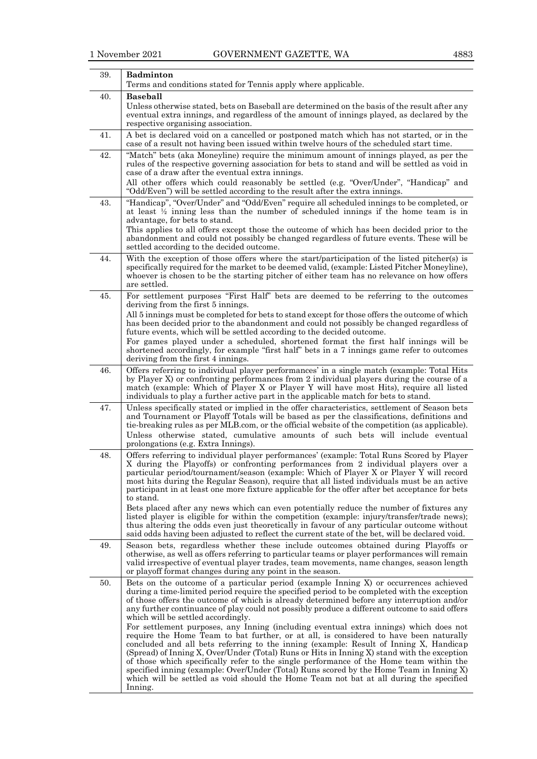|--|

| <b>Badminton</b>                                                                                                                                                                                                                                                                                                                                                                                                                                                                                                                                                                                                                                                                                                                                                                                                                                                                                                                                                                                                                                                                               |
|------------------------------------------------------------------------------------------------------------------------------------------------------------------------------------------------------------------------------------------------------------------------------------------------------------------------------------------------------------------------------------------------------------------------------------------------------------------------------------------------------------------------------------------------------------------------------------------------------------------------------------------------------------------------------------------------------------------------------------------------------------------------------------------------------------------------------------------------------------------------------------------------------------------------------------------------------------------------------------------------------------------------------------------------------------------------------------------------|
| Terms and conditions stated for Tennis apply where applicable.                                                                                                                                                                                                                                                                                                                                                                                                                                                                                                                                                                                                                                                                                                                                                                                                                                                                                                                                                                                                                                 |
| <b>Baseball</b><br>Unless otherwise stated, bets on Baseball are determined on the basis of the result after any<br>eventual extra innings, and regardless of the amount of innings played, as declared by the<br>respective organising association.                                                                                                                                                                                                                                                                                                                                                                                                                                                                                                                                                                                                                                                                                                                                                                                                                                           |
| A bet is declared void on a cancelled or postponed match which has not started, or in the<br>case of a result not having been issued within twelve hours of the scheduled start time.                                                                                                                                                                                                                                                                                                                                                                                                                                                                                                                                                                                                                                                                                                                                                                                                                                                                                                          |
| "Match" bets (aka Moneyline) require the minimum amount of innings played, as per the<br>rules of the respective governing association for bets to stand and will be settled as void in<br>case of a draw after the eventual extra innings.<br>All other offers which could reasonably be settled (e.g. "Over/Under", "Handicap" and<br>"Odd/Even") will be settled according to the result after the extra innings.                                                                                                                                                                                                                                                                                                                                                                                                                                                                                                                                                                                                                                                                           |
| "Handicap", "Over/Under" and "Odd/Even" require all scheduled innings to be completed, or<br>at least $\frac{1}{2}$ inning less than the number of scheduled innings if the home team is in<br>advantage, for bets to stand.<br>This applies to all offers except those the outcome of which has been decided prior to the<br>abandonment and could not possibly be changed regardless of future events. These will be<br>settled according to the decided outcome.                                                                                                                                                                                                                                                                                                                                                                                                                                                                                                                                                                                                                            |
| With the exception of those offers where the start/participation of the listed pitcher(s) is<br>specifically required for the market to be deemed valid, (example: Listed Pitcher Moneyline),<br>whoever is chosen to be the starting pitcher of either team has no relevance on how offers<br>are settled.                                                                                                                                                                                                                                                                                                                                                                                                                                                                                                                                                                                                                                                                                                                                                                                    |
| For settlement purposes "First Half" bets are deemed to be referring to the outcomes<br>deriving from the first 5 innings.<br>All 5 innings must be completed for bets to stand except for those offers the outcome of which<br>has been decided prior to the abandonment and could not possibly be changed regardless of<br>future events, which will be settled according to the decided outcome.<br>For games played under a scheduled, shortened format the first half innings will be<br>shortened accordingly, for example "first half" bets in a 7 innings game refer to outcomes                                                                                                                                                                                                                                                                                                                                                                                                                                                                                                       |
| deriving from the first 4 innings.<br>Offers referring to individual player performances' in a single match (example: Total Hits<br>by Player X) or confronting performances from 2 individual players during the course of a<br>match (example: Which of Player X or Player Y will have most Hits), require all listed<br>individuals to play a further active part in the applicable match for bets to stand.                                                                                                                                                                                                                                                                                                                                                                                                                                                                                                                                                                                                                                                                                |
| Unless specifically stated or implied in the offer characteristics, settlement of Season bets<br>and Tournament or Playoff Totals will be based as per the classifications, definitions and<br>tie-breaking rules as per MLB.com, or the official website of the competition (as applicable).<br>Unless otherwise stated, cumulative amounts of such bets will include eventual<br>prolongations (e.g. Extra Innings).                                                                                                                                                                                                                                                                                                                                                                                                                                                                                                                                                                                                                                                                         |
| Offers referring to individual player performances' (example: Total Runs Scored by Player<br>X during the Playoffs) or confronting performances from 2 individual players over a<br>particular period/tournament/season (example: Which of Player X or Player Y will record<br>most hits during the Regular Season), require that all listed individuals must be an active<br>participant in at least one more fixture applicable for the offer after bet acceptance for bets<br>to stand.<br>Bets placed after any news which can even potentially reduce the number of fixtures any<br>listed player is eligible for within the competition (example: injury/transfer/trade news);<br>thus altering the odds even just theoretically in favour of any particular outcome without<br>said odds having been adjusted to reflect the current state of the bet, will be declared void.                                                                                                                                                                                                           |
| Season bets, regardless whether these include outcomes obtained during Playoffs or<br>otherwise, as well as offers referring to particular teams or player performances will remain<br>valid irrespective of eventual player trades, team movements, name changes, season length<br>or playoff format changes during any point in the season.                                                                                                                                                                                                                                                                                                                                                                                                                                                                                                                                                                                                                                                                                                                                                  |
| Bets on the outcome of a particular period (example Inning X) or occurrences achieved<br>during a time-limited period require the specified period to be completed with the exception<br>of those offers the outcome of which is already determined before any interruption and/or<br>any further continuance of play could not possibly produce a different outcome to said offers<br>which will be settled accordingly.<br>For settlement purposes, any Inning (including eventual extra innings) which does not<br>require the Home Team to bat further, or at all, is considered to have been naturally<br>concluded and all bets referring to the inning (example: Result of Inning X, Handicap<br>(Spread) of Inning X, Over/Under (Total) Runs or Hits in Inning X) stand with the exception<br>of those which specifically refer to the single performance of the Home team within the<br>specified inning (example: Over/Under (Total) Runs scored by the Home Team in Inning X)<br>which will be settled as void should the Home Team not bat at all during the specified<br>Inning. |
|                                                                                                                                                                                                                                                                                                                                                                                                                                                                                                                                                                                                                                                                                                                                                                                                                                                                                                                                                                                                                                                                                                |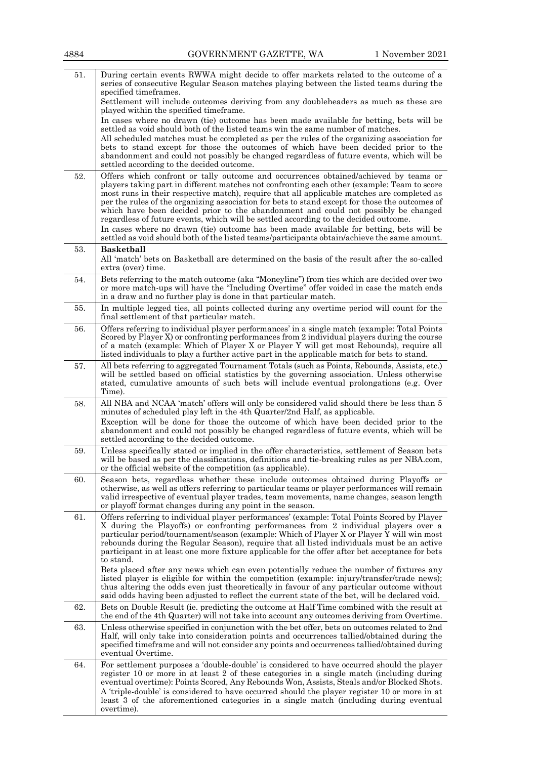| 51. | During certain events RWWA might decide to offer markets related to the outcome of a<br>series of consecutive Regular Season matches playing between the listed teams during the<br>specified timeframes.                                                                                                                                                                                                                                                                                                                                                                                                                                                                                                                                                    |
|-----|--------------------------------------------------------------------------------------------------------------------------------------------------------------------------------------------------------------------------------------------------------------------------------------------------------------------------------------------------------------------------------------------------------------------------------------------------------------------------------------------------------------------------------------------------------------------------------------------------------------------------------------------------------------------------------------------------------------------------------------------------------------|
|     | Settlement will include outcomes deriving from any doubleheaders as much as these are<br>played within the specified timeframe.                                                                                                                                                                                                                                                                                                                                                                                                                                                                                                                                                                                                                              |
|     | In cases where no drawn (tie) outcome has been made available for betting, bets will be<br>settled as void should both of the listed teams win the same number of matches.                                                                                                                                                                                                                                                                                                                                                                                                                                                                                                                                                                                   |
|     | All scheduled matches must be completed as per the rules of the organizing association for<br>bets to stand except for those the outcomes of which have been decided prior to the<br>abandonment and could not possibly be changed regardless of future events, which will be                                                                                                                                                                                                                                                                                                                                                                                                                                                                                |
|     | settled according to the decided outcome.                                                                                                                                                                                                                                                                                                                                                                                                                                                                                                                                                                                                                                                                                                                    |
| 52. | Offers which confront or tally outcome and occurrences obtained/achieved by teams or<br>players taking part in different matches not confronting each other (example: Team to score<br>most runs in their respective match), require that all applicable matches are completed as<br>per the rules of the organizing association for bets to stand except for those the outcomes of<br>which have been decided prior to the abandonment and could not possibly be changed<br>regardless of future events, which will be settled according to the decided outcome.<br>In cases where no drawn (tie) outcome has been made available for betting, bets will be<br>settled as void should both of the listed teams/participants obtain/achieve the same amount. |
| 53. | <b>Basketball</b><br>All 'match' bets on Basketball are determined on the basis of the result after the so-called                                                                                                                                                                                                                                                                                                                                                                                                                                                                                                                                                                                                                                            |
|     | extra (over) time.                                                                                                                                                                                                                                                                                                                                                                                                                                                                                                                                                                                                                                                                                                                                           |
| 54. | Bets referring to the match outcome (aka "Moneyline") from ties which are decided over two<br>or more match-ups will have the "Including Overtime" offer voided in case the match ends<br>in a draw and no further play is done in that particular match.                                                                                                                                                                                                                                                                                                                                                                                                                                                                                                    |
| 55. | In multiple legged ties, all points collected during any overtime period will count for the<br>final settlement of that particular match.                                                                                                                                                                                                                                                                                                                                                                                                                                                                                                                                                                                                                    |
| 56. | Offers referring to individual player performances' in a single match (example: Total Points<br>Scored by Player X) or confronting performances from 2 individual players during the course<br>of a match (example: Which of Player X or Player Y will get most Rebounds), require all<br>listed individuals to play a further active part in the applicable match for bets to stand.                                                                                                                                                                                                                                                                                                                                                                        |
| 57. | All bets referring to aggregated Tournament Totals (such as Points, Rebounds, Assists, etc.)<br>will be settled based on official statistics by the governing association. Unless otherwise<br>stated, cumulative amounts of such bets will include eventual prolongations (e.g. Over<br>Time).                                                                                                                                                                                                                                                                                                                                                                                                                                                              |
| 58. | All NBA and NCAA 'match' offers will only be considered valid should there be less than 5<br>minutes of scheduled play left in the 4th Quarter/2nd Half, as applicable.                                                                                                                                                                                                                                                                                                                                                                                                                                                                                                                                                                                      |
|     | Exception will be done for those the outcome of which have been decided prior to the<br>abandonment and could not possibly be changed regardless of future events, which will be<br>settled according to the decided outcome.                                                                                                                                                                                                                                                                                                                                                                                                                                                                                                                                |
| 59. | Unless specifically stated or implied in the offer characteristics, settlement of Season bets<br>will be based as per the classifications, definitions and tie-breaking rules as per NBA.com,<br>or the official website of the competition (as applicable).                                                                                                                                                                                                                                                                                                                                                                                                                                                                                                 |
| 60. | Season bets, regardless whether these include outcomes obtained during Playoffs or<br>otherwise, as well as offers referring to particular teams or player performances will remain<br>valid irrespective of eventual player trades, team movements, name changes, season length<br>or playoff format changes during any point in the season.                                                                                                                                                                                                                                                                                                                                                                                                                |
| 61. | Offers referring to individual player performances' (example: Total Points Scored by Player<br>X during the Playoffs) or confronting performances from 2 individual players over a<br>particular period/tournament/season (example: Which of Player X or Player Y will win most<br>rebounds during the Regular Season), require that all listed individuals must be an active<br>participant in at least one more fixture applicable for the offer after bet acceptance for bets<br>to stand.                                                                                                                                                                                                                                                                |
|     | Bets placed after any news which can even potentially reduce the number of fixtures any<br>listed player is eligible for within the competition (example: injury/transfer/trade news);<br>thus altering the odds even just theoretically in favour of any particular outcome without<br>said odds having been adjusted to reflect the current state of the bet, will be declared void.                                                                                                                                                                                                                                                                                                                                                                       |
| 62. | Bets on Double Result (ie. predicting the outcome at Half Time combined with the result at<br>the end of the 4th Quarter) will not take into account any outcomes deriving from Overtime.                                                                                                                                                                                                                                                                                                                                                                                                                                                                                                                                                                    |
| 63. | Unless otherwise specified in conjunction with the bet offer, bets on outcomes related to 2nd<br>Half, will only take into consideration points and occurrences tallied/obtained during the<br>specified timeframe and will not consider any points and occurrences tallied/obtained during<br>eventual Overtime.                                                                                                                                                                                                                                                                                                                                                                                                                                            |
| 64. | For settlement purposes a 'double-double' is considered to have occurred should the player<br>register 10 or more in at least 2 of these categories in a single match (including during<br>eventual overtime): Points Scored, Any Rebounds Won, Assists, Steals and/or Blocked Shots.<br>A 'triple-double' is considered to have occurred should the player register 10 or more in at<br>least 3 of the aforementioned categories in a single match (including during eventual<br>overtime).                                                                                                                                                                                                                                                                 |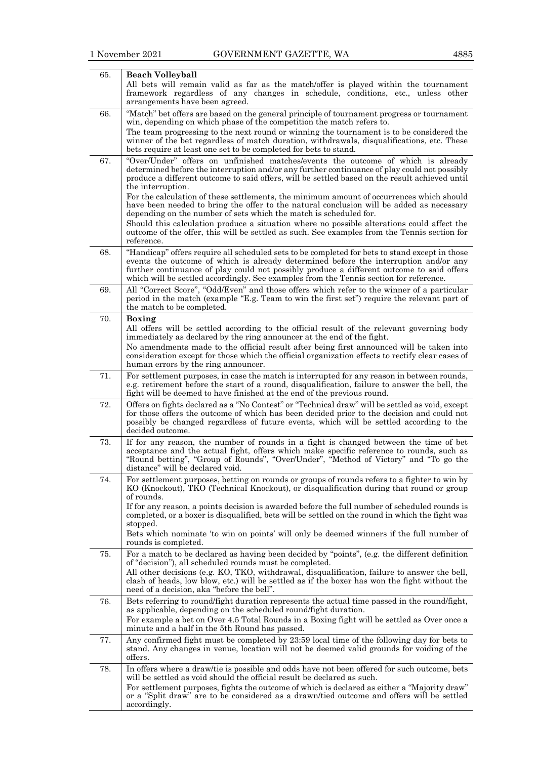| 65. | <b>Beach Volleyball</b>                                                                                                                                                                                                                                                                                                                                                       |
|-----|-------------------------------------------------------------------------------------------------------------------------------------------------------------------------------------------------------------------------------------------------------------------------------------------------------------------------------------------------------------------------------|
|     | All bets will remain valid as far as the match/offer is played within the tournament<br>framework regardless of any changes in schedule, conditions, etc., unless other                                                                                                                                                                                                       |
|     | arrangements have been agreed.                                                                                                                                                                                                                                                                                                                                                |
| 66. | "Match" bet offers are based on the general principle of tournament progress or tournament<br>win, depending on which phase of the competition the match refers to.                                                                                                                                                                                                           |
|     | The team progressing to the next round or winning the tournament is to be considered the<br>winner of the bet regardless of match duration, withdrawals, disqualifications, etc. These<br>bets require at least one set to be completed for bets to stand.                                                                                                                    |
| 67. | "Over/Under" offers on unfinished matches/events the outcome of which is already                                                                                                                                                                                                                                                                                              |
|     | determined before the interruption and/or any further continuance of play could not possibly<br>produce a different outcome to said offers, will be settled based on the result achieved until<br>the interruption.                                                                                                                                                           |
|     | For the calculation of these settlements, the minimum amount of occurrences which should<br>have been needed to bring the offer to the natural conclusion will be added as necessary<br>depending on the number of sets which the match is scheduled for.                                                                                                                     |
|     | Should this calculation produce a situation where no possible alterations could affect the<br>outcome of the offer, this will be settled as such. See examples from the Tennis section for<br>reference.                                                                                                                                                                      |
| 68. | "Handicap" offers require all scheduled sets to be completed for bets to stand except in those<br>events the outcome of which is already determined before the interruption and/or any<br>further continuance of play could not possibly produce a different outcome to said offers<br>which will be settled accordingly. See examples from the Tennis section for reference. |
| 69. | All "Correct Score", "Odd/Even" and those offers which refer to the winner of a particular<br>period in the match (example "E.g. Team to win the first set") require the relevant part of<br>the match to be completed.                                                                                                                                                       |
| 70. | Boxing                                                                                                                                                                                                                                                                                                                                                                        |
|     | All offers will be settled according to the official result of the relevant governing body<br>immediately as declared by the ring announcer at the end of the fight.<br>No amendments made to the official result after being first announced will be taken into                                                                                                              |
|     | consideration except for those which the official organization effects to rectify clear cases of<br>human errors by the ring announcer.                                                                                                                                                                                                                                       |
| 71. | For settlement purposes, in case the match is interrupted for any reason in between rounds,<br>e.g. retirement before the start of a round, disqualification, failure to answer the bell, the<br>fight will be deemed to have finished at the end of the previous round.                                                                                                      |
| 72. | Offers on fights declared as a "No Contest" or "Technical draw" will be settled as void, except<br>for those offers the outcome of which has been decided prior to the decision and could not<br>possibly be changed regardless of future events, which will be settled according to the<br>decided outcome.                                                                  |
| 73. | If for any reason, the number of rounds in a fight is changed between the time of bet<br>acceptance and the actual fight, offers which make specific reference to rounds, such as<br>"Round betting", "Group of Rounds", "Over/Under", "Method of Victory" and "To go the<br>distance" will be declared void.                                                                 |
| 74. | For settlement purposes, betting on rounds or groups of rounds refers to a fighter to win by<br>KO (Knockout), TKO (Technical Knockout), or disqualification during that round or group<br>of rounds.                                                                                                                                                                         |
|     | If for any reason, a points decision is awarded before the full number of scheduled rounds is<br>completed, or a boxer is disqualified, bets will be settled on the round in which the fight was<br>stopped.                                                                                                                                                                  |
|     | Bets which nominate 'to win on points' will only be deemed winners if the full number of<br>rounds is completed.                                                                                                                                                                                                                                                              |
| 75. | For a match to be declared as having been decided by "points", (e.g. the different definition<br>of "decision"), all scheduled rounds must be completed.                                                                                                                                                                                                                      |
|     | All other decisions (e.g. KO, TKO, withdrawal, disqualification, failure to answer the bell,<br>clash of heads, low blow, etc.) will be settled as if the boxer has won the fight without the<br>need of a decision, aka "before the bell".                                                                                                                                   |
| 76. | Bets referring to round/fight duration represents the actual time passed in the round/fight,<br>as applicable, depending on the scheduled round/fight duration.                                                                                                                                                                                                               |
|     | For example a bet on Over 4.5 Total Rounds in a Boxing fight will be settled as Over once a<br>minute and a half in the 5th Round has passed.                                                                                                                                                                                                                                 |
| 77. | Any confirmed fight must be completed by 23:59 local time of the following day for bets to<br>stand. Any changes in venue, location will not be deemed valid grounds for voiding of the<br>offers.                                                                                                                                                                            |
| 78. | In offers where a draw/tie is possible and odds have not been offered for such outcome, bets<br>will be settled as void should the official result be declared as such.                                                                                                                                                                                                       |
|     | For settlement purposes, fights the outcome of which is declared as either a "Majority draw"<br>or a "Split draw" are to be considered as a drawn/tied outcome and offers will be settled<br>accordingly.                                                                                                                                                                     |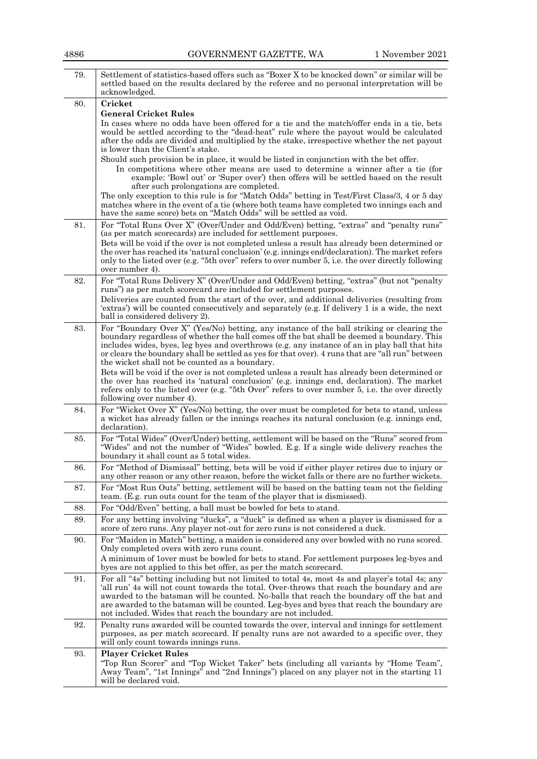| 79. | Settlement of statistics-based offers such as "Boxer X to be knocked down" or similar will be<br>settled based on the results declared by the referee and no personal interpretation will be<br>acknowledged.                                                                                                                                                                                                                                                                                                                                                                                                                                                                                                                                                                |
|-----|------------------------------------------------------------------------------------------------------------------------------------------------------------------------------------------------------------------------------------------------------------------------------------------------------------------------------------------------------------------------------------------------------------------------------------------------------------------------------------------------------------------------------------------------------------------------------------------------------------------------------------------------------------------------------------------------------------------------------------------------------------------------------|
| 80. | Cricket                                                                                                                                                                                                                                                                                                                                                                                                                                                                                                                                                                                                                                                                                                                                                                      |
|     | <b>General Cricket Rules</b><br>In cases where no odds have been offered for a tie and the match/offer ends in a tie, bets<br>would be settled according to the "dead-heat" rule where the payout would be calculated<br>after the odds are divided and multiplied by the stake, irrespective whether the net payout                                                                                                                                                                                                                                                                                                                                                                                                                                                         |
|     | is lower than the Client's stake.<br>Should such provision be in place, it would be listed in conjunction with the bet offer.<br>In competitions where other means are used to determine a winner after a tie (for<br>example: 'Bowl out' or 'Super over') then offers will be settled based on the result                                                                                                                                                                                                                                                                                                                                                                                                                                                                   |
|     | after such prolongations are completed.<br>The only exception to this rule is for "Match Odds" betting in Test/First Class/3, 4 or 5 day<br>matches where in the event of a tie (where both teams have completed two innings each and<br>have the same score) bets on "Match Odds" will be settled as void.                                                                                                                                                                                                                                                                                                                                                                                                                                                                  |
| 81. | For "Total Runs Over X" (Over/Under and Odd/Even) betting, "extras" and "penalty runs"<br>(as per match scorecards) are included for settlement purposes.<br>Bets will be void if the over is not completed unless a result has already been determined or<br>the over has reached its 'natural conclusion' (e.g. innings end/declaration). The market refers<br>only to the listed over (e.g. "5th over" refers to over number 5, i.e. the over directly following<br>over number 4).                                                                                                                                                                                                                                                                                       |
| 82. | For "Total Runs Delivery X" (Over/Under and Odd/Even) betting, "extras" (but not "penalty<br>runs") as per match scorecard are included for settlement purposes.<br>Deliveries are counted from the start of the over, and additional deliveries (resulting from<br>'extras') will be counted consecutively and separately (e.g. If delivery 1 is a wide, the next<br>ball is considered delivery 2).                                                                                                                                                                                                                                                                                                                                                                        |
| 83. | For "Boundary Over X" (Yes/No) betting, any instance of the ball striking or clearing the<br>boundary regardless of whether the ball comes off the bat shall be deemed a boundary. This<br>includes wides, byes, leg byes and overthrows (e.g. any instance of an in play ball that hits<br>or clears the boundary shall be settled as yes for that over). 4 runs that are "all run" between<br>the wicket shall not be counted as a boundary.<br>Bets will be void if the over is not completed unless a result has already been determined or<br>the over has reached its 'natural conclusion' (e.g. innings end, declaration). The market<br>refers only to the listed over (e.g. "5th Over" refers to over number 5, i.e. the over directly<br>following over number 4). |
| 84. | For "Wicket Over X" (Yes/No) betting, the over must be completed for bets to stand, unless<br>a wicket has already fallen or the innings reaches its natural conclusion (e.g. innings end,<br>declaration).                                                                                                                                                                                                                                                                                                                                                                                                                                                                                                                                                                  |
| 85. | For "Total Wides" (Over/Under) betting, settlement will be based on the "Runs" scored from<br>"Wides" and not the number of "Wides" bowled. E.g. If a single wide delivery reaches the<br>boundary it shall count as 5 total wides.                                                                                                                                                                                                                                                                                                                                                                                                                                                                                                                                          |
| 86. | For "Method of Dismissal" betting, bets will be void if either player retires due to injury or<br>any other reason or any other reason, before the wicket falls or there are no further wickets.                                                                                                                                                                                                                                                                                                                                                                                                                                                                                                                                                                             |
| 87. | For "Most Run Outs" betting, settlement will be based on the batting team not the fielding<br>team. (E.g. run outs count for the team of the player that is dismissed).                                                                                                                                                                                                                                                                                                                                                                                                                                                                                                                                                                                                      |
| 88. | For "Odd/Even" betting, a ball must be bowled for bets to stand.                                                                                                                                                                                                                                                                                                                                                                                                                                                                                                                                                                                                                                                                                                             |
| 89. | For any betting involving "ducks", a "duck" is defined as when a player is dismissed for a<br>score of zero runs. Any player not-out for zero runs is not considered a duck.                                                                                                                                                                                                                                                                                                                                                                                                                                                                                                                                                                                                 |
| 90. | For "Maiden in Match" betting, a maiden is considered any over bowled with no runs scored.<br>Only completed overs with zero runs count.<br>A minimum of lover must be bowled for bets to stand. For settlement purposes leg-byes and<br>byes are not applied to this bet offer, as per the match scorecard.                                                                                                                                                                                                                                                                                                                                                                                                                                                                 |
| 91. | For all "4s" betting including but not limited to total 4s, most 4s and player's total 4s; any<br>'all run' 4s will not count towards the total. Over-throws that reach the boundary and are<br>awarded to the batsman will be counted. No-balls that reach the boundary off the bat and<br>are awarded to the batsman will be counted. Leg-byes and byes that reach the boundary are<br>not included. Wides that reach the boundary are not included.                                                                                                                                                                                                                                                                                                                       |
| 92. | Penalty runs awarded will be counted towards the over, interval and innings for settlement<br>purposes, as per match scorecard. If penalty runs are not awarded to a specific over, they<br>will only count towards innings runs.                                                                                                                                                                                                                                                                                                                                                                                                                                                                                                                                            |
| 93. | <b>Player Cricket Rules</b><br>"Top Run Scorer" and "Top Wicket Taker" bets (including all variants by "Home Team",<br>Away Team", "1st Innings" and "2nd Innings") placed on any player not in the starting 11<br>will be declared void.                                                                                                                                                                                                                                                                                                                                                                                                                                                                                                                                    |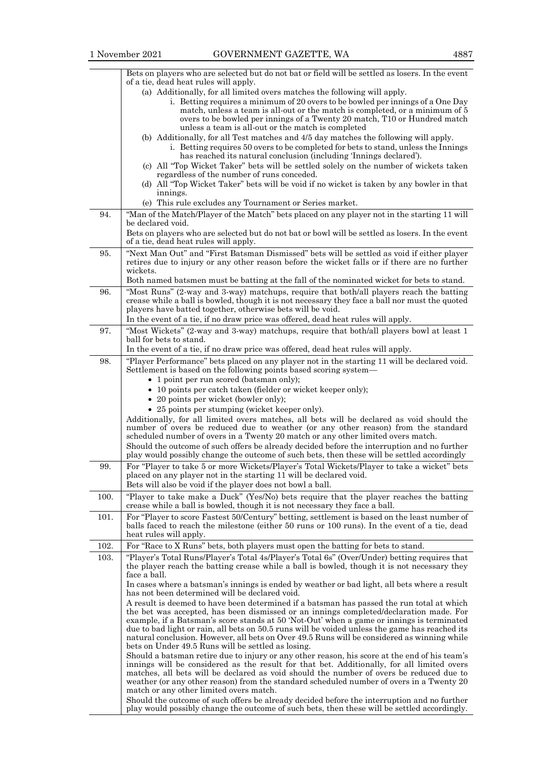|      | Bets on players who are selected but do not bat or field will be settled as losers. In the event                                                                                                                                                                                                   |
|------|----------------------------------------------------------------------------------------------------------------------------------------------------------------------------------------------------------------------------------------------------------------------------------------------------|
|      | of a tie, dead heat rules will apply.<br>(a) Additionally, for all limited overs matches the following will apply.                                                                                                                                                                                 |
|      | i. Betting requires a minimum of 20 overs to be bowled per innings of a One Day<br>match, unless a team is all-out or the match is completed, or a minimum of 5<br>overs to be bowled per innings of a Twenty 20 match, T10 or Hundred match<br>unless a team is all-out or the match is completed |
|      | (b) Additionally, for all Test matches and 4/5 day matches the following will apply.                                                                                                                                                                                                               |
|      | i. Betting requires 50 overs to be completed for bets to stand, unless the Innings<br>has reached its natural conclusion (including 'Innings declared').                                                                                                                                           |
|      | (c) All "Top Wicket Taker" bets will be settled solely on the number of wickets taken<br>regardless of the number of runs conceded.                                                                                                                                                                |
|      | (d) All "Top Wicket Taker" bets will be void if no wicket is taken by any bowler in that<br>innings.                                                                                                                                                                                               |
| 94.  | (e) This rule excludes any Tournament or Series market.<br>"Man of the Match/Player of the Match" bets placed on any player not in the starting 11 will                                                                                                                                            |
|      | be declared void.                                                                                                                                                                                                                                                                                  |
|      | Bets on players who are selected but do not bat or bowl will be settled as losers. In the event<br>of a tie, dead heat rules will apply.                                                                                                                                                           |
| 95.  | "Next Man Out" and "First Batsman Dismissed" bets will be settled as void if either player<br>retires due to injury or any other reason before the wicket falls or if there are no further<br>wickets.                                                                                             |
|      | Both named batsmen must be batting at the fall of the nominated wicket for bets to stand.                                                                                                                                                                                                          |
| 96.  | "Most Runs" (2-way and 3-way) matchups, require that both/all players reach the batting<br>crease while a ball is bowled, though it is not necessary they face a ball nor must the quoted<br>players have batted together, otherwise bets will be void.                                            |
|      | In the event of a tie, if no draw price was offered, dead heat rules will apply.                                                                                                                                                                                                                   |
| 97.  | "Most Wickets" (2-way and 3-way) matchups, require that both/all players bowl at least 1<br>ball for bets to stand.                                                                                                                                                                                |
|      | In the event of a tie, if no draw price was offered, dead heat rules will apply.                                                                                                                                                                                                                   |
| 98.  | "Player Performance" bets placed on any player not in the starting 11 will be declared void.<br>Settlement is based on the following points based scoring system—                                                                                                                                  |
|      | • 1 point per run scored (batsman only);                                                                                                                                                                                                                                                           |
|      | • 10 points per catch taken (fielder or wicket keeper only);<br>• 20 points per wicket (bowler only);                                                                                                                                                                                              |
|      | • 25 points per stumping (wicket keeper only).                                                                                                                                                                                                                                                     |
|      | Additionally, for all limited overs matches, all bets will be declared as void should the<br>number of overs be reduced due to weather (or any other reason) from the standard                                                                                                                     |
|      | scheduled number of overs in a Twenty 20 match or any other limited overs match.<br>Should the outcome of such offers be already decided before the interruption and no further                                                                                                                    |
|      | play would possibly change the outcome of such bets, then these will be settled accordingly                                                                                                                                                                                                        |
| 99.  | For "Player to take 5 or more Wickets/Player's Total Wickets/Player to take a wicket" bets<br>placed on any player not in the starting 11 will be declared void.<br>Bets will also be void if the player does not bowl a ball.                                                                     |
| 100. | "Player to take make a Duck" (Yes/No) bets require that the player reaches the batting<br>crease while a ball is bowled, though it is not necessary they face a ball.                                                                                                                              |
| 101. | For "Player to score Fastest 50/Century" betting, settlement is based on the least number of<br>balls faced to reach the milestone (either 50 runs or 100 runs). In the event of a tie, dead<br>heat rules will apply.                                                                             |
| 102. | For "Race to X Runs" bets, both players must open the batting for bets to stand.                                                                                                                                                                                                                   |
| 103. | "Player's Total Runs/Player's Total 4s/Player's Total 6s" (Over/Under) betting requires that<br>the player reach the batting crease while a ball is bowled, though it is not necessary they<br>face a ball.                                                                                        |
|      | In cases where a batsman's innings is ended by weather or bad light, all bets where a result<br>has not been determined will be declared void.                                                                                                                                                     |
|      | A result is deemed to have been determined if a batsman has passed the run total at which                                                                                                                                                                                                          |
|      | the bet was accepted, has been dismissed or an innings completed/declaration made. For<br>example, if a Batsman's score stands at 50 'Not-Out' when a game or innings is terminated                                                                                                                |
|      | due to bad light or rain, all bets on 50.5 runs will be voided unless the game has reached its<br>natural conclusion. However, all bets on Over 49.5 Runs will be considered as winning while<br>bets on Under 49.5 Runs will be settled as losing.                                                |
|      | Should a batsman retire due to injury or any other reason, his score at the end of his team's                                                                                                                                                                                                      |
|      | innings will be considered as the result for that bet. Additionally, for all limited overs<br>matches, all bets will be declared as void should the number of overs be reduced due to<br>weather (or any other reason) from the standard scheduled number of overs in a Twenty 20                  |
|      | match or any other limited overs match.                                                                                                                                                                                                                                                            |
|      | Should the outcome of such offers be already decided before the interruption and no further<br>play would possibly change the outcome of such bets, then these will be settled accordingly.                                                                                                        |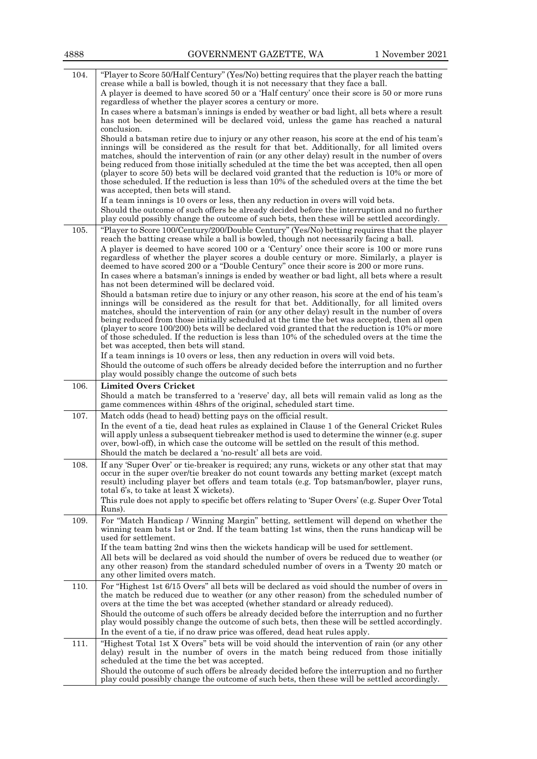| 4888 | GOVERNMENT GAZETTE, WA | 1 November 2021 |
|------|------------------------|-----------------|
|      |                        |                 |

| 104. | "Player to Score 50/Half Century" (Yes/No) betting requires that the player reach the batting<br>crease while a ball is bowled, though it is not necessary that they face a ball.                                                                                                                                                                                                                                                                                                                                                                                                                                                             |
|------|-----------------------------------------------------------------------------------------------------------------------------------------------------------------------------------------------------------------------------------------------------------------------------------------------------------------------------------------------------------------------------------------------------------------------------------------------------------------------------------------------------------------------------------------------------------------------------------------------------------------------------------------------|
|      | A player is deemed to have scored 50 or a 'Half century' once their score is 50 or more runs<br>regardless of whether the player scores a century or more.                                                                                                                                                                                                                                                                                                                                                                                                                                                                                    |
|      | In cases where a batsman's innings is ended by weather or bad light, all bets where a result<br>has not been determined will be declared void, unless the game has reached a natural<br>conclusion.                                                                                                                                                                                                                                                                                                                                                                                                                                           |
|      | Should a batsman retire due to injury or any other reason, his score at the end of his team's                                                                                                                                                                                                                                                                                                                                                                                                                                                                                                                                                 |
|      | innings will be considered as the result for that bet. Additionally, for all limited overs<br>matches, should the intervention of rain (or any other delay) result in the number of overs<br>being reduced from those initially scheduled at the time the bet was accepted, then all open<br>(player to score 50) bets will be declared void granted that the reduction is 10% or more of<br>those scheduled. If the reduction is less than 10% of the scheduled overs at the time the bet<br>was accepted, then bets will stand.                                                                                                             |
|      | If a team innings is 10 overs or less, then any reduction in overs will void bets.                                                                                                                                                                                                                                                                                                                                                                                                                                                                                                                                                            |
|      | Should the outcome of such offers be already decided before the interruption and no further<br>play could possibly change the outcome of such bets, then these will be settled accordingly.                                                                                                                                                                                                                                                                                                                                                                                                                                                   |
| 105. | "Player to Score 100/Century/200/Double Century" (Yes/No) betting requires that the player<br>reach the batting crease while a ball is bowled, though not necessarily facing a ball.                                                                                                                                                                                                                                                                                                                                                                                                                                                          |
|      | A player is deemed to have scored 100 or a 'Century' once their score is 100 or more runs<br>regardless of whether the player scores a double century or more. Similarly, a player is<br>deemed to have scored 200 or a "Double Century" once their score is 200 or more runs.                                                                                                                                                                                                                                                                                                                                                                |
|      | In cases where a batsman's innings is ended by weather or bad light, all bets where a result<br>has not been determined will be declared void.                                                                                                                                                                                                                                                                                                                                                                                                                                                                                                |
|      | Should a batsman retire due to injury or any other reason, his score at the end of his team's<br>innings will be considered as the result for that bet. Additionally, for all limited overs<br>matches, should the intervention of rain (or any other delay) result in the number of overs<br>being reduced from those initially scheduled at the time the bet was accepted, then all open<br>(player to score $100/200$ ) bets will be declared void granted that the reduction is $10\%$ or more<br>of those scheduled. If the reduction is less than 10% of the scheduled overs at the time the<br>bet was accepted, then bets will stand. |
|      | If a team innings is 10 overs or less, then any reduction in overs will void bets.                                                                                                                                                                                                                                                                                                                                                                                                                                                                                                                                                            |
|      | Should the outcome of such offers be already decided before the interruption and no further<br>play would possibly change the outcome of such bets                                                                                                                                                                                                                                                                                                                                                                                                                                                                                            |
|      |                                                                                                                                                                                                                                                                                                                                                                                                                                                                                                                                                                                                                                               |
| 106. | <b>Limited Overs Cricket</b>                                                                                                                                                                                                                                                                                                                                                                                                                                                                                                                                                                                                                  |
|      | Should a match be transferred to a 'reserve' day, all bets will remain valid as long as the<br>game commences within 48hrs of the original, scheduled start time.                                                                                                                                                                                                                                                                                                                                                                                                                                                                             |
| 107. | Match odds (head to head) betting pays on the official result.<br>In the event of a tie, dead heat rules as explained in Clause 1 of the General Cricket Rules<br>will apply unless a subsequent tiebreaker method is used to determine the winner (e.g. super<br>over, bowl-off), in which case the outcome will be settled on the result of this method.<br>Should the match be declared a 'no-result' all bets are void.                                                                                                                                                                                                                   |
| 108. | If any 'Super Over' or tie-breaker is required; any runs, wickets or any other stat that may<br>occur in the super over/tie breaker do not count towards any betting market (except match<br>result) including player bet offers and team totals (e.g. Top batsman/bowler, player runs,<br>total 6's, to take at least X wickets).<br>This rule does not apply to specific bet offers relating to 'Super Overs' (e.g. Super Over Total<br>Runs).                                                                                                                                                                                              |
| 109. | For "Match Handicap / Winning Margin" betting, settlement will depend on whether the<br>winning team bats 1st or 2nd. If the team batting 1st wins, then the runs handicap will be<br>used for settlement.                                                                                                                                                                                                                                                                                                                                                                                                                                    |
|      | If the team batting 2nd wins then the wickets handicap will be used for settlement.<br>All bets will be declared as void should the number of overs be reduced due to weather (or<br>any other reason) from the standard scheduled number of overs in a Twenty 20 match or<br>any other limited overs match.                                                                                                                                                                                                                                                                                                                                  |
| 110. | For "Highest 1st 6/15 Overs" all bets will be declared as void should the number of overs in<br>the match be reduced due to weather (or any other reason) from the scheduled number of<br>overs at the time the bet was accepted (whether standard or already reduced).<br>Should the outcome of such offers be already decided before the interruption and no further                                                                                                                                                                                                                                                                        |
|      | play would possibly change the outcome of such bets, then these will be settled accordingly.<br>In the event of a tie, if no draw price was offered, dead heat rules apply.                                                                                                                                                                                                                                                                                                                                                                                                                                                                   |
| 111. | "Highest Total 1st X Overs" bets will be void should the intervention of rain (or any other<br>delay) result in the number of overs in the match being reduced from those initially<br>scheduled at the time the bet was accepted.<br>Should the outcome of such offers be already decided before the interruption and no further                                                                                                                                                                                                                                                                                                             |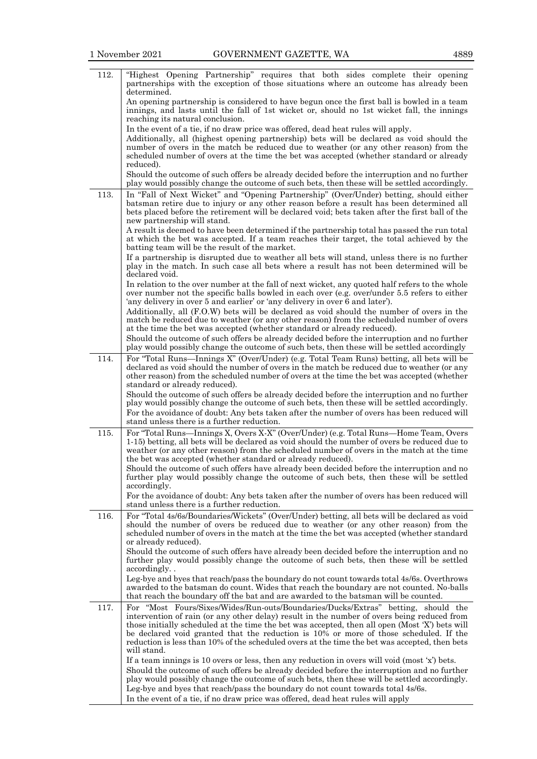| 112. | "Highest Opening Partnership" requires that both sides complete their opening<br>partnerships with the exception of those situations where an outcome has already been<br>determined.                                                                                                                                                                                                                                                                                                      |
|------|--------------------------------------------------------------------------------------------------------------------------------------------------------------------------------------------------------------------------------------------------------------------------------------------------------------------------------------------------------------------------------------------------------------------------------------------------------------------------------------------|
|      | An opening partnership is considered to have begun once the first ball is bowled in a team<br>innings, and lasts until the fall of 1st wicket or, should no 1st wicket fall, the innings<br>reaching its natural conclusion.                                                                                                                                                                                                                                                               |
|      | In the event of a tie, if no draw price was offered, dead heat rules will apply.<br>Additionally, all (highest opening partnership) bets will be declared as void should the<br>number of overs in the match be reduced due to weather (or any other reason) from the<br>scheduled number of overs at the time the bet was accepted (whether standard or already                                                                                                                           |
|      | reduced).<br>Should the outcome of such offers be already decided before the interruption and no further<br>play would possibly change the outcome of such bets, then these will be settled accordingly.                                                                                                                                                                                                                                                                                   |
| 113. | In "Fall of Next Wicket" and "Opening Partnership" (Over/Under) betting, should either<br>batsman retire due to injury or any other reason before a result has been determined all<br>bets placed before the retirement will be declared void; bets taken after the first ball of the<br>new partnership will stand.                                                                                                                                                                       |
|      | A result is deemed to have been determined if the partnership total has passed the run total<br>at which the bet was accepted. If a team reaches their target, the total achieved by the<br>batting team will be the result of the market.                                                                                                                                                                                                                                                 |
|      | If a partnership is disrupted due to weather all bets will stand, unless there is no further<br>play in the match. In such case all bets where a result has not been determined will be<br>declared void.                                                                                                                                                                                                                                                                                  |
|      | In relation to the over number at the fall of next wicket, any quoted half refers to the whole<br>over number not the specific balls bowled in each over (e.g. over/under 5.5 refers to either<br>'any delivery in over 5 and earlier' or 'any delivery in over 6 and later').                                                                                                                                                                                                             |
|      | Additionally, all (F.O.W) bets will be declared as void should the number of overs in the<br>match be reduced due to weather (or any other reason) from the scheduled number of overs<br>at the time the bet was accepted (whether standard or already reduced).<br>Should the outcome of such offers be already decided before the interruption and no further                                                                                                                            |
|      | play would possibly change the outcome of such bets, then these will be settled accordingly                                                                                                                                                                                                                                                                                                                                                                                                |
| 114. | For "Total Runs—Innings X" (Over/Under) (e.g. Total Team Runs) betting, all bets will be<br>declared as void should the number of overs in the match be reduced due to weather (or any<br>other reason) from the scheduled number of overs at the time the bet was accepted (whether<br>standard or already reduced).                                                                                                                                                                      |
|      | Should the outcome of such offers be already decided before the interruption and no further<br>play would possibly change the outcome of such bets, then these will be settled accordingly.<br>For the avoidance of doubt: Any bets taken after the number of overs has been reduced will<br>stand unless there is a further reduction.                                                                                                                                                    |
| 115. | For "Total Runs—Innings X, Overs X-X" (Over/Under) (e.g. Total Runs—Home Team, Overs<br>1-15) betting, all bets will be declared as void should the number of overs be reduced due to<br>weather (or any other reason) from the scheduled number of overs in the match at the time<br>the bet was accepted (whether standard or already reduced).                                                                                                                                          |
|      | Should the outcome of such offers have already been decided before the interruption and no<br>further play would possibly change the outcome of such bets, then these will be settled<br>accordingly.                                                                                                                                                                                                                                                                                      |
|      | For the avoidance of doubt: Any bets taken after the number of overs has been reduced will<br>stand unless there is a further reduction.                                                                                                                                                                                                                                                                                                                                                   |
| 116. | For "Total 4s/6s/Boundaries/Wickets" (Over/Under) betting, all bets will be declared as void<br>should the number of overs be reduced due to weather (or any other reason) from the<br>scheduled number of overs in the match at the time the bet was accepted (whether standard<br>or already reduced).                                                                                                                                                                                   |
|      | Should the outcome of such offers have already been decided before the interruption and no<br>further play would possibly change the outcome of such bets, then these will be settled<br>accordingly                                                                                                                                                                                                                                                                                       |
|      | Leg-bye and byes that reach/pass the boundary do not count towards total 4s/6s. Overthrows<br>awarded to the batsman do count. Wides that reach the boundary are not counted. No-balls<br>that reach the boundary off the bat and are awarded to the batsman will be counted.                                                                                                                                                                                                              |
| 117. | For "Most Fours/Sixes/Wides/Run-outs/Boundaries/Ducks/Extras" betting, should the<br>intervention of rain (or any other delay) result in the number of overs being reduced from<br>those initially scheduled at the time the bet was accepted, then all open (Most 'X') bets will<br>be declared void granted that the reduction is 10% or more of those scheduled. If the<br>reduction is less than 10% of the scheduled overs at the time the bet was accepted, then bets<br>will stand. |
|      | If a team innings is 10 overs or less, then any reduction in overs will void (most 'x') bets.<br>Should the outcome of such offers be already decided before the interruption and no further<br>play would possibly change the outcome of such bets, then these will be settled accordingly.                                                                                                                                                                                               |
|      | Leg-bye and byes that reach/pass the boundary do not count towards total 4s/6s.<br>In the event of a tie, if no draw price was offered, dead heat rules will apply                                                                                                                                                                                                                                                                                                                         |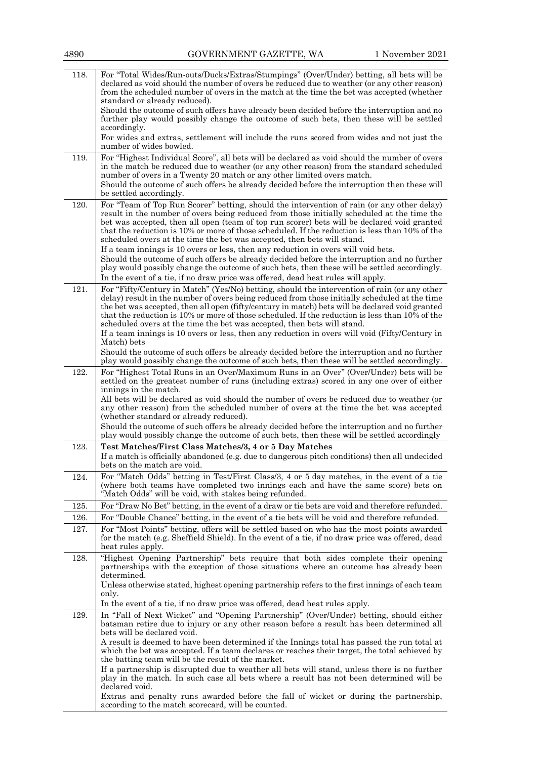| 118. | For "Total Wides/Run-outs/Ducks/Extras/Stumpings" (Over/Under) betting, all bets will be<br>declared as void should the number of overs be reduced due to weather (or any other reason)<br>from the scheduled number of overs in the match at the time the bet was accepted (whether<br>standard or already reduced).                                                                                                                                                                                                                                                                                                                                        |
|------|--------------------------------------------------------------------------------------------------------------------------------------------------------------------------------------------------------------------------------------------------------------------------------------------------------------------------------------------------------------------------------------------------------------------------------------------------------------------------------------------------------------------------------------------------------------------------------------------------------------------------------------------------------------|
|      | Should the outcome of such offers have already been decided before the interruption and no<br>further play would possibly change the outcome of such bets, then these will be settled                                                                                                                                                                                                                                                                                                                                                                                                                                                                        |
|      | accordingly.<br>For wides and extras, settlement will include the runs scored from wides and not just the<br>number of wides bowled.                                                                                                                                                                                                                                                                                                                                                                                                                                                                                                                         |
| 119. | For "Highest Individual Score", all bets will be declared as void should the number of overs<br>in the match be reduced due to weather (or any other reason) from the standard scheduled<br>number of overs in a Twenty 20 match or any other limited overs match.<br>Should the outcome of such offers be already decided before the interruption then these will<br>be settled accordingly.                                                                                                                                                                                                                                                                |
| 120. | For "Team of Top Run Scorer" betting, should the intervention of rain (or any other delay)<br>result in the number of overs being reduced from those initially scheduled at the time the<br>bet was accepted, then all open (team of top run scorer) bets will be declared void granted<br>that the reduction is 10% or more of those scheduled. If the reduction is less than $10\%$ of the<br>scheduled overs at the time the bet was accepted, then bets will stand.<br>If a team innings is 10 overs or less, then any reduction in overs will void bets.<br>Should the outcome of such offers be already decided before the interruption and no further |
|      | play would possibly change the outcome of such bets, then these will be settled accordingly.<br>In the event of a tie, if no draw price was offered, dead heat rules will apply.                                                                                                                                                                                                                                                                                                                                                                                                                                                                             |
| 121. | For "Fifty/Century in Match" (Yes/No) betting, should the intervention of rain (or any other<br>delay) result in the number of overs being reduced from those initially scheduled at the time<br>the bet was accepted, then all open (fifty/century in match) bets will be declared void granted<br>that the reduction is 10% or more of those scheduled. If the reduction is less than 10% of the<br>scheduled overs at the time the bet was accepted, then bets will stand.<br>If a team innings is 10 overs or less, then any reduction in overs will void (Fifty/Century in<br>Match) bets                                                               |
|      | Should the outcome of such offers be already decided before the interruption and no further<br>play would possibly change the outcome of such bets, then these will be settled accordingly.                                                                                                                                                                                                                                                                                                                                                                                                                                                                  |
| 122. | For "Highest Total Runs in an Over/Maximum Runs in an Over" (Over/Under) bets will be<br>settled on the greatest number of runs (including extras) scored in any one over of either<br>innings in the match.<br>All bets will be declared as void should the number of overs be reduced due to weather (or<br>any other reason) from the scheduled number of overs at the time the bet was accepted<br>(whether standard or already reduced).<br>Should the outcome of such offers be already decided before the interruption and no further                                                                                                                 |
|      | play would possibly change the outcome of such bets, then these will be settled accordingly                                                                                                                                                                                                                                                                                                                                                                                                                                                                                                                                                                  |
| 123. | Test Matches/First Class Matches/3, 4 or 5 Day Matches<br>If a match is officially abandoned (e.g. due to dangerous pitch conditions) then all undecided<br>bets on the match are void.                                                                                                                                                                                                                                                                                                                                                                                                                                                                      |
| 124. | For "Match Odds" betting in Test/First Class/3, 4 or 5 day matches, in the event of a tie<br>(where both teams have completed two innings each and have the same score) bets on<br>"Match Odds" will be void, with stakes being refunded.                                                                                                                                                                                                                                                                                                                                                                                                                    |
| 125. | For "Draw No Bet" betting, in the event of a draw or tie bets are void and therefore refunded.                                                                                                                                                                                                                                                                                                                                                                                                                                                                                                                                                               |
| 126. | For "Double Chance" betting, in the event of a tie bets will be void and therefore refunded.                                                                                                                                                                                                                                                                                                                                                                                                                                                                                                                                                                 |
| 127. | For "Most Points" betting, offers will be settled based on who has the most points awarded<br>for the match (e.g. Sheffield Shield). In the event of a tie, if no draw price was offered, dead<br>heat rules apply.                                                                                                                                                                                                                                                                                                                                                                                                                                          |
| 128. | "Highest Opening Partnership" bets require that both sides complete their opening<br>partnerships with the exception of those situations where an outcome has already been<br>determined.<br>Unless otherwise stated, highest opening partnership refers to the first innings of each team<br>only.<br>In the event of a tie, if no draw price was offered, dead heat rules apply.                                                                                                                                                                                                                                                                           |
| 129. | In "Fall of Next Wicket" and "Opening Partnership" (Over/Under) betting, should either<br>batsman retire due to injury or any other reason before a result has been determined all<br>bets will be declared void.<br>A result is deemed to have been determined if the Innings total has passed the run total at                                                                                                                                                                                                                                                                                                                                             |
|      | which the bet was accepted. If a team declares or reaches their target, the total achieved by<br>the batting team will be the result of the market.<br>If a partnership is disrupted due to weather all bets will stand, unless there is no further<br>play in the match. In such case all bets where a result has not been determined will be                                                                                                                                                                                                                                                                                                               |
|      | declared void.<br>Extras and penalty runs awarded before the fall of wicket or during the partnership,<br>according to the match scorecard, will be counted.                                                                                                                                                                                                                                                                                                                                                                                                                                                                                                 |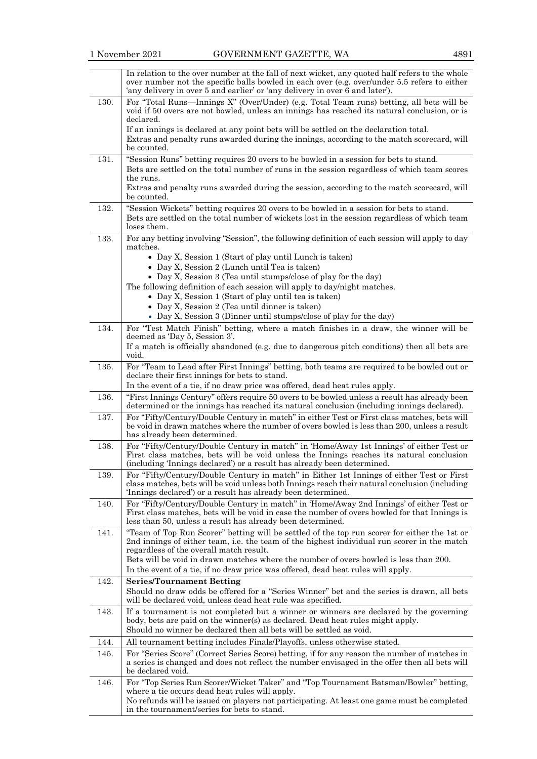|      | In relation to the over number at the fall of next wicket, any quoted half refers to the whole<br>over number not the specific balls bowled in each over (e.g. over/under 5.5 refers to either<br>'any delivery in over 5 and earlier' or 'any delivery in over 6 and later'). |
|------|--------------------------------------------------------------------------------------------------------------------------------------------------------------------------------------------------------------------------------------------------------------------------------|
| 130. | For "Total Runs—Innings X" (Over/Under) (e.g. Total Team runs) betting, all bets will be<br>void if 50 overs are not bowled, unless an innings has reached its natural conclusion, or is<br>declared.                                                                          |
|      | If an innings is declared at any point bets will be settled on the declaration total.<br>Extras and penalty runs awarded during the innings, according to the match scorecard, will                                                                                            |
|      | be counted.                                                                                                                                                                                                                                                                    |
| 131. | "Session Runs" betting requires 20 overs to be bowled in a session for bets to stand.                                                                                                                                                                                          |
|      | Bets are settled on the total number of runs in the session regardless of which team scores<br>the runs.                                                                                                                                                                       |
|      | Extras and penalty runs awarded during the session, according to the match scorecard, will<br>be counted.                                                                                                                                                                      |
| 132. | "Session Wickets" betting requires 20 overs to be bowled in a session for bets to stand.<br>Bets are settled on the total number of wickets lost in the session regardless of which team<br>loses them.                                                                        |
| 133. | For any betting involving "Session", the following definition of each session will apply to day                                                                                                                                                                                |
|      | matches.<br>• Day X, Session 1 (Start of play until Lunch is taken)<br>• Day X, Session 2 (Lunch until Tea is taken)                                                                                                                                                           |
|      | • Day X, Session 3 (Tea until stumps/close of play for the day)                                                                                                                                                                                                                |
|      | The following definition of each session will apply to day/night matches.                                                                                                                                                                                                      |
|      | • Day X, Session 1 (Start of play until tea is taken)<br>• Day X, Session 2 (Tea until dinner is taken)                                                                                                                                                                        |
|      | • Day X, Session 3 (Dinner until stumps/close of play for the day)                                                                                                                                                                                                             |
| 134. | For "Test Match Finish" betting, where a match finishes in a draw, the winner will be<br>deemed as 'Day 5, Session 3'.                                                                                                                                                         |
|      | If a match is officially abandoned (e.g. due to dangerous pitch conditions) then all bets are<br>void.                                                                                                                                                                         |
| 135. | For "Team to Lead after First Innings" betting, both teams are required to be bowled out or                                                                                                                                                                                    |
|      | declare their first innings for bets to stand.<br>In the event of a tie, if no draw price was offered, dead heat rules apply.                                                                                                                                                  |
| 136. | "First Innings Century" offers require 50 overs to be bowled unless a result has already been                                                                                                                                                                                  |
|      | determined or the innings has reached its natural conclusion (including innings declared).                                                                                                                                                                                     |
| 137. | For "Fifty/Century/Double Century in match" in either Test or First class matches, bets will<br>be void in drawn matches where the number of overs bowled is less than 200, unless a result<br>has already been determined.                                                    |
| 138. | For "Fifty/Century/Double Century in match" in 'Home/Away 1st Innings' of either Test or                                                                                                                                                                                       |
|      | First class matches, bets will be void unless the Innings reaches its natural conclusion<br>(including 'Innings declared') or a result has already been determined.                                                                                                            |
| 139. | For "Fifty/Century/Double Century in match" in Either 1st Innings of either Test or First<br>class matches, bets will be void unless both Innings reach their natural conclusion (including<br>'Innings declared') or a result has already been determined.                    |
| 140. | For "Fifty/Century/Double Century in match" in 'Home/Away 2nd Innings' of either Test or                                                                                                                                                                                       |
|      | First class matches, bets will be void in case the number of overs bowled for that Innings is<br>less than 50, unless a result has already been determined.                                                                                                                    |
| 141. | "Team of Top Run Scorer" betting will be settled of the top run scorer for either the 1st or<br>2nd innings of either team, i.e. the team of the highest individual run scorer in the match<br>regardless of the overall match result.                                         |
|      | Bets will be void in drawn matches where the number of overs bowled is less than 200.<br>In the event of a tie, if no draw price was offered, dead heat rules will apply.                                                                                                      |
| 142. | <b>Series/Tournament Betting</b>                                                                                                                                                                                                                                               |
|      | Should no draw odds be offered for a "Series Winner" bet and the series is drawn, all bets<br>will be declared void, unless dead heat rule was specified.                                                                                                                      |
| 143. | If a tournament is not completed but a winner or winners are declared by the governing<br>body, bets are paid on the winner(s) as declared. Dead heat rules might apply.                                                                                                       |
|      | Should no winner be declared then all bets will be settled as void.                                                                                                                                                                                                            |
| 144. | All tournament betting includes Finals/Playoffs, unless otherwise stated.                                                                                                                                                                                                      |
| 145. | For "Series Score" (Correct Series Score) betting, if for any reason the number of matches in<br>a series is changed and does not reflect the number envisaged in the offer then all bets will<br>be declared void.                                                            |
| 146. | For "Top Series Run Scorer/Wicket Taker" and "Top Tournament Batsman/Bowler" betting,<br>where a tie occurs dead heat rules will apply.                                                                                                                                        |
|      | No refunds will be issued on players not participating. At least one game must be completed                                                                                                                                                                                    |
|      | in the tournament/series for bets to stand.                                                                                                                                                                                                                                    |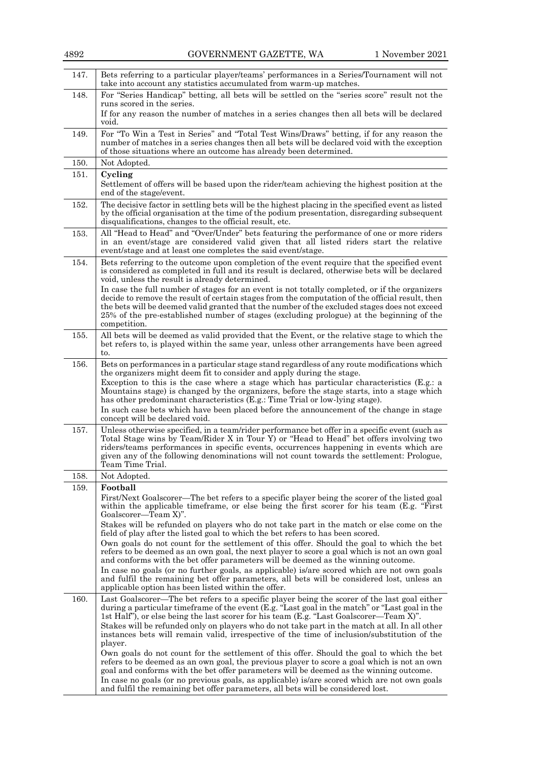| 4892 | GOVERNMENT GAZETTE, WA<br>1 November 2021                                                                                                                                                                                                                                                                                                                                                                                                                                                                                                                                                                                                                                                                                                                                                                                                                                                     |
|------|-----------------------------------------------------------------------------------------------------------------------------------------------------------------------------------------------------------------------------------------------------------------------------------------------------------------------------------------------------------------------------------------------------------------------------------------------------------------------------------------------------------------------------------------------------------------------------------------------------------------------------------------------------------------------------------------------------------------------------------------------------------------------------------------------------------------------------------------------------------------------------------------------|
| 147. | Bets referring to a particular player/teams' performances in a Series/Tournament will not<br>take into account any statistics accumulated from warm-up matches.                                                                                                                                                                                                                                                                                                                                                                                                                                                                                                                                                                                                                                                                                                                               |
| 148. | For "Series Handicap" betting, all bets will be settled on the "series score" result not the<br>runs scored in the series.                                                                                                                                                                                                                                                                                                                                                                                                                                                                                                                                                                                                                                                                                                                                                                    |
|      | If for any reason the number of matches in a series changes then all bets will be declared<br>void.                                                                                                                                                                                                                                                                                                                                                                                                                                                                                                                                                                                                                                                                                                                                                                                           |
| 149. | For "To Win a Test in Series" and "Total Test Wins/Draws" betting, if for any reason the<br>number of matches in a series changes then all bets will be declared void with the exception<br>of those situations where an outcome has already been determined.                                                                                                                                                                                                                                                                                                                                                                                                                                                                                                                                                                                                                                 |
| 150. | Not Adopted.                                                                                                                                                                                                                                                                                                                                                                                                                                                                                                                                                                                                                                                                                                                                                                                                                                                                                  |
| 151. | Cycling<br>Settlement of offers will be based upon the rider/team achieving the highest position at the<br>end of the stage/event.                                                                                                                                                                                                                                                                                                                                                                                                                                                                                                                                                                                                                                                                                                                                                            |
| 152. | The decisive factor in settling bets will be the highest placing in the specified event as listed<br>by the official organisation at the time of the podium presentation, disregarding subsequent<br>disqualifications, changes to the official result, etc.                                                                                                                                                                                                                                                                                                                                                                                                                                                                                                                                                                                                                                  |
| 153. | All "Head to Head" and "Over/Under" bets featuring the performance of one or more riders<br>in an event/stage are considered valid given that all listed riders start the relative<br>event/stage and at least one completes the said event/stage.                                                                                                                                                                                                                                                                                                                                                                                                                                                                                                                                                                                                                                            |
| 154. | Bets referring to the outcome upon completion of the event require that the specified event<br>is considered as completed in full and its result is declared, otherwise bets will be declared<br>void, unless the result is already determined.<br>In case the full number of stages for an event is not totally completed, or if the organizers<br>decide to remove the result of certain stages from the computation of the official result, then<br>the bets will be deemed valid granted that the number of the excluded stages does not exceed<br>25% of the pre-established number of stages (excluding prologue) at the beginning of the<br>competition.                                                                                                                                                                                                                               |
| 155. | All bets will be deemed as valid provided that the Event, or the relative stage to which the<br>bet refers to, is played within the same year, unless other arrangements have been agreed<br>to.                                                                                                                                                                                                                                                                                                                                                                                                                                                                                                                                                                                                                                                                                              |
| 156. | Bets on performances in a particular stage stand regardless of any route modifications which<br>the organizers might deem fit to consider and apply during the stage.<br>Exception to this is the case where a stage which has particular characteristics (E.g.: a<br>Mountains stage) is changed by the organizers, before the stage starts, into a stage which<br>has other predominant characteristics (E.g.: Time Trial or low-lying stage).<br>In such case bets which have been placed before the announcement of the change in stage<br>concept will be declared void.                                                                                                                                                                                                                                                                                                                 |
| 157. | Unless otherwise specified, in a team/rider performance bet offer in a specific event (such as<br>Total Stage wins by Team/Rider X in Tour Y) or "Head to Head" bet offers involving two<br>riders/teams performances in specific events, occurrences happening in events which are<br>given any of the following denominations will not count towards the settlement: Prologue,<br>Team Time Trial.                                                                                                                                                                                                                                                                                                                                                                                                                                                                                          |
| 158. | Not Adopted.                                                                                                                                                                                                                                                                                                                                                                                                                                                                                                                                                                                                                                                                                                                                                                                                                                                                                  |
| 159. | Football<br>First/Next Goalscorer—The bet refers to a specific player being the scorer of the listed goal<br>within the applicable timeframe, or else being the first scorer for his team (E.g. "First"<br>Goalscorer—Team X)".<br>Stakes will be refunded on players who do not take part in the match or else come on the<br>field of play after the listed goal to which the bet refers to has been scored.<br>Own goals do not count for the settlement of this offer. Should the goal to which the bet<br>refers to be deemed as an own goal, the next player to score a goal which is not an own goal<br>and conforms with the bet offer parameters will be deemed as the winning outcome.<br>In case no goals (or no further goals, as applicable) is/are scored which are not own goals<br>and fulfil the remaining bet offer parameters, all bets will be considered lost, unless an |
| 160. | applicable option has been listed within the offer.<br>Last Goalscorer—The bet refers to a specific player being the scorer of the last goal either                                                                                                                                                                                                                                                                                                                                                                                                                                                                                                                                                                                                                                                                                                                                           |
|      | during a particular timeframe of the event (E.g. "Last goal in the match" or "Last goal in the<br>1st Half"), or else being the last scorer for his team (E.g. "Last Goalscorer—Team X)".<br>Stakes will be refunded only on players who do not take part in the match at all. In all other<br>instances bets will remain valid, irrespective of the time of inclusion/substitution of the<br>player.<br>Own goals do not count for the settlement of this offer. Should the goal to which the bet                                                                                                                                                                                                                                                                                                                                                                                            |
|      | refers to be deemed as an own goal, the previous player to score a goal which is not an own<br>goal and conforms with the bet offer parameters will be deemed as the winning outcome.<br>In case no goals (or no previous goals, as applicable) is/are scored which are not own goals<br>and fulfil the remaining bet offer parameters, all bets will be considered lost.                                                                                                                                                                                                                                                                                                                                                                                                                                                                                                                     |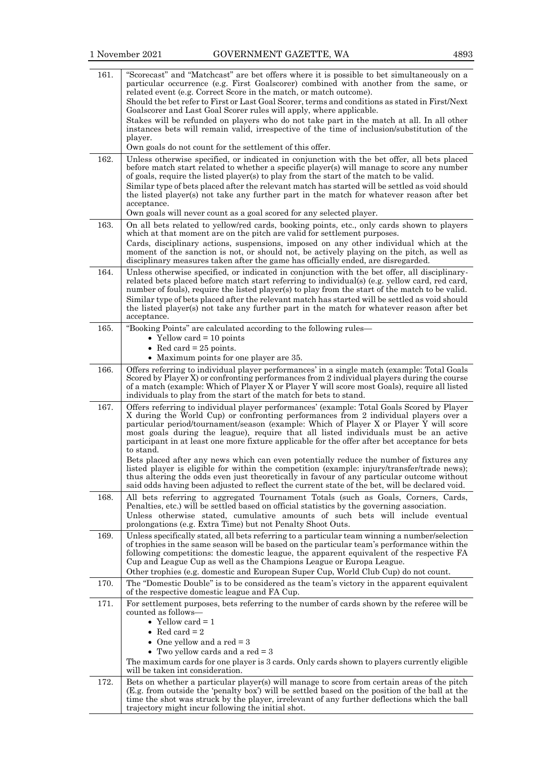| 161. | "Scorecast" and "Matchcast" are bet offers where it is possible to bet simultaneously on a<br>particular occurrence (e.g. First Goalscorer) combined with another from the same, or<br>related event (e.g. Correct Score in the match, or match outcome).                                                                                                                               |
|------|-----------------------------------------------------------------------------------------------------------------------------------------------------------------------------------------------------------------------------------------------------------------------------------------------------------------------------------------------------------------------------------------|
|      | Should the bet refer to First or Last Goal Scorer, terms and conditions as stated in First/Next<br>Goalscorer and Last Goal Scorer rules will apply, where applicable.                                                                                                                                                                                                                  |
|      | Stakes will be refunded on players who do not take part in the match at all. In all other<br>instances bets will remain valid, irrespective of the time of inclusion/substitution of the                                                                                                                                                                                                |
|      | player.<br>Own goals do not count for the settlement of this offer.                                                                                                                                                                                                                                                                                                                     |
| 162. | Unless otherwise specified, or indicated in conjunction with the bet offer, all bets placed<br>before match start related to whether a specific player(s) will manage to score any number<br>of goals, require the listed player(s) to play from the start of the match to be valid.<br>Similar type of bets placed after the relevant match has started will be settled as void should |
|      | the listed player(s) not take any further part in the match for whatever reason after bet<br>acceptance.                                                                                                                                                                                                                                                                                |
|      | Own goals will never count as a goal scored for any selected player.                                                                                                                                                                                                                                                                                                                    |
| 163. | On all bets related to yellow/red cards, booking points, etc., only cards shown to players<br>which at that moment are on the pitch are valid for settlement purposes.                                                                                                                                                                                                                  |
|      | Cards, disciplinary actions, suspensions, imposed on any other individual which at the                                                                                                                                                                                                                                                                                                  |
|      | moment of the sanction is not, or should not, be actively playing on the pitch, as well as<br>disciplinary measures taken after the game has officially ended, are disregarded.                                                                                                                                                                                                         |
| 164. | Unless otherwise specified, or indicated in conjunction with the bet offer, all disciplinary-<br>related bets placed before match start referring to individual(s) (e.g. yellow card, red card,                                                                                                                                                                                         |
|      | number of fouls), require the listed player(s) to play from the start of the match to be valid.                                                                                                                                                                                                                                                                                         |
|      | Similar type of bets placed after the relevant match has started will be settled as void should                                                                                                                                                                                                                                                                                         |
|      | the listed player(s) not take any further part in the match for whatever reason after bet<br>acceptance.                                                                                                                                                                                                                                                                                |
| 165. | "Booking Points" are calculated according to the following rules-                                                                                                                                                                                                                                                                                                                       |
|      | • Yellow card $= 10$ points                                                                                                                                                                                                                                                                                                                                                             |
|      | • Red card = $25$ points.                                                                                                                                                                                                                                                                                                                                                               |
|      | • Maximum points for one player are 35.                                                                                                                                                                                                                                                                                                                                                 |
| 166. | Offers referring to individual player performances' in a single match (example: Total Goals<br>Scored by Player X) or confronting performances from 2 individual players during the course                                                                                                                                                                                              |
|      | of a match (example: Which of Player X or Player Y will score most Goals), require all listed                                                                                                                                                                                                                                                                                           |
|      | individuals to play from the start of the match for bets to stand.                                                                                                                                                                                                                                                                                                                      |
| 167. | Offers referring to individual player performances' (example: Total Goals Scored by Player<br>X during the World Cup) or confronting performances from 2 individual players over a                                                                                                                                                                                                      |
|      | particular period/tournament/season (example: Which of Player X or Player Y will score                                                                                                                                                                                                                                                                                                  |
|      | most goals during the league), require that all listed individuals must be an active<br>participant in at least one more fixture applicable for the offer after bet acceptance for bets                                                                                                                                                                                                 |
|      | to stand.                                                                                                                                                                                                                                                                                                                                                                               |
|      | Bets placed after any news which can even potentially reduce the number of fixtures any                                                                                                                                                                                                                                                                                                 |
|      | listed player is eligible for within the competition (example: injury/transfer/trade news);<br>thus altering the odds even just theoretically in favour of any particular outcome without                                                                                                                                                                                               |
|      | said odds having been adjusted to reflect the current state of the bet, will be declared void.                                                                                                                                                                                                                                                                                          |
| 168. | All bets referring to aggregated Tournament Totals (such as Goals, Corners, Cards,                                                                                                                                                                                                                                                                                                      |
|      | Penalties, etc.) will be settled based on official statistics by the governing association.<br>Unless otherwise stated, cumulative amounts of such bets will include eventual                                                                                                                                                                                                           |
|      | prolongations (e.g. Extra Time) but not Penalty Shoot Outs.                                                                                                                                                                                                                                                                                                                             |
| 169. | Unless specifically stated, all bets referring to a particular team winning a number/selection                                                                                                                                                                                                                                                                                          |
|      | of trophies in the same season will be based on the particular team's performance within the<br>following competitions: the domestic league, the apparent equivalent of the respective FA                                                                                                                                                                                               |
|      | Cup and League Cup as well as the Champions League or Europa League.                                                                                                                                                                                                                                                                                                                    |
|      | Other trophies (e.g. domestic and European Super Cup, World Club Cup) do not count.                                                                                                                                                                                                                                                                                                     |
| 170. | The "Domestic Double" is to be considered as the team's victory in the apparent equivalent<br>of the respective domestic league and FA Cup.                                                                                                                                                                                                                                             |
| 171. | For settlement purposes, bets referring to the number of cards shown by the referee will be<br>counted as follows—                                                                                                                                                                                                                                                                      |
|      | • Yellow card $= 1$                                                                                                                                                                                                                                                                                                                                                                     |
|      | • Red card = $2$                                                                                                                                                                                                                                                                                                                                                                        |
|      | • One yellow and a red $=$ 3                                                                                                                                                                                                                                                                                                                                                            |
|      | • Two yellow cards and a red $=$ 3                                                                                                                                                                                                                                                                                                                                                      |
|      | The maximum cards for one player is 3 cards. Only cards shown to players currently eligible<br>will be taken int consideration.                                                                                                                                                                                                                                                         |
| 172. | Bets on whether a particular player(s) will manage to score from certain areas of the pitch                                                                                                                                                                                                                                                                                             |
|      | (E.g. from outside the 'penalty box') will be settled based on the position of the ball at the                                                                                                                                                                                                                                                                                          |
|      | time the shot was struck by the player, irrelevant of any further deflections which the ball<br>trajectory might incur following the initial shot.                                                                                                                                                                                                                                      |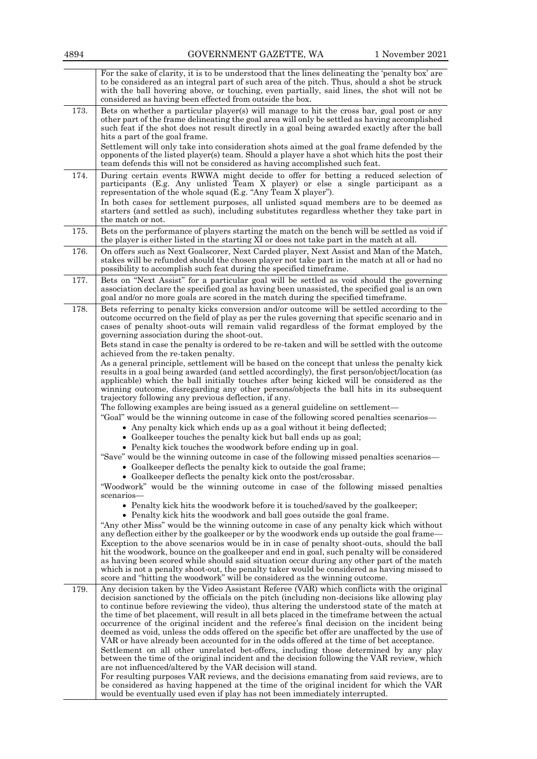|      | For the sake of clarity, it is to be understood that the lines delineating the 'penalty box' are<br>to be considered as an integral part of such area of the pitch. Thus, should a shot be struck<br>with the ball hovering above, or touching, even partially, said lines, the shot will not be<br>considered as having been effected from outside the box.                                                                                                                                                                                                                                                                                                                                                                                                                                                                                                                                                                                |
|------|---------------------------------------------------------------------------------------------------------------------------------------------------------------------------------------------------------------------------------------------------------------------------------------------------------------------------------------------------------------------------------------------------------------------------------------------------------------------------------------------------------------------------------------------------------------------------------------------------------------------------------------------------------------------------------------------------------------------------------------------------------------------------------------------------------------------------------------------------------------------------------------------------------------------------------------------|
| 173. | Bets on whether a particular player(s) will manage to hit the cross bar, goal post or any<br>other part of the frame delineating the goal area will only be settled as having accomplished<br>such feat if the shot does not result directly in a goal being awarded exactly after the ball                                                                                                                                                                                                                                                                                                                                                                                                                                                                                                                                                                                                                                                 |
|      | hits a part of the goal frame.<br>Settlement will only take into consideration shots aimed at the goal frame defended by the<br>opponents of the listed player(s) team. Should a player have a shot which hits the post their<br>team defends this will not be considered as having accomplished such feat.                                                                                                                                                                                                                                                                                                                                                                                                                                                                                                                                                                                                                                 |
| 174. | During certain events RWWA might decide to offer for betting a reduced selection of<br>participants (E.g. Any unlisted Team X player) or else a single participant as a<br>representation of the whole squad (E.g. "Any Team X player").<br>In both cases for settlement purposes, all unlisted squad members are to be deemed as<br>starters (and settled as such), including substitutes regardless whether they take part in                                                                                                                                                                                                                                                                                                                                                                                                                                                                                                             |
|      | the match or not.                                                                                                                                                                                                                                                                                                                                                                                                                                                                                                                                                                                                                                                                                                                                                                                                                                                                                                                           |
| 175. | Bets on the performance of players starting the match on the bench will be settled as void if<br>the player is either listed in the starting XI or does not take part in the match at all.                                                                                                                                                                                                                                                                                                                                                                                                                                                                                                                                                                                                                                                                                                                                                  |
| 176. | On offers such as Next Goalscorer, Next Carded player, Next Assist and Man of the Match,<br>stakes will be refunded should the chosen player not take part in the match at all or had no<br>possibility to accomplish such feat during the specified timeframe.                                                                                                                                                                                                                                                                                                                                                                                                                                                                                                                                                                                                                                                                             |
| 177. | Bets on "Next Assist" for a particular goal will be settled as void should the governing<br>association declare the specified goal as having been unassisted, the specified goal is an own<br>goal and/or no more goals are scored in the match during the specified timeframe.                                                                                                                                                                                                                                                                                                                                                                                                                                                                                                                                                                                                                                                             |
| 178. | Bets referring to penalty kicks conversion and/or outcome will be settled according to the<br>outcome occurred on the field of play as per the rules governing that specific scenario and in<br>cases of penalty shoot-outs will remain valid regardless of the format employed by the<br>governing association during the shoot-out.                                                                                                                                                                                                                                                                                                                                                                                                                                                                                                                                                                                                       |
|      | Bets stand in case the penalty is ordered to be re-taken and will be settled with the outcome<br>achieved from the re-taken penalty.                                                                                                                                                                                                                                                                                                                                                                                                                                                                                                                                                                                                                                                                                                                                                                                                        |
|      | As a general principle, settlement will be based on the concept that unless the penalty kick<br>results in a goal being awarded (and settled accordingly), the first person/object/location (as<br>applicable) which the ball initially touches after being kicked will be considered as the<br>winning outcome, disregarding any other persons/objects the ball hits in its subsequent<br>trajectory following any previous deflection, if any.                                                                                                                                                                                                                                                                                                                                                                                                                                                                                            |
|      | The following examples are being issued as a general guideline on settlement—                                                                                                                                                                                                                                                                                                                                                                                                                                                                                                                                                                                                                                                                                                                                                                                                                                                               |
|      | "Goal" would be the winning outcome in case of the following scored penalties scenarios—<br>• Any penalty kick which ends up as a goal without it being deflected;                                                                                                                                                                                                                                                                                                                                                                                                                                                                                                                                                                                                                                                                                                                                                                          |
|      | • Goalkeeper touches the penalty kick but ball ends up as goal;                                                                                                                                                                                                                                                                                                                                                                                                                                                                                                                                                                                                                                                                                                                                                                                                                                                                             |
|      | • Penalty kick touches the woodwork before ending up in goal.<br>"Save" would be the winning outcome in case of the following missed penalties scenarios—                                                                                                                                                                                                                                                                                                                                                                                                                                                                                                                                                                                                                                                                                                                                                                                   |
|      | • Goalkeeper deflects the penalty kick to outside the goal frame;<br>• Goalkeeper deflects the penalty kick onto the post/crossbar.                                                                                                                                                                                                                                                                                                                                                                                                                                                                                                                                                                                                                                                                                                                                                                                                         |
|      | "Woodwork" would be the winning outcome in case of the following missed penalties<br>scenarios-                                                                                                                                                                                                                                                                                                                                                                                                                                                                                                                                                                                                                                                                                                                                                                                                                                             |
|      | • Penalty kick hits the woodwork before it is touched/saved by the goalkeeper;<br>• Penalty kick hits the woodwork and ball goes outside the goal frame.                                                                                                                                                                                                                                                                                                                                                                                                                                                                                                                                                                                                                                                                                                                                                                                    |
|      | "Any other Miss" would be the winning outcome in case of any penalty kick which without<br>any deflection either by the goalkeeper or by the woodwork ends up outside the goal frame—                                                                                                                                                                                                                                                                                                                                                                                                                                                                                                                                                                                                                                                                                                                                                       |
|      | Exception to the above scenarios would be in in case of penalty shoot-outs, should the ball<br>hit the woodwork, bounce on the goalkeeper and end in goal, such penalty will be considered<br>as having been scored while should said situation occur during any other part of the match<br>which is not a penalty shoot-out, the penalty taker would be considered as having missed to<br>score and "hitting the woodwork" will be considered as the winning outcome.                                                                                                                                                                                                                                                                                                                                                                                                                                                                      |
| 179. | Any decision taken by the Video Assistant Referee (VAR) which conflicts with the original<br>decision sanctioned by the officials on the pitch (including non-decisions like allowing play<br>to continue before reviewing the video), thus altering the understood state of the match at<br>the time of bet placement, will result in all bets placed in the timeframe between the actual<br>occurrence of the original incident and the referee's final decision on the incident being<br>deemed as void, unless the odds offered on the specific bet offer are unaffected by the use of<br>VAR or have already been accounted for in the odds offered at the time of bet acceptance.<br>Settlement on all other unrelated bet-offers, including those determined by any play<br>between the time of the original incident and the decision following the VAR review, which<br>are not influenced/altered by the VAR decision will stand. |
|      | For resulting purposes VAR reviews, and the decisions emanating from said reviews, are to<br>be considered as having happened at the time of the original incident for which the VAR<br>would be eventually used even if play has not been immediately interrupted.                                                                                                                                                                                                                                                                                                                                                                                                                                                                                                                                                                                                                                                                         |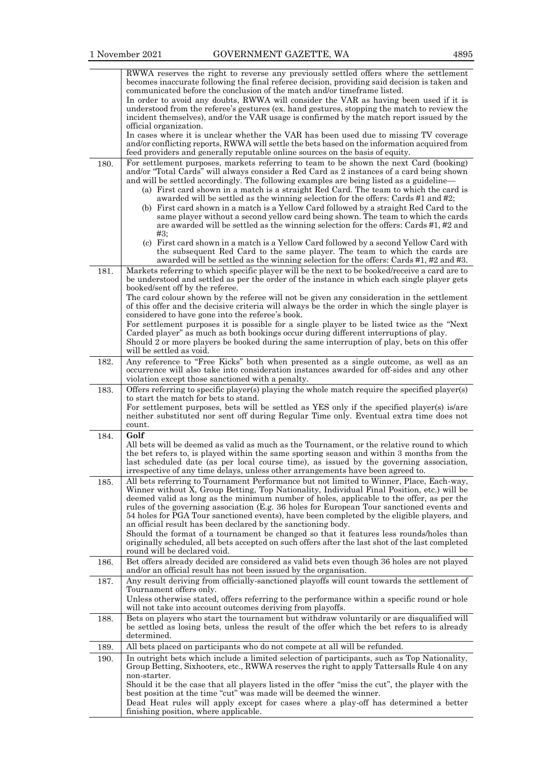|      | RWWA reserves the right to reverse any previously settled offers where the settlement<br>becomes inaccurate following the final referee decision, providing said decision is taken and<br>communicated before the conclusion of the match and/or timeframe listed.<br>In order to avoid any doubts, RWWA will consider the VAR as having been used if it is<br>understood from the referee's gestures (ex. hand gestures, stopping the match to review the<br>incident themselves), and/or the VAR usage is confirmed by the match report issued by the<br>official organization.<br>In cases where it is unclear whether the VAR has been used due to missing TV coverage<br>and/or conflicting reports, RWWA will settle the bets based on the information acquired from<br>feed providers and generally reputable online sources on the basis of equity. |
|------|-------------------------------------------------------------------------------------------------------------------------------------------------------------------------------------------------------------------------------------------------------------------------------------------------------------------------------------------------------------------------------------------------------------------------------------------------------------------------------------------------------------------------------------------------------------------------------------------------------------------------------------------------------------------------------------------------------------------------------------------------------------------------------------------------------------------------------------------------------------|
| 180. | For settlement purposes, markets referring to team to be shown the next Card (booking)<br>and/or "Total Cards" will always consider a Red Card as 2 instances of a card being shown<br>and will be settled accordingly. The following examples are being listed as a guideline-<br>(a) First card shown in a match is a straight Red Card. The team to which the card is<br>awarded will be settled as the winning selection for the offers: Cards #1 and #2;<br>(b) First card shown in a match is a Yellow Card followed by a straight Red Card to the                                                                                                                                                                                                                                                                                                    |
|      | same player without a second yellow card being shown. The team to which the cards<br>are awarded will be settled as the winning selection for the offers: Cards #1, #2 and<br>#3:<br>(c) First card shown in a match is a Yellow Card followed by a second Yellow Card with<br>the subsequent Red Card to the same player. The team to which the cards are                                                                                                                                                                                                                                                                                                                                                                                                                                                                                                  |
|      | awarded will be settled as the winning selection for the offers: Cards #1, #2 and #3.                                                                                                                                                                                                                                                                                                                                                                                                                                                                                                                                                                                                                                                                                                                                                                       |
| 181. | Markets referring to which specific player will be the next to be booked/receive a card are to<br>be understood and settled as per the order of the instance in which each single player gets<br>booked/sent off by the referee.<br>The card colour shown by the referee will not be given any consideration in the settlement<br>of this offer and the decisive criteria will always be the order in which the single player is<br>considered to have gone into the referee's book.                                                                                                                                                                                                                                                                                                                                                                        |
|      | For settlement purposes it is possible for a single player to be listed twice as the "Next"<br>Carded player" as much as both bookings occur during different interruptions of play.<br>Should 2 or more players be booked during the same interruption of play, bets on this offer<br>will be settled as void.                                                                                                                                                                                                                                                                                                                                                                                                                                                                                                                                             |
| 182. | Any reference to "Free Kicks" both when presented as a single outcome, as well as an<br>occurrence will also take into consideration instances awarded for off-sides and any other<br>violation except those sanctioned with a penalty.                                                                                                                                                                                                                                                                                                                                                                                                                                                                                                                                                                                                                     |
| 183. | Offers referring to specific player(s) playing the whole match require the specified player(s)<br>to start the match for bets to stand.<br>For settlement purposes, bets will be settled as YES only if the specified player(s) is/are<br>neither substituted nor sent off during Regular Time only. Eventual extra time does not<br>count.                                                                                                                                                                                                                                                                                                                                                                                                                                                                                                                 |
| 184. | Golf<br>All bets will be deemed as valid as much as the Tournament, or the relative round to which<br>the bet refers to, is played within the same sporting season and within 3 months from the<br>last scheduled date (as per local course time), as issued by the governing association,<br>irrespective of any time delays, unless other arrangements have been agreed to.                                                                                                                                                                                                                                                                                                                                                                                                                                                                               |
| 185. | All bets referring to Tournament Performance but not limited to Winner, Place, Each-way,<br>Winner without X, Group Betting, Top Nationality, Individual Final Position, etc.) will be<br>deemed valid as long as the minimum number of holes, applicable to the offer, as per the<br>rules of the governing association (E.g. 36 holes for European Tour sanctioned events and<br>54 holes for PGA Tour sanctioned events), have been completed by the eligible players, and<br>an official result has been declared by the sanctioning body.<br>Should the format of a tournament be changed so that it features less rounds/holes than<br>originally scheduled, all bets accepted on such offers after the last shot of the last completed<br>round will be declared void.                                                                               |
| 186. | Bet offers already decided are considered as valid bets even though 36 holes are not played<br>and/or an official result has not been issued by the organisation.                                                                                                                                                                                                                                                                                                                                                                                                                                                                                                                                                                                                                                                                                           |
| 187. | Any result deriving from officially-sanctioned playoffs will count towards the settlement of<br>Tournament offers only.<br>Unless otherwise stated, offers referring to the performance within a specific round or hole<br>will not take into account outcomes deriving from playoffs.                                                                                                                                                                                                                                                                                                                                                                                                                                                                                                                                                                      |
| 188. | Bets on players who start the tournament but withdraw voluntarily or are disqualified will<br>be settled as losing bets, unless the result of the offer which the bet refers to is already<br>determined.                                                                                                                                                                                                                                                                                                                                                                                                                                                                                                                                                                                                                                                   |
| 189. | All bets placed on participants who do not compete at all will be refunded.                                                                                                                                                                                                                                                                                                                                                                                                                                                                                                                                                                                                                                                                                                                                                                                 |
| 190. | In outright bets which include a limited selection of participants, such as Top Nationality,<br>Group Betting, Sixhooters, etc., RWWA reserves the right to apply Tattersalls Rule 4 on any<br>non-starter.<br>Should it be the case that all players listed in the offer "miss the cut", the player with the<br>best position at the time "cut" was made will be deemed the winner.<br>Dead Heat rules will apply except for cases where a play-off has determined a better<br>finishing position, where applicable.                                                                                                                                                                                                                                                                                                                                       |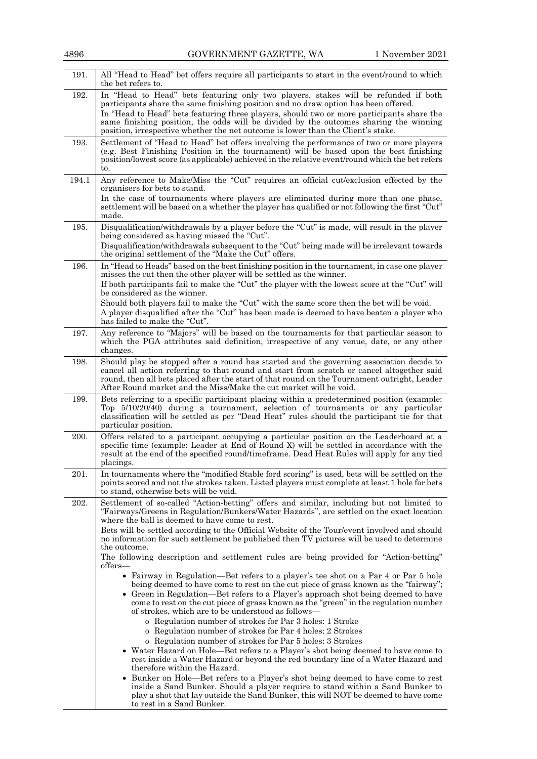| 191.  | All "Head to Head" bet offers require all participants to start in the event/round to which<br>the bet refers to.                                                                                                                                                                                                                                                                                                                                                                                                                 |
|-------|-----------------------------------------------------------------------------------------------------------------------------------------------------------------------------------------------------------------------------------------------------------------------------------------------------------------------------------------------------------------------------------------------------------------------------------------------------------------------------------------------------------------------------------|
| 192.  | In "Head to Head" bets featuring only two players, stakes will be refunded if both<br>participants share the same finishing position and no draw option has been offered.<br>In "Head to Head" bets featuring three players, should two or more participants share the<br>same finishing position, the odds will be divided by the outcomes sharing the winning<br>position, irrespective whether the net outcome is lower than the Client's stake.                                                                               |
| 193.  | Settlement of "Head to Head" bet offers involving the performance of two or more players<br>(e.g. Best Finishing Position in the tournament) will be based upon the best finishing<br>position/lowest score (as applicable) achieved in the relative event/round which the bet refers<br>to.                                                                                                                                                                                                                                      |
| 194.1 | Any reference to Make/Miss the "Cut" requires an official cut/exclusion effected by the<br>organisers for bets to stand.<br>In the case of tournaments where players are eliminated during more than one phase,<br>settlement will be based on a whether the player has qualified or not following the first "Cut"<br>made.                                                                                                                                                                                                       |
| 195.  | Disqualification/withdrawals by a player before the "Cut" is made, will result in the player<br>being considered as having missed the "Cut".<br>Disqualification/withdrawals subsequent to the "Cut" being made will be irrelevant towards<br>the original settlement of the "Make the Cut" offers.                                                                                                                                                                                                                               |
| 196.  | In "Head to Heads" based on the best finishing position in the tournament, in case one player<br>misses the cut then the other player will be settled as the winner.<br>If both participants fail to make the "Cut" the player with the lowest score at the "Cut" will<br>be considered as the winner.<br>Should both players fail to make the "Cut" with the same score then the bet will be void.<br>A player disqualified after the "Cut" has been made is deemed to have beaten a player who<br>has failed to make the "Cut". |
| 197.  | Any reference to "Majors" will be based on the tournaments for that particular season to<br>which the PGA attributes said definition, irrespective of any venue, date, or any other<br>changes.                                                                                                                                                                                                                                                                                                                                   |
| 198.  | Should play be stopped after a round has started and the governing association decide to<br>cancel all action referring to that round and start from scratch or cancel altogether said<br>round, then all bets placed after the start of that round on the Tournament outright, Leader<br>After Round market and the Miss/Make the cut market will be void.                                                                                                                                                                       |
| 199.  | Bets referring to a specific participant placing within a predetermined position (example:<br>Top 5/10/20/40) during a tournament, selection of tournaments or any particular<br>classification will be settled as per "Dead Heat" rules should the participant tie for that<br>particular position.                                                                                                                                                                                                                              |
| 200.  | Offers related to a participant occupying a particular position on the Leaderboard at a<br>specific time (example: Leader at End of Round X) will be settled in accordance with the<br>result at the end of the specified round/timeframe. Dead Heat Rules will apply for any tied<br>placings.                                                                                                                                                                                                                                   |
| 201.  | In tournaments where the "modified Stable ford scoring" is used, bets will be settled on the<br>points scored and not the strokes taken. Listed players must complete at least 1 hole for bets<br>to stand, otherwise bets will be void.                                                                                                                                                                                                                                                                                          |
| 202.  | Settlement of so-called "Action-betting" offers and similar, including but not limited to<br>"Fairways/Greens in Regulation/Bunkers/Water Hazards", are settled on the exact location<br>where the ball is deemed to have come to rest.                                                                                                                                                                                                                                                                                           |
|       | Bets will be settled according to the Official Website of the Tour/event involved and should<br>no information for such settlement be published then TV pictures will be used to determine<br>the outcome.                                                                                                                                                                                                                                                                                                                        |
|       | The following description and settlement rules are being provided for "Action-betting"<br>offers—                                                                                                                                                                                                                                                                                                                                                                                                                                 |
|       | • Fairway in Regulation—Bet refers to a player's tee shot on a Par 4 or Par 5 hole<br>being deemed to have come to rest on the cut piece of grass known as the "fairway";<br>• Green in Regulation—Bet refers to a Player's approach shot being deemed to have<br>come to rest on the cut piece of grass known as the "green" in the regulation number<br>of strokes, which are to be understood as follows—                                                                                                                      |
|       | o Regulation number of strokes for Par 3 holes: 1 Stroke<br>o Regulation number of strokes for Par 4 holes: 2 Strokes                                                                                                                                                                                                                                                                                                                                                                                                             |
|       | o Regulation number of strokes for Par 5 holes: 3 Strokes<br>• Water Hazard on Hole—Bet refers to a Player's shot being deemed to have come to<br>rest inside a Water Hazard or beyond the red boundary line of a Water Hazard and<br>therefore within the Hazard.                                                                                                                                                                                                                                                                |
|       | • Bunker on Hole—Bet refers to a Player's shot being deemed to have come to rest<br>inside a Sand Bunker. Should a player require to stand within a Sand Bunker to<br>play a shot that lay outside the Sand Bunker, this will NOT be deemed to have come<br>to rest in a Sand Bunker.                                                                                                                                                                                                                                             |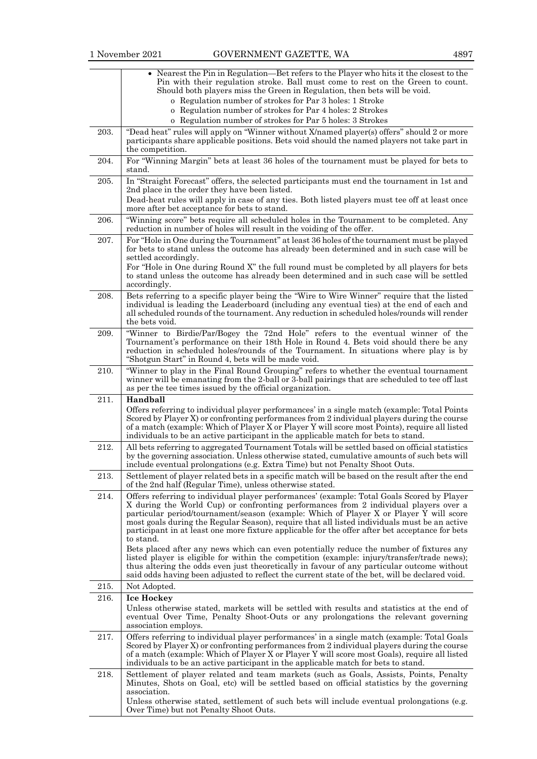|      | • Nearest the Pin in Regulation—Bet refers to the Player who hits it the closest to the<br>Pin with their regulation stroke. Ball must come to rest on the Green to count.<br>Should both players miss the Green in Regulation, then bets will be void.                                                                                                                                                                                                                                      |
|------|----------------------------------------------------------------------------------------------------------------------------------------------------------------------------------------------------------------------------------------------------------------------------------------------------------------------------------------------------------------------------------------------------------------------------------------------------------------------------------------------|
|      | o Regulation number of strokes for Par 3 holes: 1 Stroke                                                                                                                                                                                                                                                                                                                                                                                                                                     |
|      | o Regulation number of strokes for Par 4 holes: 2 Strokes                                                                                                                                                                                                                                                                                                                                                                                                                                    |
|      | o Regulation number of strokes for Par 5 holes: 3 Strokes                                                                                                                                                                                                                                                                                                                                                                                                                                    |
| 203. | "Dead heat" rules will apply on "Winner without X/named player(s) offers" should 2 or more<br>participants share applicable positions. Bets void should the named players not take part in<br>the competition.                                                                                                                                                                                                                                                                               |
| 204. | For "Winning Margin" bets at least 36 holes of the tournament must be played for bets to<br>stand.                                                                                                                                                                                                                                                                                                                                                                                           |
| 205. | In "Straight Forecast" offers, the selected participants must end the tournament in 1st and<br>2nd place in the order they have been listed.<br>Dead-heat rules will apply in case of any ties. Both listed players must tee off at least once<br>more after bet acceptance for bets to stand.                                                                                                                                                                                               |
| 206. | "Winning score" bets require all scheduled holes in the Tournament to be completed. Any<br>reduction in number of holes will result in the voiding of the offer.                                                                                                                                                                                                                                                                                                                             |
| 207. | For "Hole in One during the Tournament" at least 36 holes of the tournament must be played<br>for bets to stand unless the outcome has already been determined and in such case will be<br>settled accordingly.                                                                                                                                                                                                                                                                              |
|      | For "Hole in One during Round X" the full round must be completed by all players for bets<br>to stand unless the outcome has already been determined and in such case will be settled<br>accordingly.                                                                                                                                                                                                                                                                                        |
| 208. | Bets referring to a specific player being the "Wire to Wire Winner" require that the listed<br>individual is leading the Leaderboard (including any eventual ties) at the end of each and<br>all scheduled rounds of the tournament. Any reduction in scheduled holes/rounds will render<br>the bets void.                                                                                                                                                                                   |
| 209. | "Winner to Birdie/Par/Bogey the 72nd Hole" refers to the eventual winner of the<br>Tournament's performance on their 18th Hole in Round 4. Bets void should there be any<br>reduction in scheduled holes/rounds of the Tournament. In situations where play is by<br>"Shotgun Start" in Round 4, bets will be made void.                                                                                                                                                                     |
| 210. | "Winner to play in the Final Round Grouping" refers to whether the eventual tournament<br>winner will be emanating from the 2-ball or 3-ball pairings that are scheduled to tee off last<br>as per the tee times issued by the official organization.                                                                                                                                                                                                                                        |
|      |                                                                                                                                                                                                                                                                                                                                                                                                                                                                                              |
| 211. | Handball                                                                                                                                                                                                                                                                                                                                                                                                                                                                                     |
|      | Offers referring to individual player performances' in a single match (example: Total Points<br>Scored by Player X) or confronting performances from 2 individual players during the course<br>of a match (example: Which of Player X or Player Y will score most Points), require all listed<br>individuals to be an active participant in the applicable match for bets to stand.                                                                                                          |
| 212. | All bets referring to aggregated Tournament Totals will be settled based on official statistics<br>by the governing association. Unless otherwise stated, cumulative amounts of such bets will<br>include eventual prolongations (e.g. Extra Time) but not Penalty Shoot Outs.                                                                                                                                                                                                               |
| 213. | Settlement of player related bets in a specific match will be based on the result after the end<br>of the 2nd half (Regular Time), unless otherwise stated.                                                                                                                                                                                                                                                                                                                                  |
| 214. | Offers referring to individual player performances' (example: Total Goals Scored by Player<br>X during the World Cup) or confronting performances from 2 individual players over a<br>particular period/tournament/season (example: Which of Player X or Player Y will score<br>most goals during the Regular Season), require that all listed individuals must be an active<br>participant in at least one more fixture applicable for the offer after bet acceptance for bets<br>to stand. |
|      | Bets placed after any news which can even potentially reduce the number of fixtures any<br>listed player is eligible for within the competition (example: injury/transfer/trade news);<br>thus altering the odds even just theoretically in favour of any particular outcome without<br>said odds having been adjusted to reflect the current state of the bet, will be declared void.                                                                                                       |
| 215. | Not Adopted.                                                                                                                                                                                                                                                                                                                                                                                                                                                                                 |
| 216. | <b>Ice Hockey</b><br>Unless otherwise stated, markets will be settled with results and statistics at the end of<br>eventual Over Time, Penalty Shoot-Outs or any prolongations the relevant governing<br>association employs.                                                                                                                                                                                                                                                                |
| 217. | Offers referring to individual player performances' in a single match (example: Total Goals<br>Scored by Player X) or confronting performances from 2 individual players during the course<br>of a match (example: Which of Player X or Player Y will score most Goals), require all listed<br>individuals to be an active participant in the applicable match for bets to stand.                                                                                                            |
| 218. | Settlement of player related and team markets (such as Goals, Assists, Points, Penalty<br>Minutes, Shots on Goal, etc) will be settled based on official statistics by the governing<br>association.<br>Unless otherwise stated, settlement of such bets will include eventual prolongations (e.g.<br>Over Time) but not Penalty Shoot Outs.                                                                                                                                                 |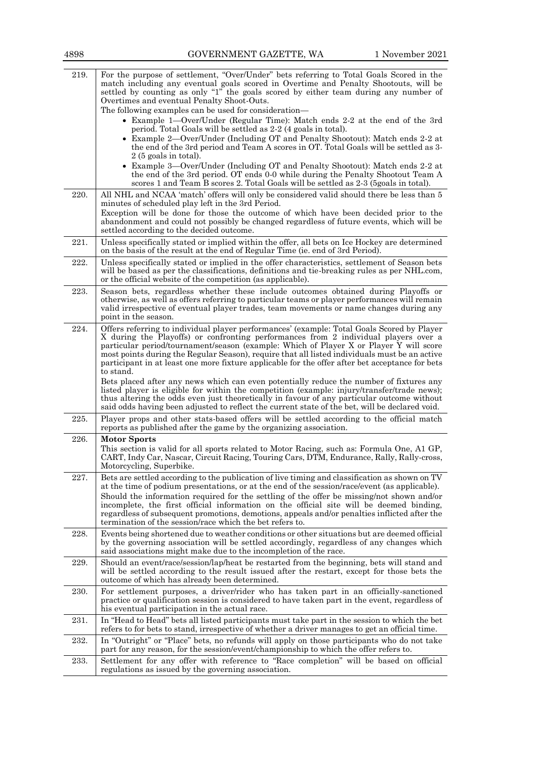| 219. | For the purpose of settlement, "Over/Under" bets referring to Total Goals Scored in the<br>match including any eventual goals scored in Overtime and Penalty Shootouts, will be<br>settled by counting as only "1" the goals scored by either team during any number of                                                                                                                                                                                                                                                                             |
|------|-----------------------------------------------------------------------------------------------------------------------------------------------------------------------------------------------------------------------------------------------------------------------------------------------------------------------------------------------------------------------------------------------------------------------------------------------------------------------------------------------------------------------------------------------------|
|      | Overtimes and eventual Penalty Shoot-Outs.<br>The following examples can be used for consideration—                                                                                                                                                                                                                                                                                                                                                                                                                                                 |
|      | • Example 1—Over/Under (Regular Time): Match ends 2-2 at the end of the 3rd                                                                                                                                                                                                                                                                                                                                                                                                                                                                         |
|      | period. Total Goals will be settled as 2-2 (4 goals in total).                                                                                                                                                                                                                                                                                                                                                                                                                                                                                      |
|      | • Example 2—Over/Under (Including OT and Penalty Shootout): Match ends 2-2 at<br>the end of the 3rd period and Team A scores in OT. Total Goals will be settled as 3-<br>$2(5 \text{ goals in total}).$                                                                                                                                                                                                                                                                                                                                             |
|      | • Example 3—Over/Under (Including OT and Penalty Shootout): Match ends 2-2 at<br>the end of the 3rd period. OT ends 0-0 while during the Penalty Shootout Team A<br>scores 1 and Team B scores 2. Total Goals will be settled as 2-3 (5 goals in total).                                                                                                                                                                                                                                                                                            |
| 220. | All NHL and NCAA 'match' offers will only be considered valid should there be less than 5<br>minutes of scheduled play left in the 3rd Period.                                                                                                                                                                                                                                                                                                                                                                                                      |
|      | Exception will be done for those the outcome of which have been decided prior to the<br>abandonment and could not possibly be changed regardless of future events, which will be<br>settled according to the decided outcome.                                                                                                                                                                                                                                                                                                                       |
| 221. | Unless specifically stated or implied within the offer, all bets on Ice Hockey are determined<br>on the basis of the result at the end of Regular Time (ie. end of 3rd Period).                                                                                                                                                                                                                                                                                                                                                                     |
| 222. | Unless specifically stated or implied in the offer characteristics, settlement of Season bets<br>will be based as per the classifications, definitions and tie-breaking rules as per NHL.com,<br>or the official website of the competition (as applicable).                                                                                                                                                                                                                                                                                        |
| 223. | Season bets, regardless whether these include outcomes obtained during Playoffs or<br>otherwise, as well as offers referring to particular teams or player performances will remain<br>valid irrespective of eventual player trades, team movements or name changes during any<br>point in the season.                                                                                                                                                                                                                                              |
| 224. | Offers referring to individual player performances' (example: Total Goals Scored by Player<br>X during the Playoffs) or confronting performances from 2 individual players over a<br>particular period/tournament/season (example: Which of Player X or Player Y will score<br>most points during the Regular Season), require that all listed individuals must be an active<br>participant in at least one more fixture applicable for the offer after bet acceptance for bets<br>to stand.                                                        |
|      | Bets placed after any news which can even potentially reduce the number of fixtures any<br>listed player is eligible for within the competition (example: injury/transfer/trade news);<br>thus altering the odds even just theoretically in favour of any particular outcome without<br>said odds having been adjusted to reflect the current state of the bet, will be declared void.                                                                                                                                                              |
| 225. | Player props and other stats-based offers will be settled according to the official match<br>reports as published after the game by the organizing association.                                                                                                                                                                                                                                                                                                                                                                                     |
| 226. | <b>Motor Sports</b><br>This section is valid for all sports related to Motor Racing, such as: Formula One, A1 GP,<br>CART, Indy Car, Nascar, Circuit Racing, Touring Cars, DTM, Endurance, Rally, Rally-cross,<br>Motorcycling, Superbike.                                                                                                                                                                                                                                                                                                          |
| 227. | Bets are settled according to the publication of live timing and classification as shown on TV<br>at the time of podium presentations, or at the end of the session/race/event (as applicable).<br>Should the information required for the settling of the offer be missing/not shown and/or<br>incomplete, the first official information on the official site will be deemed binding,<br>regardless of subsequent promotions, demotions, appeals and/or penalties inflicted after the<br>termination of the session/race which the bet refers to. |
| 228. | Events being shortened due to weather conditions or other situations but are deemed official                                                                                                                                                                                                                                                                                                                                                                                                                                                        |
|      | by the governing association will be settled accordingly, regardless of any changes which<br>said associations might make due to the incompletion of the race.                                                                                                                                                                                                                                                                                                                                                                                      |
| 229. | Should an event/race/session/lap/heat be restarted from the beginning, bets will stand and<br>will be settled according to the result issued after the restart, except for those bets the<br>outcome of which has already been determined.                                                                                                                                                                                                                                                                                                          |
| 230. | For settlement purposes, a driver/rider who has taken part in an officially-sanctioned<br>practice or qualification session is considered to have taken part in the event, regardless of<br>his eventual participation in the actual race.                                                                                                                                                                                                                                                                                                          |
| 231. | In "Head to Head" bets all listed participants must take part in the session to which the bet<br>refers to for bets to stand, irrespective of whether a driver manages to get an official time.                                                                                                                                                                                                                                                                                                                                                     |
| 232. | In "Outright" or "Place" bets, no refunds will apply on those participants who do not take<br>part for any reason, for the session/event/championship to which the offer refers to.                                                                                                                                                                                                                                                                                                                                                                 |
| 233. | Settlement for any offer with reference to "Race completion" will be based on official<br>regulations as issued by the governing association.                                                                                                                                                                                                                                                                                                                                                                                                       |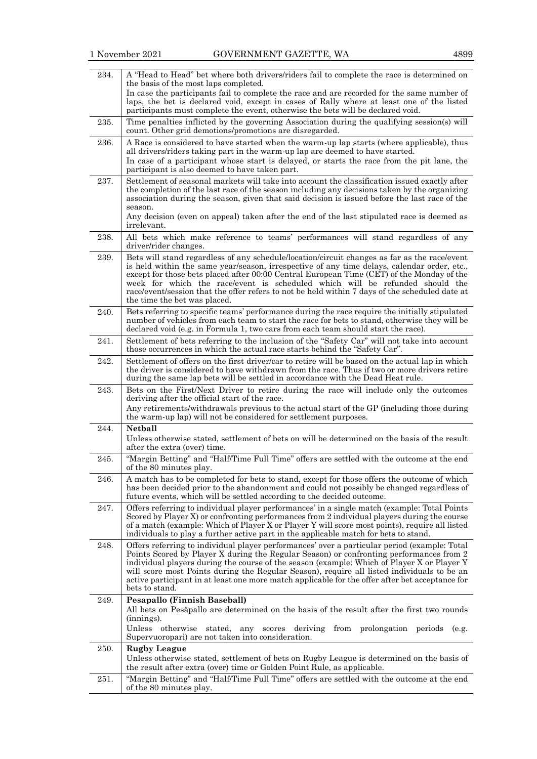| 234. | A "Head to Head" bet where both drivers/riders fail to complete the race is determined on<br>the basis of the most laps completed.                                                                                                                                                                                                                                                                                                                                                                         |
|------|------------------------------------------------------------------------------------------------------------------------------------------------------------------------------------------------------------------------------------------------------------------------------------------------------------------------------------------------------------------------------------------------------------------------------------------------------------------------------------------------------------|
|      | In case the participants fail to complete the race and are recorded for the same number of                                                                                                                                                                                                                                                                                                                                                                                                                 |
|      | laps, the bet is declared void, except in cases of Rally where at least one of the listed<br>participants must complete the event, otherwise the bets will be declared void.                                                                                                                                                                                                                                                                                                                               |
| 235. | Time penalties inflicted by the governing Association during the qualifying session(s) will<br>count. Other grid demotions/promotions are disregarded.                                                                                                                                                                                                                                                                                                                                                     |
| 236. | A Race is considered to have started when the warm-up lap starts (where applicable), thus<br>all drivers/riders taking part in the warm-up lap are deemed to have started.                                                                                                                                                                                                                                                                                                                                 |
|      | In case of a participant whose start is delayed, or starts the race from the pit lane, the<br>participant is also deemed to have taken part.                                                                                                                                                                                                                                                                                                                                                               |
| 237. | Settlement of seasonal markets will take into account the classification issued exactly after<br>the completion of the last race of the season including any decisions taken by the organizing<br>association during the season, given that said decision is issued before the last race of the<br>season.                                                                                                                                                                                                 |
|      | Any decision (even on appeal) taken after the end of the last stipulated race is deemed as<br>irrelevant.                                                                                                                                                                                                                                                                                                                                                                                                  |
| 238. | All bets which make reference to teams' performances will stand regardless of any<br>driver/rider changes.                                                                                                                                                                                                                                                                                                                                                                                                 |
| 239. | Bets will stand regardless of any schedule/location/circuit changes as far as the race/event<br>is held within the same year/season, irrespective of any time delays, calendar order, etc.,<br>except for those bets placed after 00:00 Central European Time (CET) of the Monday of the<br>week for which the race/event is scheduled which will be refunded should the<br>race/event/session that the offer refers to not be held within 7 days of the scheduled date at<br>the time the bet was placed. |
| 240. | Bets referring to specific teams' performance during the race require the initially stipulated<br>number of vehicles from each team to start the race for bets to stand, otherwise they will be<br>declared void (e.g. in Formula 1, two cars from each team should start the race).                                                                                                                                                                                                                       |
| 241. | Settlement of bets referring to the inclusion of the "Safety Car" will not take into account<br>those occurrences in which the actual race starts behind the "Safety Car".                                                                                                                                                                                                                                                                                                                                 |
| 242. | Settlement of offers on the first driver/car to retire will be based on the actual lap in which<br>the driver is considered to have withdrawn from the race. Thus if two or more drivers retire<br>during the same lap bets will be settled in accordance with the Dead Heat rule.                                                                                                                                                                                                                         |
| 243. | Bets on the First/Next Driver to retire during the race will include only the outcomes<br>deriving after the official start of the race.                                                                                                                                                                                                                                                                                                                                                                   |
|      | Any retirements/withdrawals previous to the actual start of the GP (including those during<br>the warm-up lap) will not be considered for settlement purposes.                                                                                                                                                                                                                                                                                                                                             |
| 244. | <b>Netball</b><br>Unless otherwise stated, settlement of bets on will be determined on the basis of the result<br>after the extra (over) time.                                                                                                                                                                                                                                                                                                                                                             |
| 245. | "Margin Betting" and "Half/Time Full Time" offers are settled with the outcome at the end<br>of the 80 minutes play.                                                                                                                                                                                                                                                                                                                                                                                       |
| 246. | A match has to be completed for bets to stand, except for those offers the outcome of which<br>has been decided prior to the abandonment and could not possibly be changed regardless of<br>future events, which will be settled according to the decided outcome.                                                                                                                                                                                                                                         |
| 247. | Offers referring to individual player performances' in a single match (example: Total Points<br>Scored by Player X) or confronting performances from 2 individual players during the course<br>of a match (example: Which of Player X or Player Y will score most points), require all listed<br>individuals to play a further active part in the applicable match for bets to stand.                                                                                                                      |
| 248. | Offers referring to individual player performances' over a particular period (example: Total<br>Points Scored by Player X during the Regular Season) or confronting performances from 2<br>individual players during the course of the season (example: Which of Player X or Player Y<br>will score most Points during the Regular Season), require all listed individuals to be an<br>active participant in at least one more match applicable for the offer after bet acceptance for<br>bets to stand.   |
| 249. | <b>Pesapallo (Finnish Baseball)</b><br>All bets on Pesäpallo are determined on the basis of the result after the first two rounds                                                                                                                                                                                                                                                                                                                                                                          |
|      | (innings).<br>Unless otherwise<br>stated, any scores deriving<br>from<br>prolongation periods<br>(e.g.<br>Supervuoropari) are not taken into consideration.                                                                                                                                                                                                                                                                                                                                                |
| 250. | <b>Rugby League</b>                                                                                                                                                                                                                                                                                                                                                                                                                                                                                        |
|      | Unless otherwise stated, settlement of bets on Rugby League is determined on the basis of<br>the result after extra (over) time or Golden Point Rule, as applicable.                                                                                                                                                                                                                                                                                                                                       |
| 251. | "Margin Betting" and "Half/Time Full Time" offers are settled with the outcome at the end<br>of the 80 minutes play.                                                                                                                                                                                                                                                                                                                                                                                       |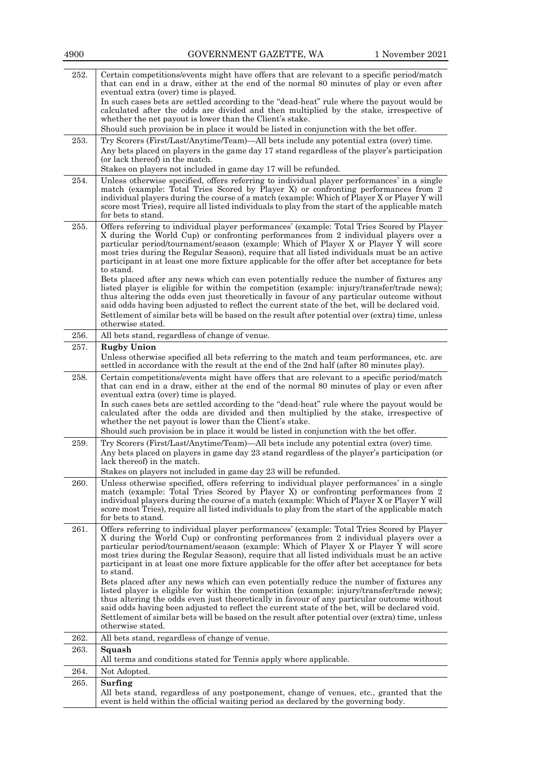| 252. | Certain competitions/events might have offers that are relevant to a specific period/match<br>that can end in a draw, either at the end of the normal 80 minutes of play or even after                                                                                                                                                                                                                                                                                                                                                                                          |
|------|---------------------------------------------------------------------------------------------------------------------------------------------------------------------------------------------------------------------------------------------------------------------------------------------------------------------------------------------------------------------------------------------------------------------------------------------------------------------------------------------------------------------------------------------------------------------------------|
|      | eventual extra (over) time is played.                                                                                                                                                                                                                                                                                                                                                                                                                                                                                                                                           |
|      | In such cases bets are settled according to the "dead-heat" rule where the payout would be<br>calculated after the odds are divided and then multiplied by the stake, irrespective of                                                                                                                                                                                                                                                                                                                                                                                           |
|      | whether the net payout is lower than the Client's stake.                                                                                                                                                                                                                                                                                                                                                                                                                                                                                                                        |
|      | Should such provision be in place it would be listed in conjunction with the bet offer.                                                                                                                                                                                                                                                                                                                                                                                                                                                                                         |
| 253. | Try Scorers (First/Last/Anytime/Team)—All bets include any potential extra (over) time.                                                                                                                                                                                                                                                                                                                                                                                                                                                                                         |
|      | Any bets placed on players in the game day 17 stand regardless of the player's participation<br>(or lack thereof) in the match.                                                                                                                                                                                                                                                                                                                                                                                                                                                 |
|      | Stakes on players not included in game day 17 will be refunded.                                                                                                                                                                                                                                                                                                                                                                                                                                                                                                                 |
| 254. | Unless otherwise specified, offers referring to individual player performances' in a single<br>match (example: Total Tries Scored by Player X) or confronting performances from 2<br>individual players during the course of a match (example: Which of Player X or Player Y will<br>score most Tries), require all listed individuals to play from the start of the applicable match<br>for bets to stand.                                                                                                                                                                     |
| 255. | Offers referring to individual player performances' (example: Total Tries Scored by Player<br>X during the World Cup) or confronting performances from 2 individual players over a<br>particular period/tournament/season (example: Which of Player X or Player Y will score<br>most tries during the Regular Season), require that all listed individuals must be an active<br>participant in at least one more fixture applicable for the offer after bet acceptance for bets<br>to stand.                                                                                    |
|      | Bets placed after any news which can even potentially reduce the number of fixtures any<br>listed player is eligible for within the competition (example: injury/transfer/trade news);<br>thus altering the odds even just theoretically in favour of any particular outcome without<br>said odds having been adjusted to reflect the current state of the bet, will be declared void.<br>Settlement of similar bets will be based on the result after potential over (extra) time, unless<br>otherwise stated.                                                                 |
| 256. | All bets stand, regardless of change of venue.                                                                                                                                                                                                                                                                                                                                                                                                                                                                                                                                  |
| 257. | <b>Rugby Union</b>                                                                                                                                                                                                                                                                                                                                                                                                                                                                                                                                                              |
|      | Unless otherwise specified all bets referring to the match and team performances, etc. are<br>settled in accordance with the result at the end of the 2nd half (after 80 minutes play).                                                                                                                                                                                                                                                                                                                                                                                         |
| 258. | Certain competitions/events might have offers that are relevant to a specific period/match<br>that can end in a draw, either at the end of the normal 80 minutes of play or even after<br>eventual extra (over) time is played.<br>In such cases bets are settled according to the "dead-heat" rule where the payout would be<br>calculated after the odds are divided and then multiplied by the stake, irrespective of<br>whether the net payout is lower than the Client's stake.<br>Should such provision be in place it would be listed in conjunction with the bet offer. |
| 259. | Try Scorers (First/Last/Anytime/Team)—All bets include any potential extra (over) time.                                                                                                                                                                                                                                                                                                                                                                                                                                                                                         |
|      | Any bets placed on players in game day 23 stand regardless of the player's participation (or<br>lack thereof) in the match.<br>Stakes on players not included in game day 23 will be refunded.                                                                                                                                                                                                                                                                                                                                                                                  |
| 260. | Unless otherwise specified, offers referring to individual player performances' in a single                                                                                                                                                                                                                                                                                                                                                                                                                                                                                     |
|      | match (example: Total Tries Scored by Player X) or confronting performances from 2<br>individual players during the course of a match (example: Which of Player X or Player Y will<br>score most Tries), require all listed individuals to play from the start of the applicable match<br>for bets to stand.                                                                                                                                                                                                                                                                    |
| 261. | Offers referring to individual player performances' (example: Total Tries Scored by Player<br>X during the World Cup) or confronting performances from 2 individual players over a<br>particular period/tournament/season (example: Which of Player X or Player Y will score<br>most tries during the Regular Season), require that all listed individuals must be an active<br>participant in at least one more fixture applicable for the offer after bet acceptance for bets<br>to stand.                                                                                    |
|      | Bets placed after any news which can even potentially reduce the number of fixtures any<br>listed player is eligible for within the competition (example: injury/transfer/trade news);<br>thus altering the odds even just theoretically in favour of any particular outcome without<br>said odds having been adjusted to reflect the current state of the bet, will be declared void.<br>Settlement of similar bets will be based on the result after potential over (extra) time, unless<br>otherwise stated.                                                                 |
| 262. | All bets stand, regardless of change of venue.                                                                                                                                                                                                                                                                                                                                                                                                                                                                                                                                  |
| 263. | Squash<br>All terms and conditions stated for Tennis apply where applicable.                                                                                                                                                                                                                                                                                                                                                                                                                                                                                                    |
| 264. | Not Adopted.                                                                                                                                                                                                                                                                                                                                                                                                                                                                                                                                                                    |
| 265. | Surfing                                                                                                                                                                                                                                                                                                                                                                                                                                                                                                                                                                         |
|      | All bets stand, regardless of any postponement, change of venues, etc., granted that the<br>event is held within the official waiting period as declared by the governing body.                                                                                                                                                                                                                                                                                                                                                                                                 |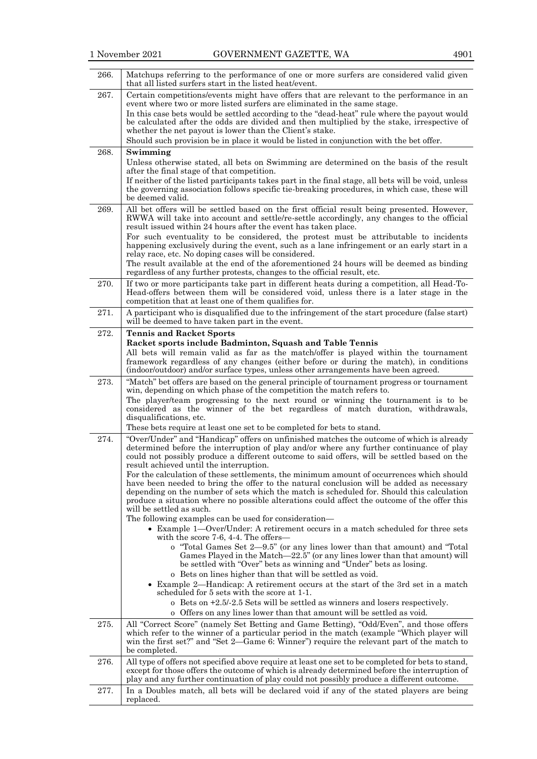| 266. | Matchups referring to the performance of one or more surfers are considered valid given<br>that all listed surfers start in the listed heat/event.                                                                                                                                                                                                 |
|------|----------------------------------------------------------------------------------------------------------------------------------------------------------------------------------------------------------------------------------------------------------------------------------------------------------------------------------------------------|
| 267. | Certain competitions/events might have offers that are relevant to the performance in an<br>event where two or more listed surfers are eliminated in the same stage.                                                                                                                                                                               |
|      | In this case bets would be settled according to the "dead-heat" rule where the payout would<br>be calculated after the odds are divided and then multiplied by the stake, irrespective of<br>whether the net payout is lower than the Client's stake.                                                                                              |
|      | Should such provision be in place it would be listed in conjunction with the bet offer.                                                                                                                                                                                                                                                            |
| 268. | Swimming<br>Unless otherwise stated, all bets on Swimming are determined on the basis of the result<br>after the final stage of that competition.                                                                                                                                                                                                  |
|      | If neither of the listed participants takes part in the final stage, all bets will be void, unless<br>the governing association follows specific tie-breaking procedures, in which case, these will<br>be deemed valid.                                                                                                                            |
| 269. | All bet offers will be settled based on the first official result being presented. However,<br>RWWA will take into account and settle/re-settle accordingly, any changes to the official<br>result issued within 24 hours after the event has taken place.<br>For such eventuality to be considered, the protest must be attributable to incidents |
|      | happening exclusively during the event, such as a lane infringement or an early start in a<br>relay race, etc. No doping cases will be considered.<br>The result available at the end of the aforementioned 24 hours will be deemed as binding                                                                                                     |
|      | regardless of any further protests, changes to the official result, etc.                                                                                                                                                                                                                                                                           |
| 270. | If two or more participants take part in different heats during a competition, all Head-To-<br>Head-offers between them will be considered void, unless there is a later stage in the<br>competition that at least one of them qualifies for.                                                                                                      |
| 271. | A participant who is disqualified due to the infringement of the start procedure (false start)<br>will be deemed to have taken part in the event.                                                                                                                                                                                                  |
| 272. | <b>Tennis and Racket Sports</b>                                                                                                                                                                                                                                                                                                                    |
|      | Racket sports include Badminton, Squash and Table Tennis<br>All bets will remain valid as far as the match/offer is played within the tournament                                                                                                                                                                                                   |
|      | framework regardless of any changes (either before or during the match), in conditions<br>(indoor/outdoor) and/or surface types, unless other arrangements have been agreed.                                                                                                                                                                       |
| 273. | "Match" bet offers are based on the general principle of tournament progress or tournament<br>win, depending on which phase of the competition the match refers to.                                                                                                                                                                                |
|      | The player/team progressing to the next round or winning the tournament is to be<br>considered as the winner of the bet regardless of match duration, withdrawals,<br>disqualifications, etc.                                                                                                                                                      |
|      | These bets require at least one set to be completed for bets to stand.                                                                                                                                                                                                                                                                             |
| 274. | "Over/Under" and "Handicap" offers on unfinished matches the outcome of which is already<br>determined before the interruption of play and/or where any further continuance of play                                                                                                                                                                |
|      | could not possibly produce a different outcome to said offers, will be settled based on the<br>result achieved until the interruption.                                                                                                                                                                                                             |
|      | For the calculation of these settlements, the minimum amount of occurrences which should                                                                                                                                                                                                                                                           |
|      | have been needed to bring the offer to the natural conclusion will be added as necessary<br>depending on the number of sets which the match is scheduled for. Should this calculation                                                                                                                                                              |
|      | produce a situation where no possible alterations could affect the outcome of the offer this<br>will be settled as such.                                                                                                                                                                                                                           |
|      | The following examples can be used for consideration—                                                                                                                                                                                                                                                                                              |
|      | • Example 1—Over/Under: A retirement occurs in a match scheduled for three sets<br>with the score $7-6$ , $4-4$ . The offers—                                                                                                                                                                                                                      |
|      | o "Total Games Set 2-9.5" (or any lines lower than that amount) and "Total<br>Games Played in the Match-22.5" (or any lines lower than that amount) will                                                                                                                                                                                           |
|      | be settled with "Over" bets as winning and "Under" bets as losing.                                                                                                                                                                                                                                                                                 |
|      | o Bets on lines higher than that will be settled as void.<br>• Example 2—Handicap: A retirement occurs at the start of the 3rd set in a match                                                                                                                                                                                                      |
|      | scheduled for 5 sets with the score at 1-1.                                                                                                                                                                                                                                                                                                        |
|      | o Bets on $+2.5/2.5$ Sets will be settled as winners and losers respectively.<br>o Offers on any lines lower than that amount will be settled as void.                                                                                                                                                                                             |
| 275. | All "Correct Score" (namely Set Betting and Game Betting), "Odd/Even", and those offers                                                                                                                                                                                                                                                            |
|      | which refer to the winner of a particular period in the match (example "Which player will<br>win the first set?" and "Set 2—Game 6: Winner") require the relevant part of the match to<br>be completed.                                                                                                                                            |
| 276. | All type of offers not specified above require at least one set to be completed for bets to stand,<br>except for those offers the outcome of which is already determined before the interruption of<br>play and any further continuation of play could not possibly produce a different outcome.                                                   |
| 277. | In a Doubles match, all bets will be declared void if any of the stated players are being<br>replaced.                                                                                                                                                                                                                                             |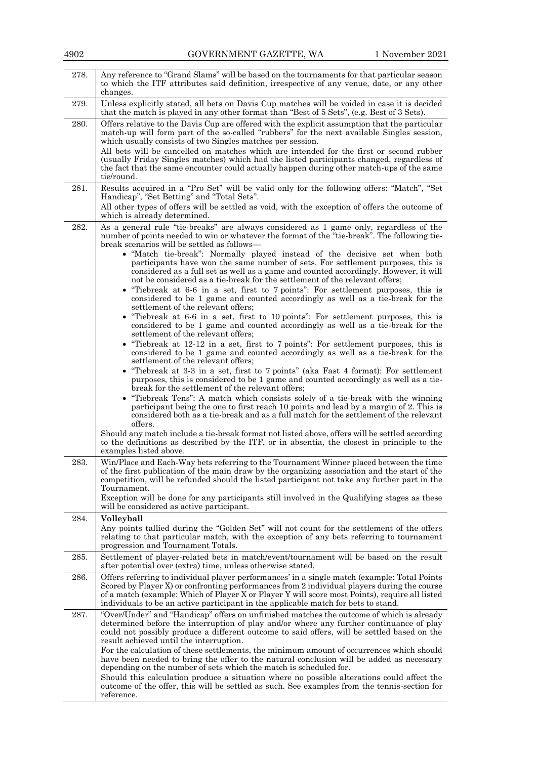| 278. | Any reference to "Grand Slams" will be based on the tournaments for that particular season<br>to which the ITF attributes said definition, irrespective of any venue, date, or any other<br>changes.                                                                                                                                                                                                                                                                                                                                                                                                                                                                                                                                                                                                                                                                                                                                                                                                                                                                                                                                                                                                                                                                                                                                                                                                                                                                                                                                                                                                                                                                                                                                                                                                                                                                                                                                                                    |
|------|-------------------------------------------------------------------------------------------------------------------------------------------------------------------------------------------------------------------------------------------------------------------------------------------------------------------------------------------------------------------------------------------------------------------------------------------------------------------------------------------------------------------------------------------------------------------------------------------------------------------------------------------------------------------------------------------------------------------------------------------------------------------------------------------------------------------------------------------------------------------------------------------------------------------------------------------------------------------------------------------------------------------------------------------------------------------------------------------------------------------------------------------------------------------------------------------------------------------------------------------------------------------------------------------------------------------------------------------------------------------------------------------------------------------------------------------------------------------------------------------------------------------------------------------------------------------------------------------------------------------------------------------------------------------------------------------------------------------------------------------------------------------------------------------------------------------------------------------------------------------------------------------------------------------------------------------------------------------------|
| 279. | Unless explicitly stated, all bets on Davis Cup matches will be voided in case it is decided<br>that the match is played in any other format than "Best of 5 Sets", (e.g. Best of 3 Sets).                                                                                                                                                                                                                                                                                                                                                                                                                                                                                                                                                                                                                                                                                                                                                                                                                                                                                                                                                                                                                                                                                                                                                                                                                                                                                                                                                                                                                                                                                                                                                                                                                                                                                                                                                                              |
| 280. | Offers relative to the Davis Cup are offered with the explicit assumption that the particular<br>match-up will form part of the so-called "rubbers" for the next available Singles session,<br>which usually consists of two Singles matches per session.<br>All bets will be cancelled on matches which are intended for the first or second rubber<br>(usually Friday Singles matches) which had the listed participants changed, regardless of<br>the fact that the same encounter could actually happen during other match-ups of the same<br>tie/round.                                                                                                                                                                                                                                                                                                                                                                                                                                                                                                                                                                                                                                                                                                                                                                                                                                                                                                                                                                                                                                                                                                                                                                                                                                                                                                                                                                                                            |
| 281. | Results acquired in a "Pro Set" will be valid only for the following offers: "Match", "Set<br>Handicap", "Set Betting" and "Total Sets".<br>All other types of offers will be settled as void, with the exception of offers the outcome of<br>which is already determined.                                                                                                                                                                                                                                                                                                                                                                                                                                                                                                                                                                                                                                                                                                                                                                                                                                                                                                                                                                                                                                                                                                                                                                                                                                                                                                                                                                                                                                                                                                                                                                                                                                                                                              |
| 282. | As a general rule "tie-breaks" are always considered as 1 game only, regardless of the<br>number of points needed to win or whatever the format of the "tie-break". The following tie-<br>break scenarios will be settled as follows—<br>• "Match tie-break": Normally played instead of the decisive set when both<br>participants have won the same number of sets. For settlement purposes, this is<br>considered as a full set as well as a game and counted accordingly. However, it will<br>not be considered as a tie-break for the settlement of the relevant offers;<br>• "Tiebreak at 6.6 in a set, first to 7 points": For settlement purposes, this is<br>considered to be 1 game and counted accordingly as well as a tie-break for the<br>settlement of the relevant offers;<br>• "Tiebreak at 6.6 in a set, first to 10 points": For settlement purposes, this is<br>considered to be 1 game and counted accordingly as well as a tie-break for the<br>settlement of the relevant offers;<br>• "Tiebreak at $12-12$ in a set, first to 7 points": For settlement purposes, this is<br>considered to be 1 game and counted accordingly as well as a tie-break for the<br>settlement of the relevant offers;<br>• "Tiebreak at 3-3 in a set, first to 7 points" (aka Fast 4 format): For settlement<br>purposes, this is considered to be 1 game and counted accordingly as well as a tie-<br>break for the settlement of the relevant offers;<br>• "Tiebreak Tens": A match which consists solely of a tie-break with the winning<br>participant being the one to first reach 10 points and lead by a margin of 2. This is<br>considered both as a tie-break and as a full match for the settlement of the relevant<br>offers.<br>Should any match include a tie-break format not listed above, offers will be settled according<br>to the definitions as described by the ITF, or in absentia, the closest in principle to the<br>examples listed above. |
| 283. | Win/Place and Each-Way bets referring to the Tournament Winner placed between the time<br>of the first publication of the main draw by the organizing association and the start of the<br>competition, will be refunded should the listed participant not take any further part in the<br>Tournament.<br>Exception will be done for any participants still involved in the Qualifying stages as these<br>will be considered as active participant.                                                                                                                                                                                                                                                                                                                                                                                                                                                                                                                                                                                                                                                                                                                                                                                                                                                                                                                                                                                                                                                                                                                                                                                                                                                                                                                                                                                                                                                                                                                      |
| 284. | Volleyball                                                                                                                                                                                                                                                                                                                                                                                                                                                                                                                                                                                                                                                                                                                                                                                                                                                                                                                                                                                                                                                                                                                                                                                                                                                                                                                                                                                                                                                                                                                                                                                                                                                                                                                                                                                                                                                                                                                                                              |
|      | Any points tallied during the "Golden Set" will not count for the settlement of the offers<br>relating to that particular match, with the exception of any bets referring to tournament<br>progression and Tournament Totals.                                                                                                                                                                                                                                                                                                                                                                                                                                                                                                                                                                                                                                                                                                                                                                                                                                                                                                                                                                                                                                                                                                                                                                                                                                                                                                                                                                                                                                                                                                                                                                                                                                                                                                                                           |
| 285. | Settlement of player-related bets in match/event/tournament will be based on the result<br>after potential over (extra) time, unless otherwise stated.                                                                                                                                                                                                                                                                                                                                                                                                                                                                                                                                                                                                                                                                                                                                                                                                                                                                                                                                                                                                                                                                                                                                                                                                                                                                                                                                                                                                                                                                                                                                                                                                                                                                                                                                                                                                                  |
| 286. | Offers referring to individual player performances' in a single match (example: Total Points<br>Scored by Player X) or confronting performances from 2 individual players during the course<br>of a match (example: Which of Player X or Player Y will score most Points), require all listed<br>individuals to be an active participant in the applicable match for bets to stand.                                                                                                                                                                                                                                                                                                                                                                                                                                                                                                                                                                                                                                                                                                                                                                                                                                                                                                                                                                                                                                                                                                                                                                                                                                                                                                                                                                                                                                                                                                                                                                                     |
| 287. | "Over/Under" and "Handicap" offers on unfinished matches the outcome of which is already<br>determined before the interruption of play and/or where any further continuance of play<br>could not possibly produce a different outcome to said offers, will be settled based on the<br>result achieved until the interruption.<br>For the calculation of these settlements, the minimum amount of occurrences which should<br>have been needed to bring the offer to the natural conclusion will be added as necessary<br>depending on the number of sets which the match is scheduled for.<br>Should this calculation produce a situation where no possible alterations could affect the<br>outcome of the offer, this will be settled as such. See examples from the tennis-section for<br>reference.                                                                                                                                                                                                                                                                                                                                                                                                                                                                                                                                                                                                                                                                                                                                                                                                                                                                                                                                                                                                                                                                                                                                                                  |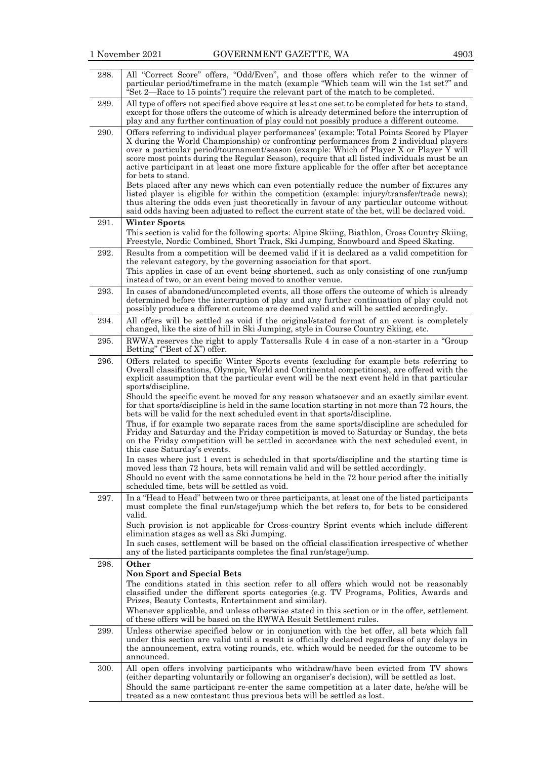| 288. | All "Correct Score" offers, "Odd/Even", and those offers which refer to the winner of<br>particular period/timeframe in the match (example "Which team will win the 1st set?" and<br>Set 2—Race to 15 points") require the relevant part of the match to be completed.                                                                                                                                                                                                                                                                                                                                                                                                                                                                                                                                                                                                                                                                                                                                                                                                                                                                                                                               |
|------|------------------------------------------------------------------------------------------------------------------------------------------------------------------------------------------------------------------------------------------------------------------------------------------------------------------------------------------------------------------------------------------------------------------------------------------------------------------------------------------------------------------------------------------------------------------------------------------------------------------------------------------------------------------------------------------------------------------------------------------------------------------------------------------------------------------------------------------------------------------------------------------------------------------------------------------------------------------------------------------------------------------------------------------------------------------------------------------------------------------------------------------------------------------------------------------------------|
| 289. | All type of offers not specified above require at least one set to be completed for bets to stand,<br>except for those offers the outcome of which is already determined before the interruption of<br>play and any further continuation of play could not possibly produce a different outcome.                                                                                                                                                                                                                                                                                                                                                                                                                                                                                                                                                                                                                                                                                                                                                                                                                                                                                                     |
| 290. | Offers referring to individual player performances' (example: Total Points Scored by Player<br>X during the World Championship) or confronting performances from 2 individual players<br>over a particular period/tournament/season (example: Which of Player X or Player Y will<br>score most points during the Regular Season), require that all listed individuals must be an<br>active participant in at least one more fixture applicable for the offer after bet acceptance<br>for bets to stand.<br>Bets placed after any news which can even potentially reduce the number of fixtures any<br>listed player is eligible for within the competition (example: injury/transfer/trade news);<br>thus altering the odds even just theoretically in favour of any particular outcome without<br>said odds having been adjusted to reflect the current state of the bet, will be declared void.                                                                                                                                                                                                                                                                                                    |
| 291. | <b>Winter Sports</b><br>This section is valid for the following sports: Alpine Skiing, Biathlon, Cross Country Skiing,<br>Freestyle, Nordic Combined, Short Track, Ski Jumping, Snowboard and Speed Skating.                                                                                                                                                                                                                                                                                                                                                                                                                                                                                                                                                                                                                                                                                                                                                                                                                                                                                                                                                                                         |
| 292. | Results from a competition will be deemed valid if it is declared as a valid competition for<br>the relevant category, by the governing association for that sport.<br>This applies in case of an event being shortened, such as only consisting of one run/jump<br>instead of two, or an event being moved to another venue.                                                                                                                                                                                                                                                                                                                                                                                                                                                                                                                                                                                                                                                                                                                                                                                                                                                                        |
| 293. | In cases of abandoned/uncompleted events, all those offers the outcome of which is already<br>determined before the interruption of play and any further continuation of play could not<br>possibly produce a different outcome are deemed valid and will be settled accordingly.                                                                                                                                                                                                                                                                                                                                                                                                                                                                                                                                                                                                                                                                                                                                                                                                                                                                                                                    |
| 294. | All offers will be settled as void if the original/stated format of an event is completely<br>changed, like the size of hill in Ski Jumping, style in Course Country Skiing, etc.                                                                                                                                                                                                                                                                                                                                                                                                                                                                                                                                                                                                                                                                                                                                                                                                                                                                                                                                                                                                                    |
| 295. | RWWA reserves the right to apply Tattersalls Rule 4 in case of a non-starter in a "Group<br>Betting" ("Best of X") offer.                                                                                                                                                                                                                                                                                                                                                                                                                                                                                                                                                                                                                                                                                                                                                                                                                                                                                                                                                                                                                                                                            |
| 296. | Offers related to specific Winter Sports events (excluding for example bets referring to<br>Overall classifications, Olympic, World and Continental competitions), are offered with the<br>explicit assumption that the particular event will be the next event held in that particular<br>sports/discipline.<br>Should the specific event be moved for any reason whatsoever and an exactly similar event<br>for that sports/discipline is held in the same location starting in not more than 72 hours, the<br>bets will be valid for the next scheduled event in that sports/discipline.<br>Thus, if for example two separate races from the same sports/discipline are scheduled for<br>Friday and Saturday and the Friday competition is moved to Saturday or Sunday, the bets<br>on the Friday competition will be settled in accordance with the next scheduled event, in<br>this case Saturday's events.<br>In cases where just 1 event is scheduled in that sports/discipline and the starting time is<br>moved less than 72 hours, bets will remain valid and will be settled accordingly.<br>Should no event with the same connotations be held in the 72 hour period after the initially |
| 297. | scheduled time, bets will be settled as void.<br>In a "Head to Head" between two or three participants, at least one of the listed participants<br>must complete the final run/stage/jump which the bet refers to, for bets to be considered                                                                                                                                                                                                                                                                                                                                                                                                                                                                                                                                                                                                                                                                                                                                                                                                                                                                                                                                                         |
|      | valid.<br>Such provision is not applicable for Cross-country Sprint events which include different<br>elimination stages as well as Ski Jumping.<br>In such cases, settlement will be based on the official classification irrespective of whether<br>any of the listed participants completes the final run/stage/jump.                                                                                                                                                                                                                                                                                                                                                                                                                                                                                                                                                                                                                                                                                                                                                                                                                                                                             |
| 298. | Other<br><b>Non Sport and Special Bets</b><br>The conditions stated in this section refer to all offers which would not be reasonably<br>classified under the different sports categories (e.g. TV Programs, Politics, Awards and<br>Prizes, Beauty Contests, Entertainment and similar).<br>Whenever applicable, and unless otherwise stated in this section or in the offer, settlement<br>of these offers will be based on the RWWA Result Settlement rules.                                                                                                                                                                                                                                                                                                                                                                                                                                                                                                                                                                                                                                                                                                                                      |
| 299. | Unless otherwise specified below or in conjunction with the bet offer, all bets which fall<br>under this section are valid until a result is officially declared regardless of any delays in<br>the announcement, extra voting rounds, etc. which would be needed for the outcome to be<br>announced.                                                                                                                                                                                                                                                                                                                                                                                                                                                                                                                                                                                                                                                                                                                                                                                                                                                                                                |
| 300. | All open offers involving participants who withdraw/have been evicted from TV shows<br>(either departing voluntarily or following an organiser's decision), will be settled as lost.<br>Should the same participant re-enter the same competition at a later date, he/she will be<br>treated as a new contestant thus previous bets will be settled as lost.                                                                                                                                                                                                                                                                                                                                                                                                                                                                                                                                                                                                                                                                                                                                                                                                                                         |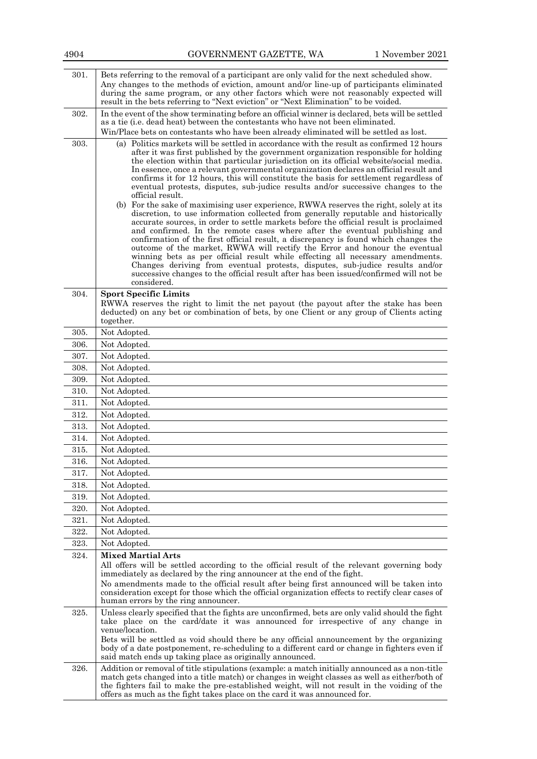| 301. | Bets referring to the removal of a participant are only valid for the next scheduled show.<br>Any changes to the methods of eviction, amount and/or line-up of participants eliminated<br>during the same program, or any other factors which were not reasonably expected will<br>result in the bets referring to "Next eviction" or "Next Elimination" to be voided.                                                                                                                                                                                                                                                                                                                                                                                                                                                                                                                                                                                                                                                                                                                                                                                                                                                                                                                                                                                                   |
|------|--------------------------------------------------------------------------------------------------------------------------------------------------------------------------------------------------------------------------------------------------------------------------------------------------------------------------------------------------------------------------------------------------------------------------------------------------------------------------------------------------------------------------------------------------------------------------------------------------------------------------------------------------------------------------------------------------------------------------------------------------------------------------------------------------------------------------------------------------------------------------------------------------------------------------------------------------------------------------------------------------------------------------------------------------------------------------------------------------------------------------------------------------------------------------------------------------------------------------------------------------------------------------------------------------------------------------------------------------------------------------|
| 302. | In the event of the show terminating before an official winner is declared, bets will be settled<br>as a tie (i.e. dead heat) between the contestants who have not been eliminated.<br>Win/Place bets on contestants who have been already eliminated will be settled as lost.                                                                                                                                                                                                                                                                                                                                                                                                                                                                                                                                                                                                                                                                                                                                                                                                                                                                                                                                                                                                                                                                                           |
| 303. | (a) Politics markets will be settled in accordance with the result as confirmed 12 hours<br>after it was first published by the government organization responsible for holding<br>the election within that particular jurisdiction on its official website/social media.<br>In essence, once a relevant governmental organization declares an official result and<br>confirms it for 12 hours, this will constitute the basis for settlement regardless of<br>eventual protests, disputes, sub-judice results and/or successive changes to the<br>official result.<br>(b) For the sake of maximising user experience, RWWA reserves the right, solely at its<br>discretion, to use information collected from generally reputable and historically<br>accurate sources, in order to settle markets before the official result is proclaimed<br>and confirmed. In the remote cases where after the eventual publishing and<br>confirmation of the first official result, a discrepancy is found which changes the<br>outcome of the market, RWWA will rectify the Error and honour the eventual<br>winning bets as per official result while effecting all necessary amendments.<br>Changes deriving from eventual protests, disputes, sub-judice results and/or<br>successive changes to the official result after has been issued/confirmed will not be<br>considered. |
| 304. | <b>Sport Specific Limits</b><br>RWWA reserves the right to limit the net payout (the payout after the stake has been<br>deducted) on any bet or combination of bets, by one Client or any group of Clients acting<br>together.                                                                                                                                                                                                                                                                                                                                                                                                                                                                                                                                                                                                                                                                                                                                                                                                                                                                                                                                                                                                                                                                                                                                           |
| 305. | Not Adopted.                                                                                                                                                                                                                                                                                                                                                                                                                                                                                                                                                                                                                                                                                                                                                                                                                                                                                                                                                                                                                                                                                                                                                                                                                                                                                                                                                             |
| 306. | Not Adopted.                                                                                                                                                                                                                                                                                                                                                                                                                                                                                                                                                                                                                                                                                                                                                                                                                                                                                                                                                                                                                                                                                                                                                                                                                                                                                                                                                             |
| 307. | Not Adopted.                                                                                                                                                                                                                                                                                                                                                                                                                                                                                                                                                                                                                                                                                                                                                                                                                                                                                                                                                                                                                                                                                                                                                                                                                                                                                                                                                             |
| 308. | Not Adopted.                                                                                                                                                                                                                                                                                                                                                                                                                                                                                                                                                                                                                                                                                                                                                                                                                                                                                                                                                                                                                                                                                                                                                                                                                                                                                                                                                             |
| 309. | Not Adopted.                                                                                                                                                                                                                                                                                                                                                                                                                                                                                                                                                                                                                                                                                                                                                                                                                                                                                                                                                                                                                                                                                                                                                                                                                                                                                                                                                             |
| 310. | Not Adopted.                                                                                                                                                                                                                                                                                                                                                                                                                                                                                                                                                                                                                                                                                                                                                                                                                                                                                                                                                                                                                                                                                                                                                                                                                                                                                                                                                             |
| 311. | Not Adopted.                                                                                                                                                                                                                                                                                                                                                                                                                                                                                                                                                                                                                                                                                                                                                                                                                                                                                                                                                                                                                                                                                                                                                                                                                                                                                                                                                             |
| 312. | Not Adopted.                                                                                                                                                                                                                                                                                                                                                                                                                                                                                                                                                                                                                                                                                                                                                                                                                                                                                                                                                                                                                                                                                                                                                                                                                                                                                                                                                             |
| 313. | Not Adopted.                                                                                                                                                                                                                                                                                                                                                                                                                                                                                                                                                                                                                                                                                                                                                                                                                                                                                                                                                                                                                                                                                                                                                                                                                                                                                                                                                             |
| 314. |                                                                                                                                                                                                                                                                                                                                                                                                                                                                                                                                                                                                                                                                                                                                                                                                                                                                                                                                                                                                                                                                                                                                                                                                                                                                                                                                                                          |
|      | Not Adopted.                                                                                                                                                                                                                                                                                                                                                                                                                                                                                                                                                                                                                                                                                                                                                                                                                                                                                                                                                                                                                                                                                                                                                                                                                                                                                                                                                             |
| 315. | Not Adopted.                                                                                                                                                                                                                                                                                                                                                                                                                                                                                                                                                                                                                                                                                                                                                                                                                                                                                                                                                                                                                                                                                                                                                                                                                                                                                                                                                             |
| 316. | Not Adopted.                                                                                                                                                                                                                                                                                                                                                                                                                                                                                                                                                                                                                                                                                                                                                                                                                                                                                                                                                                                                                                                                                                                                                                                                                                                                                                                                                             |
| 317. | Not Adopted.                                                                                                                                                                                                                                                                                                                                                                                                                                                                                                                                                                                                                                                                                                                                                                                                                                                                                                                                                                                                                                                                                                                                                                                                                                                                                                                                                             |
| 318. | Not Adopted.                                                                                                                                                                                                                                                                                                                                                                                                                                                                                                                                                                                                                                                                                                                                                                                                                                                                                                                                                                                                                                                                                                                                                                                                                                                                                                                                                             |
| 319. | Not Adopted.                                                                                                                                                                                                                                                                                                                                                                                                                                                                                                                                                                                                                                                                                                                                                                                                                                                                                                                                                                                                                                                                                                                                                                                                                                                                                                                                                             |
| 320. | Not Adopted.                                                                                                                                                                                                                                                                                                                                                                                                                                                                                                                                                                                                                                                                                                                                                                                                                                                                                                                                                                                                                                                                                                                                                                                                                                                                                                                                                             |
| 321. | Not Adopted.                                                                                                                                                                                                                                                                                                                                                                                                                                                                                                                                                                                                                                                                                                                                                                                                                                                                                                                                                                                                                                                                                                                                                                                                                                                                                                                                                             |
| 322. | Not Adopted.                                                                                                                                                                                                                                                                                                                                                                                                                                                                                                                                                                                                                                                                                                                                                                                                                                                                                                                                                                                                                                                                                                                                                                                                                                                                                                                                                             |
| 323. | Not Adopted.                                                                                                                                                                                                                                                                                                                                                                                                                                                                                                                                                                                                                                                                                                                                                                                                                                                                                                                                                                                                                                                                                                                                                                                                                                                                                                                                                             |
| 324. | <b>Mixed Martial Arts</b><br>All offers will be settled according to the official result of the relevant governing body<br>immediately as declared by the ring announcer at the end of the fight.<br>No amendments made to the official result after being first announced will be taken into<br>consideration except for those which the official organization effects to rectify clear cases of<br>human errors by the ring announcer.                                                                                                                                                                                                                                                                                                                                                                                                                                                                                                                                                                                                                                                                                                                                                                                                                                                                                                                                 |
| 325. | Unless clearly specified that the fights are unconfirmed, bets are only valid should the fight<br>take place on the card/date it was announced for irrespective of any change in<br>venue/location.<br>Bets will be settled as void should there be any official announcement by the organizing<br>body of a date postponement, re-scheduling to a different card or change in fighters even if<br>said match ends up taking place as originally announced.                                                                                                                                                                                                                                                                                                                                                                                                                                                                                                                                                                                                                                                                                                                                                                                                                                                                                                              |
| 326. | Addition or removal of title stipulations (example: a match initially announced as a non-title<br>match gets changed into a title match) or changes in weight classes as well as either/both of<br>the fighters fail to make the pre-established weight, will not result in the voiding of the<br>offers as much as the fight takes place on the card it was announced for.                                                                                                                                                                                                                                                                                                                                                                                                                                                                                                                                                                                                                                                                                                                                                                                                                                                                                                                                                                                              |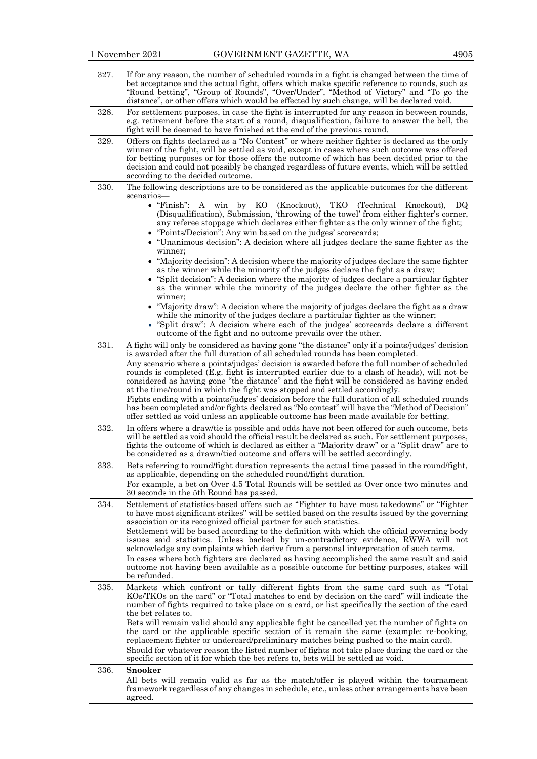| 327. | If for any reason, the number of scheduled rounds in a fight is changed between the time of<br>bet acceptance and the actual fight, offers which make specific reference to rounds, such as<br>"Round betting", "Group of Rounds", "Over/Under", "Method of Victory" and "To go the<br>distance", or other offers which would be effected by such change, will be declared void.                                                                                                                                                                                                                                                                                                                                                                            |
|------|-------------------------------------------------------------------------------------------------------------------------------------------------------------------------------------------------------------------------------------------------------------------------------------------------------------------------------------------------------------------------------------------------------------------------------------------------------------------------------------------------------------------------------------------------------------------------------------------------------------------------------------------------------------------------------------------------------------------------------------------------------------|
| 328. | For settlement purposes, in case the fight is interrupted for any reason in between rounds,<br>e.g. retirement before the start of a round, disqualification, failure to answer the bell, the<br>fight will be deemed to have finished at the end of the previous round.                                                                                                                                                                                                                                                                                                                                                                                                                                                                                    |
| 329. | Offers on fights declared as a "No Contest" or where neither fighter is declared as the only<br>winner of the fight, will be settled as void, except in cases where such outcome was offered<br>for betting purposes or for those offers the outcome of which has been decided prior to the<br>decision and could not possibly be changed regardless of future events, which will be settled<br>according to the decided outcome.                                                                                                                                                                                                                                                                                                                           |
| 330. | The following descriptions are to be considered as the applicable outcomes for the different<br>scenarios-                                                                                                                                                                                                                                                                                                                                                                                                                                                                                                                                                                                                                                                  |
|      | $\bullet$ "Finish":<br>A win<br>by KO (Knockout),<br>ТКО<br>(Technical Knockout),<br>DQ<br>(Disqualification), Submission, 'throwing of the towel' from either fighter's corner,<br>any referee stoppage which declares either fighter as the only winner of the fight;<br>• "Points/Decision": Any win based on the judges' scorecards;<br>• "Unanimous decision": A decision where all judges declare the same fighter as the<br>winner;                                                                                                                                                                                                                                                                                                                  |
|      | • "Majority decision": A decision where the majority of judges declare the same fighter<br>as the winner while the minority of the judges declare the fight as a draw;<br>• "Split decision": A decision where the majority of judges declare a particular fighter<br>as the winner while the minority of the judges declare the other fighter as the<br>winner;<br>• "Majority draw": A decision where the majority of judges declare the fight as a draw                                                                                                                                                                                                                                                                                                  |
|      | while the minority of the judges declare a particular fighter as the winner;<br>• "Split draw": A decision where each of the judges' score cards declare a different<br>outcome of the fight and no outcome prevails over the other.                                                                                                                                                                                                                                                                                                                                                                                                                                                                                                                        |
| 331. | A fight will only be considered as having gone "the distance" only if a points/judges' decision<br>is awarded after the full duration of all scheduled rounds has been completed.<br>Any scenario where a points/judges' decision is awarded before the full number of scheduled<br>rounds is completed (E.g. fight is interrupted earlier due to a clash of heads), will not be<br>considered as having gone "the distance" and the fight will be considered as having ended<br>at the time/round in which the fight was stopped and settled accordingly.<br>Fights ending with a points/judges' decision before the full duration of all scheduled rounds<br>has been completed and/or fights declared as "No contest" will have the "Method of Decision" |
| 332. | offer settled as void unless an applicable outcome has been made available for betting.<br>In offers where a draw/tie is possible and odds have not been offered for such outcome, bets<br>will be settled as void should the official result be declared as such. For settlement purposes,<br>fights the outcome of which is declared as either a "Majority draw" or a "Split draw" are to                                                                                                                                                                                                                                                                                                                                                                 |
| 333. | be considered as a drawn/tied outcome and offers will be settled accordingly.<br>Bets referring to round/fight duration represents the actual time passed in the round/fight,<br>as applicable, depending on the scheduled round/fight duration.<br>For example, a bet on Over 4.5 Total Rounds will be settled as Over once two minutes and<br>30 seconds in the 5th Round has passed.                                                                                                                                                                                                                                                                                                                                                                     |
| 334. | Settlement of statistics-based offers such as "Fighter to have most takedowns" or "Fighter<br>to have most significant strikes" will be settled based on the results issued by the governing<br>association or its recognized official partner for such statistics.<br>Settlement will be based according to the definition with which the official governing body<br>issues said statistics. Unless backed by un-contradictory evidence, RWWA will not<br>acknowledge any complaints which derive from a personal interpretation of such terms.<br>In cases where both fighters are declared as having accomplished the same result and said<br>outcome not having been available as a possible outcome for betting purposes, stakes will<br>be refunded.  |
| 335. | Markets which confront or tally different fights from the same card such as "Total<br>KOs/TKOs on the card" or "Total matches to end by decision on the card" will indicate the<br>number of fights required to take place on a card, or list specifically the section of the card<br>the bet relates to.                                                                                                                                                                                                                                                                                                                                                                                                                                                   |
|      | Bets will remain valid should any applicable fight be cancelled yet the number of fights on<br>the card or the applicable specific section of it remain the same (example: re-booking,<br>replacement fighter or undercard/preliminary matches being pushed to the main card).<br>Should for whatever reason the listed number of fights not take place during the card or the<br>specific section of it for which the bet refers to, bets will be settled as void.                                                                                                                                                                                                                                                                                         |
| 336. | <b>Snooker</b><br>All bets will remain valid as far as the match/offer is played within the tournament<br>framework regardless of any changes in schedule, etc., unless other arrangements have been<br>agreed.                                                                                                                                                                                                                                                                                                                                                                                                                                                                                                                                             |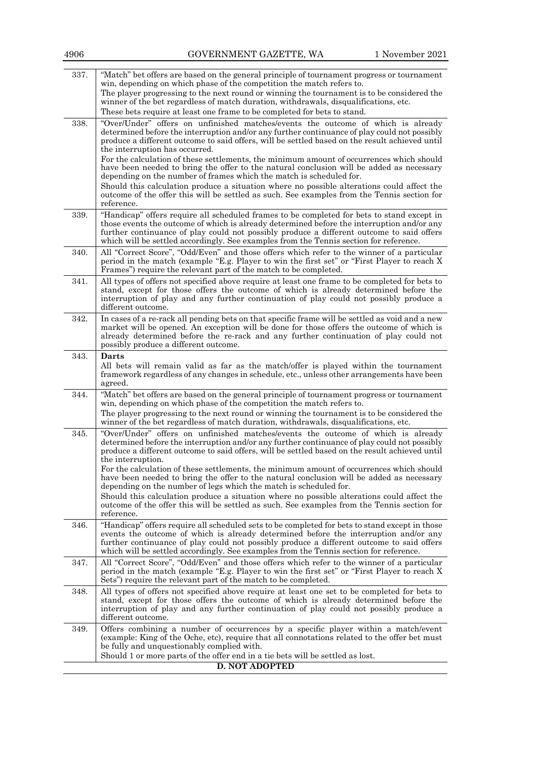| 4906 | GOVERNMENT GAZETTE, WA                                                                                                                                                                                                                                                                                                                                                                                                                                                                                                                                                                                                                                                                                                                                                                         | 1 November 2021 |
|------|------------------------------------------------------------------------------------------------------------------------------------------------------------------------------------------------------------------------------------------------------------------------------------------------------------------------------------------------------------------------------------------------------------------------------------------------------------------------------------------------------------------------------------------------------------------------------------------------------------------------------------------------------------------------------------------------------------------------------------------------------------------------------------------------|-----------------|
| 337. | "Match" bet offers are based on the general principle of tournament progress or tournament<br>win, depending on which phase of the competition the match refers to.<br>The player progressing to the next round or winning the tournament is to be considered the<br>winner of the bet regardless of match duration, withdrawals, disqualifications, etc.<br>These bets require at least one frame to be completed for bets to stand.                                                                                                                                                                                                                                                                                                                                                          |                 |
| 338. | "Over/Under" offers on unfinished matches/events the outcome of which is already<br>determined before the interruption and/or any further continuance of play could not possibly<br>produce a different outcome to said offers, will be settled based on the result achieved until<br>the interruption has occurred.<br>For the calculation of these settlements, the minimum amount of occurrences which should<br>have been needed to bring the offer to the natural conclusion will be added as necessary<br>depending on the number of frames which the match is scheduled for.<br>Should this calculation produce a situation where no possible alterations could affect the<br>outcome of the offer this will be settled as such. See examples from the Tennis section for<br>reference. |                 |
| 339. | "Handicap" offers require all scheduled frames to be completed for bets to stand except in<br>those events the outcome of which is already determined before the interruption and/or any<br>further continuance of play could not possibly produce a different outcome to said offers<br>which will be settled accordingly. See examples from the Tennis section for reference.                                                                                                                                                                                                                                                                                                                                                                                                                |                 |
| 340. | All "Correct Score", "Odd/Even" and those offers which refer to the winner of a particular<br>period in the match (example "E.g. Player to win the first set" or "First Player to reach X<br>Frames") require the relevant part of the match to be completed.                                                                                                                                                                                                                                                                                                                                                                                                                                                                                                                                  |                 |
| 341. | All types of offers not specified above require at least one frame to be completed for bets to<br>stand, except for those offers the outcome of which is already determined before the<br>interruption of play and any further continuation of play could not possibly produce a<br>different outcome.                                                                                                                                                                                                                                                                                                                                                                                                                                                                                         |                 |
| 342. | In cases of a re-rack all pending bets on that specific frame will be settled as void and a new<br>market will be opened. An exception will be done for those offers the outcome of which is<br>already determined before the re-rack and any further continuation of play could not<br>possibly produce a different outcome.                                                                                                                                                                                                                                                                                                                                                                                                                                                                  |                 |
| 343. | Darts<br>All bets will remain valid as far as the match/offer is played within the tournament<br>framework regardless of any changes in schedule, etc., unless other arrangements have been<br>agreed.                                                                                                                                                                                                                                                                                                                                                                                                                                                                                                                                                                                         |                 |
| 344. | "Match" bet offers are based on the general principle of tournament progress or tournament<br>win, depending on which phase of the competition the match refers to.<br>The player progressing to the next round or winning the tournament is to be considered the<br>winner of the bet regardless of match duration, withdrawals, disqualifications, etc.                                                                                                                                                                                                                                                                                                                                                                                                                                      |                 |
| 345. | "Over/Under" offers on unfinished matches/events the outcome of which is already<br>determined before the interruption and/or any further continuance of play could not possibly<br>produce a different outcome to said offers, will be settled based on the result achieved until<br>the interruption.<br>For the calculation of these settlements, the minimum amount of occurrences which should<br>have been needed to bring the offer to the natural conclusion will be added as necessary<br>depending on the number of legs which the match is scheduled for.<br>Should this calculation produce a situation where no possible alterations could affect the<br>outcome of the offer this will be settled as such. See examples from the Tennis section for<br>reference.                |                 |
| 346. | "Handicap" offers require all scheduled sets to be completed for bets to stand except in those<br>events the outcome of which is already determined before the interruption and/or any<br>further continuance of play could not possibly produce a different outcome to said offers<br>which will be settled accordingly. See examples from the Tennis section for reference.                                                                                                                                                                                                                                                                                                                                                                                                                  |                 |
| 347. | All "Correct Score", "Odd/Even" and those offers which refer to the winner of a particular<br>period in the match (example "E.g. Player to win the first set" or "First Player to reach X<br>Sets") require the relevant part of the match to be completed.                                                                                                                                                                                                                                                                                                                                                                                                                                                                                                                                    |                 |
| 348. | All types of offers not specified above require at least one set to be completed for bets to<br>stand, except for those offers the outcome of which is already determined before the<br>interruption of play and any further continuation of play could not possibly produce a<br>different outcome.                                                                                                                                                                                                                                                                                                                                                                                                                                                                                           |                 |
| 349. | Offers combining a number of occurrences by a specific player within a match/event<br>(example: King of the Oche, etc), require that all connotations related to the offer bet must<br>be fully and unquestionably complied with.<br>Should 1 or more parts of the offer end in a tie bets will be settled as lost.                                                                                                                                                                                                                                                                                                                                                                                                                                                                            |                 |
|      | <b>D. NOT ADOPTED</b>                                                                                                                                                                                                                                                                                                                                                                                                                                                                                                                                                                                                                                                                                                                                                                          |                 |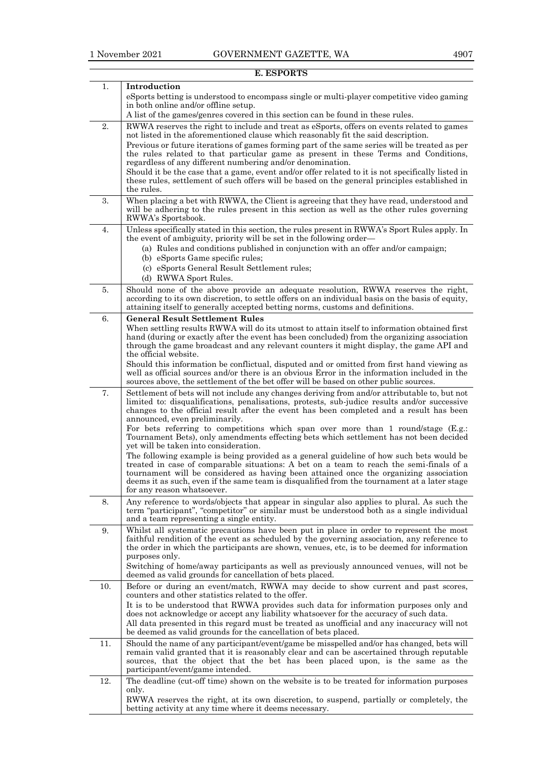|     | E. ESPORTS                                                                                                                                                                                                                                                                                                                                                                                                 |
|-----|------------------------------------------------------------------------------------------------------------------------------------------------------------------------------------------------------------------------------------------------------------------------------------------------------------------------------------------------------------------------------------------------------------|
| 1.  | Introduction<br>eSports betting is understood to encompass single or multi-player competitive video gaming                                                                                                                                                                                                                                                                                                 |
|     | in both online and/or offline setup.<br>A list of the games/genres covered in this section can be found in these rules.                                                                                                                                                                                                                                                                                    |
| 2.  | RWWA reserves the right to include and treat as eSports, offers on events related to games                                                                                                                                                                                                                                                                                                                 |
|     | not listed in the aforementioned clause which reasonably fit the said description.<br>Previous or future iterations of games forming part of the same series will be treated as per                                                                                                                                                                                                                        |
|     | the rules related to that particular game as present in these Terms and Conditions,<br>regardless of any different numbering and/or denomination.                                                                                                                                                                                                                                                          |
|     | Should it be the case that a game, event and/or offer related to it is not specifically listed in<br>these rules, settlement of such offers will be based on the general principles established in<br>the rules.                                                                                                                                                                                           |
| 3.  | When placing a bet with RWWA, the Client is agreeing that they have read, understood and<br>will be adhering to the rules present in this section as well as the other rules governing<br>RWWA's Sportsbook.                                                                                                                                                                                               |
| 4.  | Unless specifically stated in this section, the rules present in RWWA's Sport Rules apply. In<br>the event of ambiguity, priority will be set in the following order—<br>(a) Rules and conditions published in conjunction with an offer and/or campaign;                                                                                                                                                  |
|     | (b) eSports Game specific rules;<br>(c) eSports General Result Settlement rules;<br>(d) RWWA Sport Rules.                                                                                                                                                                                                                                                                                                  |
| 5.  | Should none of the above provide an adequate resolution, RWWA reserves the right,                                                                                                                                                                                                                                                                                                                          |
|     | according to its own discretion, to settle offers on an individual basis on the basis of equity,<br>attaining itself to generally accepted betting norms, customs and definitions.                                                                                                                                                                                                                         |
| 6.  | <b>General Result Settlement Rules</b>                                                                                                                                                                                                                                                                                                                                                                     |
|     | When settling results RWWA will do its utmost to attain itself to information obtained first<br>hand (during or exactly after the event has been concluded) from the organizing association<br>through the game broadcast and any relevant counters it might display, the game API and<br>the official website.                                                                                            |
|     | Should this information be conflictual, disputed and or omitted from first hand viewing as<br>well as official sources and/or there is an obvious Error in the information included in the<br>sources above, the settlement of the bet offer will be based on other public sources.                                                                                                                        |
| 7.  | Settlement of bets will not include any changes deriving from and/or attributable to, but not                                                                                                                                                                                                                                                                                                              |
|     | limited to: disqualifications, penalisations, protests, sub-judice results and/or successive<br>changes to the official result after the event has been completed and a result has been<br>announced, even preliminarily.                                                                                                                                                                                  |
|     | For bets referring to competitions which span over more than 1 round/stage (E.g.:<br>Tournament Bets), only amendments effecting bets which settlement has not been decided<br>yet will be taken into consideration.                                                                                                                                                                                       |
|     | The following example is being provided as a general guideline of how such bets would be<br>treated in case of comparable situations: A bet on a team to reach the semi-finals of a<br>tournament will be considered as having been attained once the organizing association<br>deems it as such, even if the same team is disqualified from the tournament at a later stage<br>for any reason whatsoever. |
| 8.  | Any reference to words/objects that appear in singular also applies to plural. As such the<br>term "participant", "competitor" or similar must be understood both as a single individual<br>and a team representing a single entity.                                                                                                                                                                       |
| 9.  | Whilst all systematic precautions have been put in place in order to represent the most<br>faithful rendition of the event as scheduled by the governing association, any reference to<br>the order in which the participants are shown, venues, etc, is to be deemed for information<br>purposes only.<br>Switching of home/away participants as well as previously announced venues, will not be         |
|     | deemed as valid grounds for cancellation of bets placed.                                                                                                                                                                                                                                                                                                                                                   |
| 10. | Before or during an event/match, RWWA may decide to show current and past scores,<br>counters and other statistics related to the offer.                                                                                                                                                                                                                                                                   |
|     | It is to be understood that RWWA provides such data for information purposes only and<br>does not acknowledge or accept any liability whatsoever for the accuracy of such data.<br>All data presented in this regard must be treated as unofficial and any inaccuracy will not<br>be deemed as valid grounds for the cancellation of bets placed.                                                          |
| 11. | Should the name of any participant/event/game be misspelled and/or has changed, bets will<br>remain valid granted that it is reasonably clear and can be ascertained through reputable<br>sources, that the object that the bet has been placed upon, is the same as the<br>participant/event/game intended.                                                                                               |
| 12. | The deadline (cut-off time) shown on the website is to be treated for information purposes<br>only.                                                                                                                                                                                                                                                                                                        |
|     | RWWA reserves the right, at its own discretion, to suspend, partially or completely, the<br>betting activity at any time where it deems necessary.                                                                                                                                                                                                                                                         |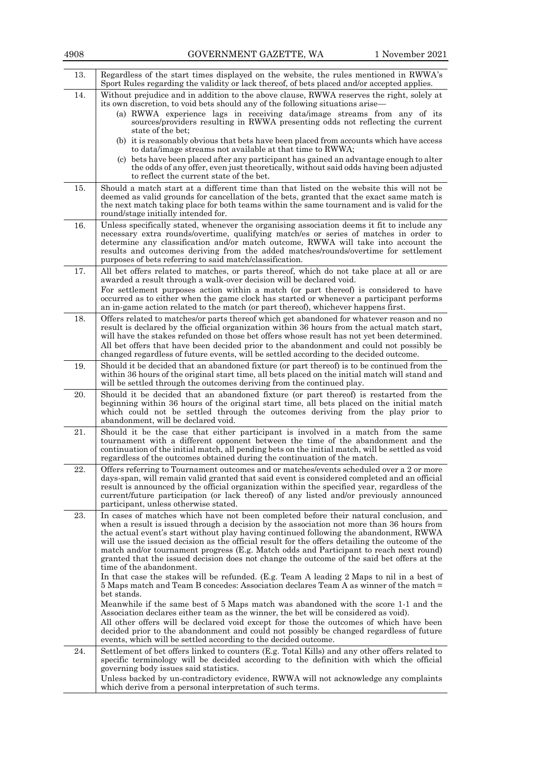| 13. | Regardless of the start times displayed on the website, the rules mentioned in RWWA's<br>Sport Rules regarding the validity or lack thereof, of bets placed and/or accepted applies.                                                                                                                                                                                                                                                                                                                                                                                                                                                                                                                                                                                                        |
|-----|---------------------------------------------------------------------------------------------------------------------------------------------------------------------------------------------------------------------------------------------------------------------------------------------------------------------------------------------------------------------------------------------------------------------------------------------------------------------------------------------------------------------------------------------------------------------------------------------------------------------------------------------------------------------------------------------------------------------------------------------------------------------------------------------|
| 14. | Without prejudice and in addition to the above clause, RWWA reserves the right, solely at<br>its own discretion, to void bets should any of the following situations arise-                                                                                                                                                                                                                                                                                                                                                                                                                                                                                                                                                                                                                 |
|     | (a) RWWA experience lags in receiving data/image streams from any of its<br>sources/providers resulting in RWWA presenting odds not reflecting the current<br>state of the bet;                                                                                                                                                                                                                                                                                                                                                                                                                                                                                                                                                                                                             |
|     | (b) it is reasonably obvious that bets have been placed from accounts which have access<br>to data/image streams not available at that time to RWWA;                                                                                                                                                                                                                                                                                                                                                                                                                                                                                                                                                                                                                                        |
|     | (c) bets have been placed after any participant has gained an advantage enough to alter<br>the odds of any offer, even just theoretically, without said odds having been adjusted<br>to reflect the current state of the bet.                                                                                                                                                                                                                                                                                                                                                                                                                                                                                                                                                               |
| 15. | Should a match start at a different time than that listed on the website this will not be<br>deemed as valid grounds for cancellation of the bets, granted that the exact same match is<br>the next match taking place for both teams within the same tournament and is valid for the<br>round/stage initially intended for.                                                                                                                                                                                                                                                                                                                                                                                                                                                                |
| 16. | Unless specifically stated, whenever the organising association deems it fit to include any<br>necessary extra rounds/overtime, qualifying match/es or series of matches in order to<br>determine any classification and/or match outcome, RWWA will take into account the<br>results and outcomes deriving from the added matches/rounds/overtime for settlement<br>purposes of bets referring to said match/classification.                                                                                                                                                                                                                                                                                                                                                               |
| 17. | All bet offers related to matches, or parts thereof, which do not take place at all or are<br>awarded a result through a walk-over decision will be declared void.<br>For settlement purposes action within a match (or part thereof) is considered to have<br>occurred as to either when the game clock has started or whenever a participant performs<br>an in-game action related to the match (or part thereof), whichever happens first.                                                                                                                                                                                                                                                                                                                                               |
| 18. | Offers related to matches/or parts thereof which get abandoned for whatever reason and no<br>result is declared by the official organization within 36 hours from the actual match start,<br>will have the stakes refunded on those bet offers whose result has not yet been determined.<br>All bet offers that have been decided prior to the abandonment and could not possibly be<br>changed regardless of future events, will be settled according to the decided outcome.                                                                                                                                                                                                                                                                                                              |
| 19. | Should it be decided that an abandoned fixture (or part thereof) is to be continued from the<br>within 36 hours of the original start time, all bets placed on the initial match will stand and<br>will be settled through the outcomes deriving from the continued play.                                                                                                                                                                                                                                                                                                                                                                                                                                                                                                                   |
| 20. | Should it be decided that an abandoned fixture (or part thereof) is restarted from the<br>beginning within 36 hours of the original start time, all bets placed on the initial match<br>which could not be settled through the outcomes deriving from the play prior to<br>abandonment, will be declared void.                                                                                                                                                                                                                                                                                                                                                                                                                                                                              |
| 21. | Should it be the case that either participant is involved in a match from the same<br>tournament with a different opponent between the time of the abandonment and the<br>continuation of the initial match, all pending bets on the initial match, will be settled as void<br>regardless of the outcomes obtained during the continuation of the match.                                                                                                                                                                                                                                                                                                                                                                                                                                    |
| 22. | Offers referring to Tournament outcomes and or matches/events scheduled over a 2 or more<br>days-span, will remain valid granted that said event is considered completed and an official<br>result is announced by the official organization within the specified year, regardless of the<br>current/future participation (or lack thereof) of any listed and/or previously announced<br>participant, unless otherwise stated.                                                                                                                                                                                                                                                                                                                                                              |
| 23. | In cases of matches which have not been completed before their natural conclusion, and<br>when a result is issued through a decision by the association not more than 36 hours from<br>the actual event's start without play having continued following the abandonment, RWWA<br>will use the issued decision as the official result for the offers detailing the outcome of the<br>match and/or tournament progress (E.g. Match odds and Participant to reach next round)<br>granted that the issued decision does not change the outcome of the said bet offers at the<br>time of the abandonment.<br>In that case the stakes will be refunded. (E.g. Team A leading 2 Maps to nil in a best of<br>5 Maps match and Team B concedes: Association declares Team A as winner of the match = |
|     | bet stands.<br>Meanwhile if the same best of 5 Maps match was abandoned with the score 1-1 and the<br>Association declares either team as the winner, the bet will be considered as void.                                                                                                                                                                                                                                                                                                                                                                                                                                                                                                                                                                                                   |
|     | All other offers will be declared void except for those the outcomes of which have been<br>decided prior to the abandonment and could not possibly be changed regardless of future<br>events, which will be settled according to the decided outcome.                                                                                                                                                                                                                                                                                                                                                                                                                                                                                                                                       |
| 24. | Settlement of bet offers linked to counters (E.g. Total Kills) and any other offers related to<br>specific terminology will be decided according to the definition with which the official<br>governing body issues said statistics.                                                                                                                                                                                                                                                                                                                                                                                                                                                                                                                                                        |
|     | Unless backed by un-contradictory evidence, RWWA will not acknowledge any complaints<br>which derive from a personal interpretation of such terms.                                                                                                                                                                                                                                                                                                                                                                                                                                                                                                                                                                                                                                          |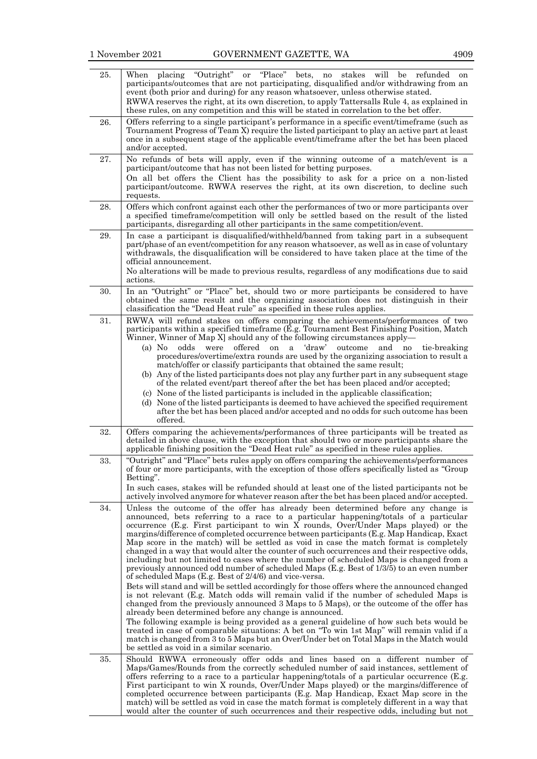| 25. | placing "Outright"<br>or "Place"<br>bets,<br>no stakes will be<br>When<br>refunded<br>on<br>participants/outcomes that are not participating, disqualified and/or withdrawing from an<br>event (both prior and during) for any reason whatsoever, unless otherwise stated.<br>RWWA reserves the right, at its own discretion, to apply Tattersalls Rule 4, as explained in                                                                                                                                                                                                                                                                                                                                                                                                                                |
|-----|-----------------------------------------------------------------------------------------------------------------------------------------------------------------------------------------------------------------------------------------------------------------------------------------------------------------------------------------------------------------------------------------------------------------------------------------------------------------------------------------------------------------------------------------------------------------------------------------------------------------------------------------------------------------------------------------------------------------------------------------------------------------------------------------------------------|
|     | these rules, on any competition and this will be stated in correlation to the bet offer.                                                                                                                                                                                                                                                                                                                                                                                                                                                                                                                                                                                                                                                                                                                  |
| 26. | Offers referring to a single participant's performance in a specific event/timeframe (such as<br>Tournament Progress of Team X) require the listed participant to play an active part at least<br>once in a subsequent stage of the applicable event/time frame after the bet has been placed<br>and/or accepted.                                                                                                                                                                                                                                                                                                                                                                                                                                                                                         |
| 27. | No refunds of bets will apply, even if the winning outcome of a match/event is a<br>participant/outcome that has not been listed for betting purposes.<br>On all bet offers the Client has the possibility to ask for a price on a non-listed<br>participant/outcome. RWWA reserves the right, at its own discretion, to decline such<br>requests.                                                                                                                                                                                                                                                                                                                                                                                                                                                        |
| 28. | Offers which confront against each other the performances of two or more participants over<br>a specified timeframe/competition will only be settled based on the result of the listed<br>participants, disregarding all other participants in the same competition/event.                                                                                                                                                                                                                                                                                                                                                                                                                                                                                                                                |
| 29. | In case a participant is disqualified/withheld/banned from taking part in a subsequent<br>part/phase of an event/competition for any reason whatsoever, as well as in case of voluntary<br>withdrawals, the disqualification will be considered to have taken place at the time of the<br>official announcement.<br>No alterations will be made to previous results, regardless of any modifications due to said<br>actions.                                                                                                                                                                                                                                                                                                                                                                              |
| 30. | In an "Outright" or "Place" bet, should two or more participants be considered to have<br>obtained the same result and the organizing association does not distinguish in their<br>classification the "Dead Heat rule" as specified in these rules applies.                                                                                                                                                                                                                                                                                                                                                                                                                                                                                                                                               |
| 31. | RWWA will refund stakes on offers comparing the achievements/performances of two<br>participants within a specified timeframe (E.g. Tournament Best Finishing Position, Match<br>Winner, Winner of Map X should any of the following circumstances apply—                                                                                                                                                                                                                                                                                                                                                                                                                                                                                                                                                 |
|     | 'draw'<br>$(a)$ No<br>offered<br><sub>on</sub><br>and<br>odds<br>were<br>a<br>outcome<br>no<br>tie-breaking<br>procedures/overtime/extra rounds are used by the organizing association to result a<br>match/offer or classify participants that obtained the same result;                                                                                                                                                                                                                                                                                                                                                                                                                                                                                                                                 |
|     | (b) Any of the listed participants does not play any further part in any subsequent stage<br>of the related event/part thereof after the bet has been placed and/or accepted;<br>(c) None of the listed participants is included in the applicable classification;                                                                                                                                                                                                                                                                                                                                                                                                                                                                                                                                        |
|     | (d) None of the listed participants is deemed to have achieved the specified requirement<br>after the bet has been placed and/or accepted and no odds for such outcome has been<br>offered.                                                                                                                                                                                                                                                                                                                                                                                                                                                                                                                                                                                                               |
| 32. | Offers comparing the achievements/performances of three participants will be treated as<br>detailed in above clause, with the exception that should two or more participants share the<br>applicable finishing position the "Dead Heat rule" as specified in these rules applies.                                                                                                                                                                                                                                                                                                                                                                                                                                                                                                                         |
| 33. | "Outright" and "Place" bets rules apply on offers comparing the achievements/performances<br>of four or more participants, with the exception of those offers specifically listed as "Group<br>Betting".                                                                                                                                                                                                                                                                                                                                                                                                                                                                                                                                                                                                  |
|     | In such cases, stakes will be refunded should at least one of the listed participants not be<br>actively involved anymore for whatever reason after the bet has been placed and/or accepted.                                                                                                                                                                                                                                                                                                                                                                                                                                                                                                                                                                                                              |
| 34. | Unless the outcome of the offer has already been determined before any change is<br>announced, bets referring to a race to a particular happening/totals of a particular<br>occurrence (E.g. First participant to win X rounds, Over/Under Maps played) or the<br>margins/difference of completed occurrence between participants (E.g. Map Handicap, Exact<br>Map score in the match) will be settled as void in case the match format is completely<br>changed in a way that would alter the counter of such occurrences and their respective odds,<br>including but not limited to cases where the number of scheduled Maps is changed from a<br>previously announced odd number of scheduled Maps (E.g. Best of 1/3/5) to an even number<br>of scheduled Maps (E.g. Best of $2/4/6$ ) and vice-versa. |
|     | Bets will stand and will be settled accordingly for those offers where the announced changed<br>is not relevant (E.g. Match odds will remain valid if the number of scheduled Maps is<br>changed from the previously announced 3 Maps to 5 Maps), or the outcome of the offer has<br>already been determined before any change is announced.<br>The following example is being provided as a general guideline of how such bets would be<br>treated in case of comparable situations: A bet on "To win 1st Map" will remain valid if a                                                                                                                                                                                                                                                                    |
|     | match is changed from 3 to 5 Maps but an Over/Under bet on Total Maps in the Match would<br>be settled as void in a similar scenario.                                                                                                                                                                                                                                                                                                                                                                                                                                                                                                                                                                                                                                                                     |
| 35. | Should RWWA erroneously offer odds and lines based on a different number of<br>Maps/Games/Rounds from the correctly scheduled number of said instances, settlement of<br>offers referring to a race to a particular happening/totals of a particular occurrence (E.g.<br>First participant to win X rounds, Over/Under Maps played) or the margins/difference of<br>completed occurrence between participants (E.g. Map Handicap, Exact Map score in the<br>match) will be settled as void in case the match format is completely different in a way that<br>would alter the counter of such occurrences and their respective odds, including but not                                                                                                                                                     |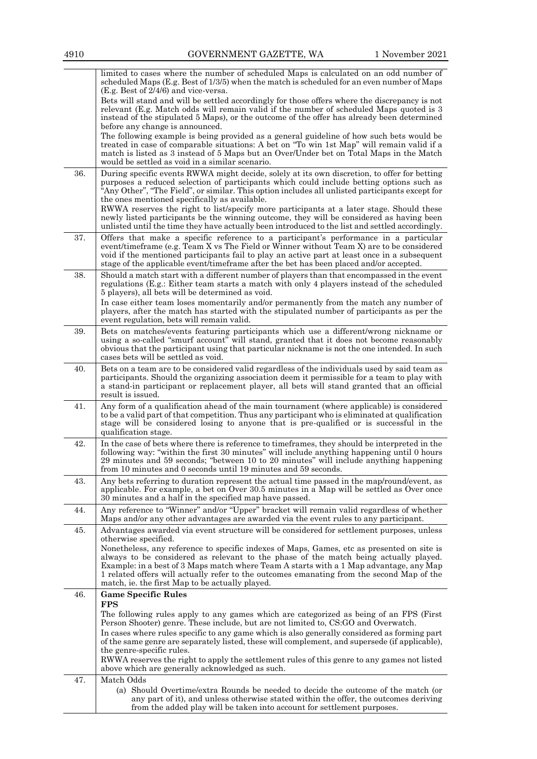|     | limited to cases where the number of scheduled Maps is calculated on an odd number of<br>scheduled Maps (E.g. Best of 1/3/5) when the match is scheduled for an even number of Maps                                                                                                                                                                                                                                                 |
|-----|-------------------------------------------------------------------------------------------------------------------------------------------------------------------------------------------------------------------------------------------------------------------------------------------------------------------------------------------------------------------------------------------------------------------------------------|
|     | $(E.g. Best of 2/4/6)$ and vice-versa.<br>Bets will stand and will be settled accordingly for those offers where the discrepancy is not<br>relevant (E.g. Match odds will remain valid if the number of scheduled Maps quoted is 3<br>instead of the stipulated 5 Maps), or the outcome of the offer has already been determined<br>before any change is announced.                                                                 |
|     | The following example is being provided as a general guideline of how such bets would be<br>treated in case of comparable situations: A bet on "To win 1st Map" will remain valid if a<br>match is listed as 3 instead of 5 Maps but an Over/Under bet on Total Maps in the Match<br>would be settled as void in a similar scenario.                                                                                                |
| 36. | During specific events RWWA might decide, solely at its own discretion, to offer for betting<br>purposes a reduced selection of participants which could include betting options such as<br>"Any Other", "The Field", or similar. This option includes all unlisted participants except for<br>the ones mentioned specifically as available.                                                                                        |
|     | RWWA reserves the right to list/specify more participants at a later stage. Should these<br>newly listed participants be the winning outcome, they will be considered as having been<br>unlisted until the time they have actually been introduced to the list and settled accordingly.                                                                                                                                             |
| 37. | Offers that make a specific reference to a participant's performance in a particular<br>event/timeframe (e.g. Team X vs The Field or Winner without Team X) are to be considered<br>void if the mentioned participants fail to play an active part at least once in a subsequent<br>stage of the applicable event/timeframe after the bet has been placed and/or accepted.                                                          |
| 38. | Should a match start with a different number of players than that encompassed in the event<br>regulations (E.g.: Either team starts a match with only 4 players instead of the scheduled<br>5 players), all bets will be determined as void.<br>In case either team loses momentarily and/or permanently from the match any number of<br>players, after the match has started with the stipulated number of participants as per the |
|     | event regulation, bets will remain valid.                                                                                                                                                                                                                                                                                                                                                                                           |
| 39. | Bets on matches/events featuring participants which use a different/wrong nickname or<br>using a so-called "smurf account" will stand, granted that it does not become reasonably<br>obvious that the participant using that particular nickname is not the one intended. In such<br>cases bets will be settled as void.                                                                                                            |
| 40. | Bets on a team are to be considered valid regardless of the individuals used by said team as<br>participants. Should the organizing association deem it permissible for a team to play with<br>a stand-in participant or replacement player, all bets will stand granted that an official<br>result is issued.                                                                                                                      |
| 41. | Any form of a qualification ahead of the main tournament (where applicable) is considered<br>to be a valid part of that competition. Thus any participant who is eliminated at qualification<br>stage will be considered losing to anyone that is pre-qualified or is successful in the<br>qualification stage.                                                                                                                     |
| 42. | In the case of bets where there is reference to timeframes, they should be interpreted in the<br>following way: "within the first 30 minutes" will include anything happening until 0 hours<br>29 minutes and 59 seconds; "between 10 to 20 minutes" will include anything happening<br>from 10 minutes and 0 seconds until 19 minutes and 59 seconds.                                                                              |
| 43. | Any bets referring to duration represent the actual time passed in the map/round/event, as<br>applicable. For example, a bet on Over 30.5 minutes in a Map will be settled as Over once<br>30 minutes and a half in the specified map have passed.                                                                                                                                                                                  |
| 44. | Any reference to "Winner" and/or "Upper" bracket will remain valid regardless of whether<br>Maps and/or any other advantages are awarded via the event rules to any participant.                                                                                                                                                                                                                                                    |
| 45. | Advantages awarded via event structure will be considered for settlement purposes, unless<br>otherwise specified.                                                                                                                                                                                                                                                                                                                   |
|     | Nonetheless, any reference to specific indexes of Maps, Games, etc as presented on site is<br>always to be considered as relevant to the phase of the match being actually played.<br>Example: in a best of 3 Maps match where Team A starts with a 1 Map advantage, any Map<br>1 related offers will actually refer to the outcomes emanating from the second Map of the<br>match, ie. the first Map to be actually played.        |
| 46. | <b>Game Specific Rules</b><br><b>FPS</b>                                                                                                                                                                                                                                                                                                                                                                                            |
|     | The following rules apply to any games which are categorized as being of an FPS (First<br>Person Shooter) genre. These include, but are not limited to, CS:GO and Overwatch.                                                                                                                                                                                                                                                        |
|     | In cases where rules specific to any game which is also generally considered as forming part<br>of the same genre are separately listed, these will complement, and supersede (if applicable),                                                                                                                                                                                                                                      |
|     | the genre-specific rules.<br>RWWA reserves the right to apply the settlement rules of this genre to any games not listed                                                                                                                                                                                                                                                                                                            |
| 47. | above which are generally acknowledged as such.<br>Match Odds                                                                                                                                                                                                                                                                                                                                                                       |
|     | (a) Should Overtime/extra Rounds be needed to decide the outcome of the match (or<br>any part of it), and unless otherwise stated within the offer, the outcomes deriving                                                                                                                                                                                                                                                           |
|     | from the added play will be taken into account for settlement purposes.                                                                                                                                                                                                                                                                                                                                                             |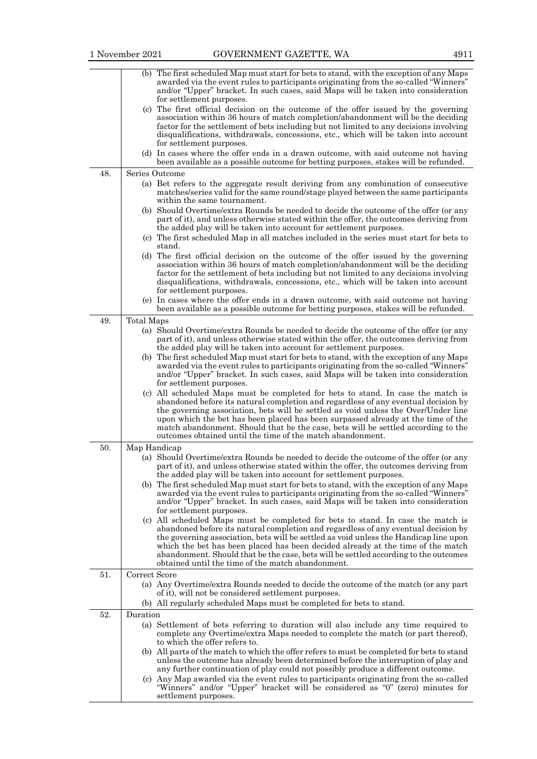|     |               | (b) The first scheduled Map must start for bets to stand, with the exception of any Maps<br>awarded via the event rules to participants originating from the so-called "Winners"<br>and/or "Upper" bracket. In such cases, said Maps will be taken into consideration<br>for settlement purposes.                                                                                                                                                                                               |
|-----|---------------|-------------------------------------------------------------------------------------------------------------------------------------------------------------------------------------------------------------------------------------------------------------------------------------------------------------------------------------------------------------------------------------------------------------------------------------------------------------------------------------------------|
|     |               | (c) The first official decision on the outcome of the offer issued by the governing<br>association within 36 hours of match completion/abandonment will be the deciding                                                                                                                                                                                                                                                                                                                         |
|     |               | factor for the settlement of bets including but not limited to any decisions involving<br>disqualifications, withdrawals, concessions, etc., which will be taken into account<br>for settlement purposes.                                                                                                                                                                                                                                                                                       |
|     |               | (d) In cases where the offer ends in a drawn outcome, with said outcome not having<br>been available as a possible outcome for betting purposes, stakes will be refunded.                                                                                                                                                                                                                                                                                                                       |
| 48. |               | Series Outcome                                                                                                                                                                                                                                                                                                                                                                                                                                                                                  |
|     |               | (a) Bet refers to the aggregate result deriving from any combination of consecutive<br>matches/series valid for the same round/stage played between the same participants<br>within the same tournament.                                                                                                                                                                                                                                                                                        |
|     |               | (b) Should Overtime/extra Rounds be needed to decide the outcome of the offer (or any<br>part of it), and unless otherwise stated within the offer, the outcomes deriving from<br>the added play will be taken into account for settlement purposes.                                                                                                                                                                                                                                            |
|     |               | (c) The first scheduled Map in all matches included in the series must start for bets to<br>stand.                                                                                                                                                                                                                                                                                                                                                                                              |
|     |               | (d) The first official decision on the outcome of the offer issued by the governing<br>association within 36 hours of match completion/abandonment will be the deciding<br>factor for the settlement of bets including but not limited to any decisions involving<br>disqualifications, withdrawals, concessions, etc., which will be taken into account<br>for settlement purposes.                                                                                                            |
|     |               | (e) In cases where the offer ends in a drawn outcome, with said outcome not having<br>been available as a possible outcome for betting purposes, stakes will be refunded.                                                                                                                                                                                                                                                                                                                       |
| 49. | Total Maps    |                                                                                                                                                                                                                                                                                                                                                                                                                                                                                                 |
|     |               | (a) Should Overtime/extra Rounds be needed to decide the outcome of the offer (or any<br>part of it), and unless otherwise stated within the offer, the outcomes deriving from<br>the added play will be taken into account for settlement purposes.                                                                                                                                                                                                                                            |
|     |               | (b) The first scheduled Map must start for bets to stand, with the exception of any Maps                                                                                                                                                                                                                                                                                                                                                                                                        |
|     |               | awarded via the event rules to participants originating from the so-called "Winners"<br>and/or "Upper" bracket. In such cases, said Maps will be taken into consideration<br>for settlement purposes.                                                                                                                                                                                                                                                                                           |
|     |               | (c) All scheduled Maps must be completed for bets to stand. In case the match is<br>abandoned before its natural completion and regardless of any eventual decision by<br>the governing association, bets will be settled as void unless the Over/Under line<br>upon which the bet has been placed has been surpassed already at the time of the<br>match abandonment. Should that be the case, bets will be settled according to the                                                           |
|     |               | outcomes obtained until the time of the match abandonment.                                                                                                                                                                                                                                                                                                                                                                                                                                      |
| 50. | Map Handicap  | (a) Should Overtime/extra Rounds be needed to decide the outcome of the offer (or any                                                                                                                                                                                                                                                                                                                                                                                                           |
|     |               | part of it), and unless otherwise stated within the offer, the outcomes deriving from<br>the added play will be taken into account for settlement purposes.                                                                                                                                                                                                                                                                                                                                     |
|     |               | (b) The first scheduled Map must start for bets to stand, with the exception of any Maps<br>awarded via the event rules to participants originating from the so-called "Winners"<br>and/or "Upper" bracket. In such cases, said Maps will be taken into consideration<br>for settlement purposes.                                                                                                                                                                                               |
|     |               | (c) All scheduled Maps must be completed for bets to stand. In case the match is<br>abandoned before its natural completion and regardless of any eventual decision by<br>the governing association, bets will be settled as void unless the Handicap line upon<br>which the bet has been placed has been decided already at the time of the match<br>abandonment. Should that be the case, bets will be settled according to the outcomes<br>obtained until the time of the match abandonment. |
| 51. | Correct Score |                                                                                                                                                                                                                                                                                                                                                                                                                                                                                                 |
|     |               | (a) Any Overtime/extra Rounds needed to decide the outcome of the match (or any part<br>of it), will not be considered settlement purposes.<br>(b) All regularly scheduled Maps must be completed for bets to stand.                                                                                                                                                                                                                                                                            |
| 52. | Duration      |                                                                                                                                                                                                                                                                                                                                                                                                                                                                                                 |
|     |               | (a) Settlement of bets referring to duration will also include any time required to<br>complete any Overtime/extra Maps needed to complete the match (or part thereof),<br>to which the offer refers to.                                                                                                                                                                                                                                                                                        |
|     |               | (b) All parts of the match to which the offer refers to must be completed for bets to stand                                                                                                                                                                                                                                                                                                                                                                                                     |
|     |               | unless the outcome has already been determined before the interruption of play and<br>any further continuation of play could not possibly produce a different outcome.                                                                                                                                                                                                                                                                                                                          |
|     |               | (c) Any Map awarded via the event rules to participants originating from the so-called<br>"Winners" and/or "Upper" bracket will be considered as "0" (zero) minutes for<br>settlement purposes.                                                                                                                                                                                                                                                                                                 |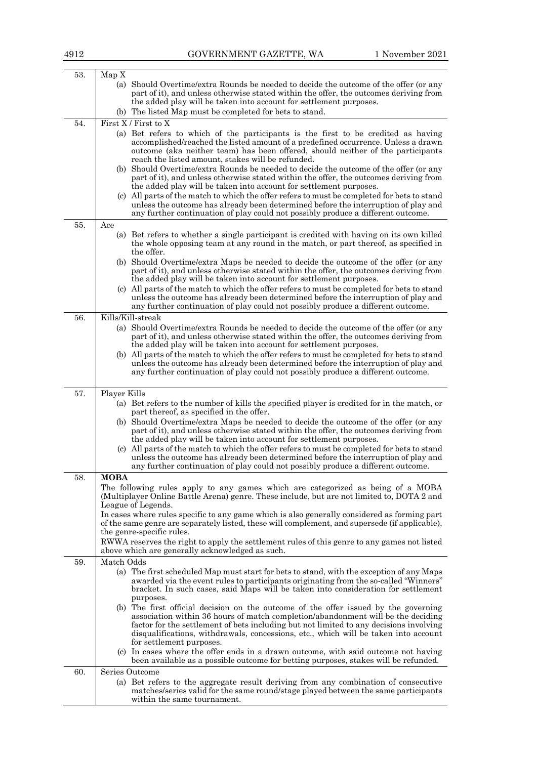| 53. | Map X                                                                                                                                                                                                                                                                                                                                                                                |
|-----|--------------------------------------------------------------------------------------------------------------------------------------------------------------------------------------------------------------------------------------------------------------------------------------------------------------------------------------------------------------------------------------|
|     | (a) Should Overtime/extra Rounds be needed to decide the outcome of the offer (or any                                                                                                                                                                                                                                                                                                |
|     | part of it), and unless otherwise stated within the offer, the outcomes deriving from<br>the added play will be taken into account for settlement purposes.                                                                                                                                                                                                                          |
|     | (b) The listed Map must be completed for bets to stand.                                                                                                                                                                                                                                                                                                                              |
| 54. | First X / First to X                                                                                                                                                                                                                                                                                                                                                                 |
|     | (a) Bet refers to which of the participants is the first to be credited as having<br>accomplished/reached the listed amount of a predefined occurrence. Unless a drawn<br>outcome (aka neither team) has been offered, should neither of the participants<br>reach the listed amount, stakes will be refunded.                                                                       |
|     | (b) Should Overtime/extra Rounds be needed to decide the outcome of the offer (or any<br>part of it), and unless otherwise stated within the offer, the outcomes deriving from<br>the added play will be taken into account for settlement purposes.                                                                                                                                 |
|     | (c) All parts of the match to which the offer refers to must be completed for bets to stand<br>unless the outcome has already been determined before the interruption of play and<br>any further continuation of play could not possibly produce a different outcome.                                                                                                                |
| 55. | Ace                                                                                                                                                                                                                                                                                                                                                                                  |
|     | (a) Bet refers to whether a single participant is credited with having on its own killed<br>the whole opposing team at any round in the match, or part thereof, as specified in<br>the offer.                                                                                                                                                                                        |
|     | (b) Should Overtime/extra Maps be needed to decide the outcome of the offer (or any<br>part of it), and unless otherwise stated within the offer, the outcomes deriving from<br>the added play will be taken into account for settlement purposes.                                                                                                                                   |
|     | (c) All parts of the match to which the offer refers to must be completed for bets to stand<br>unless the outcome has already been determined before the interruption of play and<br>any further continuation of play could not possibly produce a different outcome.                                                                                                                |
| 56. | Kills/Kill-streak                                                                                                                                                                                                                                                                                                                                                                    |
|     | (a) Should Overtime/extra Rounds be needed to decide the outcome of the offer (or any<br>part of it), and unless otherwise stated within the offer, the outcomes deriving from<br>the added play will be taken into account for settlement purposes.                                                                                                                                 |
|     | (b) All parts of the match to which the offer refers to must be completed for bets to stand<br>unless the outcome has already been determined before the interruption of play and<br>any further continuation of play could not possibly produce a different outcome.                                                                                                                |
| 57. | Player Kills                                                                                                                                                                                                                                                                                                                                                                         |
|     | (a) Bet refers to the number of kills the specified player is credited for in the match, or<br>part thereof, as specified in the offer.                                                                                                                                                                                                                                              |
|     | (b) Should Overtime/extra Maps be needed to decide the outcome of the offer (or any<br>part of it), and unless otherwise stated within the offer, the outcomes deriving from<br>the added play will be taken into account for settlement purposes.                                                                                                                                   |
|     | (c) All parts of the match to which the offer refers to must be completed for bets to stand<br>unless the outcome has already been determined before the interruption of play and<br>any further continuation of play could not possibly produce a different outcome.                                                                                                                |
| 58. | <b>MOBA</b><br>The following rules apply to any games which are categorized as being of a MOBA<br>(Multiplayer Online Battle Arena) genre. These include, but are not limited to, DOTA 2 and<br>League of Legends.                                                                                                                                                                   |
|     | In cases where rules specific to any game which is also generally considered as forming part<br>of the same genre are separately listed, these will complement, and supersede (if applicable),<br>the genre-specific rules.                                                                                                                                                          |
|     | RWWA reserves the right to apply the settlement rules of this genre to any games not listed<br>above which are generally acknowledged as such.                                                                                                                                                                                                                                       |
| 59. | Match Odds                                                                                                                                                                                                                                                                                                                                                                           |
|     | (a) The first scheduled Map must start for bets to stand, with the exception of any Maps<br>awarded via the event rules to participants originating from the so-called "Winners"<br>bracket. In such cases, said Maps will be taken into consideration for settlement<br>purposes.                                                                                                   |
|     | (b) The first official decision on the outcome of the offer issued by the governing<br>association within 36 hours of match completion/abandonment will be the deciding<br>factor for the settlement of bets including but not limited to any decisions involving<br>disqualifications, withdrawals, concessions, etc., which will be taken into account<br>for settlement purposes. |
|     | (c) In cases where the offer ends in a drawn outcome, with said outcome not having<br>been available as a possible outcome for betting purposes, stakes will be refunded.                                                                                                                                                                                                            |
| 60. | Series Outcome                                                                                                                                                                                                                                                                                                                                                                       |
|     | (a) Bet refers to the aggregate result deriving from any combination of consecutive<br>matches/series valid for the same round/stage played between the same participants<br>within the same tournament.                                                                                                                                                                             |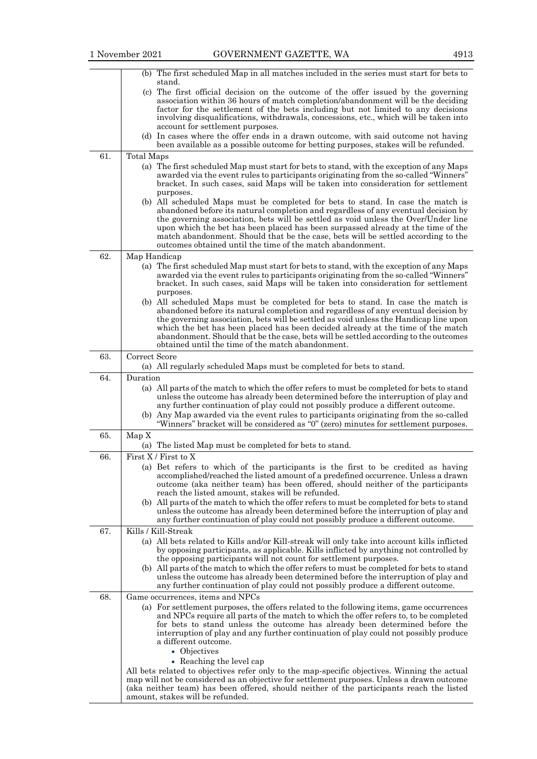|     | (b) The first scheduled Map in all matches included in the series must start for bets to                                                                                                   |
|-----|--------------------------------------------------------------------------------------------------------------------------------------------------------------------------------------------|
|     | stand.                                                                                                                                                                                     |
|     | (c) The first official decision on the outcome of the offer issued by the governing                                                                                                        |
|     | association within 36 hours of match completion/abandonment will be the deciding                                                                                                           |
|     | factor for the settlement of the bets including but not limited to any decisions                                                                                                           |
|     | involving disqualifications, withdrawals, concessions, etc., which will be taken into                                                                                                      |
|     | account for settlement purposes.<br>(d) In cases where the offer ends in a drawn outcome, with said outcome not having                                                                     |
|     | been available as a possible outcome for betting purposes, stakes will be refunded.                                                                                                        |
| 61. | Total Maps                                                                                                                                                                                 |
|     | (a) The first scheduled Map must start for bets to stand, with the exception of any Maps                                                                                                   |
|     | awarded via the event rules to participants originating from the so-called "Winners"                                                                                                       |
|     | bracket. In such cases, said Maps will be taken into consideration for settlement                                                                                                          |
|     | purposes.                                                                                                                                                                                  |
|     | (b) All scheduled Maps must be completed for bets to stand. In case the match is                                                                                                           |
|     | abandoned before its natural completion and regardless of any eventual decision by                                                                                                         |
|     | the governing association, bets will be settled as void unless the Over/Under line                                                                                                         |
|     | upon which the bet has been placed has been surpassed already at the time of the                                                                                                           |
|     | match abandonment. Should that be the case, bets will be settled according to the<br>outcomes obtained until the time of the match abandonment.                                            |
| 62. |                                                                                                                                                                                            |
|     | Map Handicap                                                                                                                                                                               |
|     | (a) The first scheduled Map must start for bets to stand, with the exception of any Maps<br>awarded via the event rules to participants originating from the so-called "Winners"           |
|     | bracket. In such cases, said Maps will be taken into consideration for settlement                                                                                                          |
|     | purposes.                                                                                                                                                                                  |
|     | (b) All scheduled Maps must be completed for bets to stand. In case the match is                                                                                                           |
|     | abandoned before its natural completion and regardless of any eventual decision by                                                                                                         |
|     | the governing association, bets will be settled as void unless the Handicap line upon                                                                                                      |
|     | which the bet has been placed has been decided already at the time of the match                                                                                                            |
|     | abandonment. Should that be the case, bets will be settled according to the outcomes<br>obtained until the time of the match abandonment.                                                  |
| 63. | Correct Score                                                                                                                                                                              |
|     | (a) All regularly scheduled Maps must be completed for bets to stand.                                                                                                                      |
|     | Duration                                                                                                                                                                                   |
| 64. |                                                                                                                                                                                            |
|     | (a) All parts of the match to which the offer refers to must be completed for bets to stand<br>unless the outcome has already been determined before the interruption of play and          |
|     | any further continuation of play could not possibly produce a different outcome.                                                                                                           |
|     | (b) Any Map awarded via the event rules to participants originating from the so-called                                                                                                     |
|     | "Winners" bracket will be considered as "0" (zero) minutes for settlement purposes.                                                                                                        |
| 65. | Map X                                                                                                                                                                                      |
|     | (a) The listed Map must be completed for bets to stand.                                                                                                                                    |
| 66. | First X / First to X                                                                                                                                                                       |
|     | (a) Bet refers to which of the participants is the first to be credited as having                                                                                                          |
|     | accomplished/reached the listed amount of a predefined occurrence. Unless a drawn                                                                                                          |
|     | outcome (aka neither team) has been offered, should neither of the participants                                                                                                            |
|     | reach the listed amount, stakes will be refunded.                                                                                                                                          |
|     | (b) All parts of the match to which the offer refers to must be completed for bets to stand                                                                                                |
|     | unless the outcome has already been determined before the interruption of play and                                                                                                         |
|     | any further continuation of play could not possibly produce a different outcome.                                                                                                           |
| 67. | Kills / Kill-Streak                                                                                                                                                                        |
|     | (a) All bets related to Kills and/or Kill-streak will only take into account kills inflicted<br>by opposing participants, as applicable. Kills inflicted by anything not controlled by     |
|     | the opposing participants will not count for settlement purposes.                                                                                                                          |
|     | (b) All parts of the match to which the offer refers to must be completed for bets to stand                                                                                                |
|     | unless the outcome has already been determined before the interruption of play and                                                                                                         |
|     | any further continuation of play could not possibly produce a different outcome.                                                                                                           |
| 68. | Game occurrences, items and NPCs                                                                                                                                                           |
|     | (a) For settlement purposes, the offers related to the following items, game occurrences                                                                                                   |
|     | and NPCs require all parts of the match to which the offer refers to, to be completed                                                                                                      |
|     | for bets to stand unless the outcome has already been determined before the                                                                                                                |
|     | interruption of play and any further continuation of play could not possibly produce                                                                                                       |
|     | a different outcome.                                                                                                                                                                       |
|     | • Objectives                                                                                                                                                                               |
|     | • Reaching the level cap                                                                                                                                                                   |
|     | All bets related to objectives refer only to the map-specific objectives. Winning the actual<br>map will not be considered as an objective for settlement purposes. Unless a drawn outcome |
|     | (aka neither team) has been offered, should neither of the participants reach the listed                                                                                                   |
|     | amount, stakes will be refunded.                                                                                                                                                           |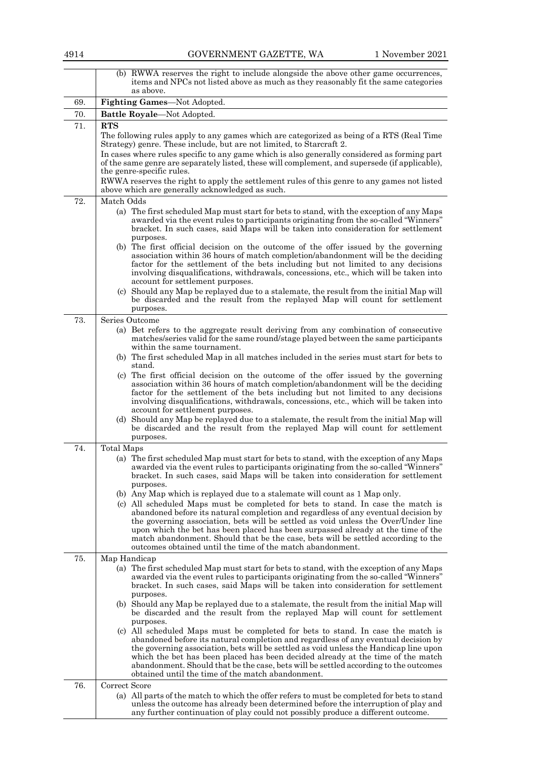| 4914 | GOVERNMENT GAZETTE, WA                                                                                                                                                                                                                                                                                                                                                                                                                                                                                                                                                                                                                                                                                                                                                                                                                                                 | 1 November 2021 |
|------|------------------------------------------------------------------------------------------------------------------------------------------------------------------------------------------------------------------------------------------------------------------------------------------------------------------------------------------------------------------------------------------------------------------------------------------------------------------------------------------------------------------------------------------------------------------------------------------------------------------------------------------------------------------------------------------------------------------------------------------------------------------------------------------------------------------------------------------------------------------------|-----------------|
|      | (b) RWWA reserves the right to include alongside the above other game occurrences,<br>items and NPCs not listed above as much as they reasonably fit the same categories<br>as above.                                                                                                                                                                                                                                                                                                                                                                                                                                                                                                                                                                                                                                                                                  |                 |
| 69.  | Fighting Games-Not Adopted.                                                                                                                                                                                                                                                                                                                                                                                                                                                                                                                                                                                                                                                                                                                                                                                                                                            |                 |
| 70.  | Battle Royale-Not Adopted.                                                                                                                                                                                                                                                                                                                                                                                                                                                                                                                                                                                                                                                                                                                                                                                                                                             |                 |
| 71.  | <b>RTS</b><br>The following rules apply to any games which are categorized as being of a RTS (Real Time<br>Strategy) genre. These include, but are not limited, to Starcraft 2.<br>In cases where rules specific to any game which is also generally considered as forming part                                                                                                                                                                                                                                                                                                                                                                                                                                                                                                                                                                                        |                 |
|      | of the same genre are separately listed, these will complement, and supersede (if applicable),<br>the genre-specific rules.<br>RWWA reserves the right to apply the settlement rules of this genre to any games not listed<br>above which are generally acknowledged as such.                                                                                                                                                                                                                                                                                                                                                                                                                                                                                                                                                                                          |                 |
| 72.  | Match Odds<br>(a) The first scheduled Map must start for bets to stand, with the exception of any Maps<br>awarded via the event rules to participants originating from the so-called "Winners"<br>bracket. In such cases, said Maps will be taken into consideration for settlement<br>purposes.<br>(b) The first official decision on the outcome of the offer issued by the governing<br>association within 36 hours of match completion/abandonment will be the deciding<br>factor for the settlement of the bets including but not limited to any decisions<br>involving disqualifications, withdrawals, concessions, etc., which will be taken into<br>account for settlement purposes.<br>(c) Should any Map be replayed due to a stalemate, the result from the initial Map will<br>be discarded and the result from the replayed Map will count for settlement |                 |
|      | purposes.                                                                                                                                                                                                                                                                                                                                                                                                                                                                                                                                                                                                                                                                                                                                                                                                                                                              |                 |
| 73.  | Series Outcome<br>(a) Bet refers to the aggregate result deriving from any combination of consecutive<br>matches/series valid for the same round/stage played between the same participants<br>within the same tournament.<br>(b) The first scheduled Map in all matches included in the series must start for bets to                                                                                                                                                                                                                                                                                                                                                                                                                                                                                                                                                 |                 |
|      | stand.<br>(c) The first official decision on the outcome of the offer issued by the governing<br>association within 36 hours of match completion/abandonment will be the deciding<br>factor for the settlement of the bets including but not limited to any decisions<br>involving disqualifications, withdrawals, concessions, etc., which will be taken into<br>account for settlement purposes.                                                                                                                                                                                                                                                                                                                                                                                                                                                                     |                 |
|      | (d) Should any Map be replayed due to a stalemate, the result from the initial Map will<br>be discarded and the result from the replayed Map will count for settlement<br>purposes.                                                                                                                                                                                                                                                                                                                                                                                                                                                                                                                                                                                                                                                                                    |                 |
| 74.  | <b>Total Maps</b>                                                                                                                                                                                                                                                                                                                                                                                                                                                                                                                                                                                                                                                                                                                                                                                                                                                      |                 |
|      | (a) The first scheduled Map must start for bets to stand, with the exception of any Maps<br>awarded via the event rules to participants originating from the so-called "Winners"<br>bracket. In such cases, said Maps will be taken into consideration for settlement<br>purposes.                                                                                                                                                                                                                                                                                                                                                                                                                                                                                                                                                                                     |                 |
|      | (b) Any Map which is replayed due to a stalemate will count as 1 Map only.<br>(c) All scheduled Maps must be completed for bets to stand. In case the match is<br>abandoned before its natural completion and regardless of any eventual decision by<br>the governing association, bets will be settled as void unless the Over/Under line<br>upon which the bet has been placed has been surpassed already at the time of the<br>match abandonment. Should that be the case, bets will be settled according to the<br>outcomes obtained until the time of the match abandonment.                                                                                                                                                                                                                                                                                      |                 |
| 75.  | Map Handicap                                                                                                                                                                                                                                                                                                                                                                                                                                                                                                                                                                                                                                                                                                                                                                                                                                                           |                 |
|      | (a) The first scheduled Map must start for bets to stand, with the exception of any Maps<br>awarded via the event rules to participants originating from the so-called "Winners"<br>bracket. In such cases, said Maps will be taken into consideration for settlement<br>purposes.                                                                                                                                                                                                                                                                                                                                                                                                                                                                                                                                                                                     |                 |
|      | (b) Should any Map be replayed due to a stalemate, the result from the initial Map will<br>be discarded and the result from the replayed Map will count for settlement<br>purposes.<br>(c) All scheduled Maps must be completed for bets to stand. In case the match is                                                                                                                                                                                                                                                                                                                                                                                                                                                                                                                                                                                                |                 |
|      | abandoned before its natural completion and regardless of any eventual decision by<br>the governing association, bets will be settled as void unless the Handicap line upon<br>which the bet has been placed has been decided already at the time of the match<br>abandonment. Should that be the case, bets will be settled according to the outcomes<br>obtained until the time of the match abandonment.                                                                                                                                                                                                                                                                                                                                                                                                                                                            |                 |
| 76.  | Correct Score                                                                                                                                                                                                                                                                                                                                                                                                                                                                                                                                                                                                                                                                                                                                                                                                                                                          |                 |
|      | (a) All parts of the match to which the offer refers to must be completed for bets to stand<br>unless the outcome has already been determined before the interruption of play and<br>any further continuation of play could not possibly produce a different outcome.                                                                                                                                                                                                                                                                                                                                                                                                                                                                                                                                                                                                  |                 |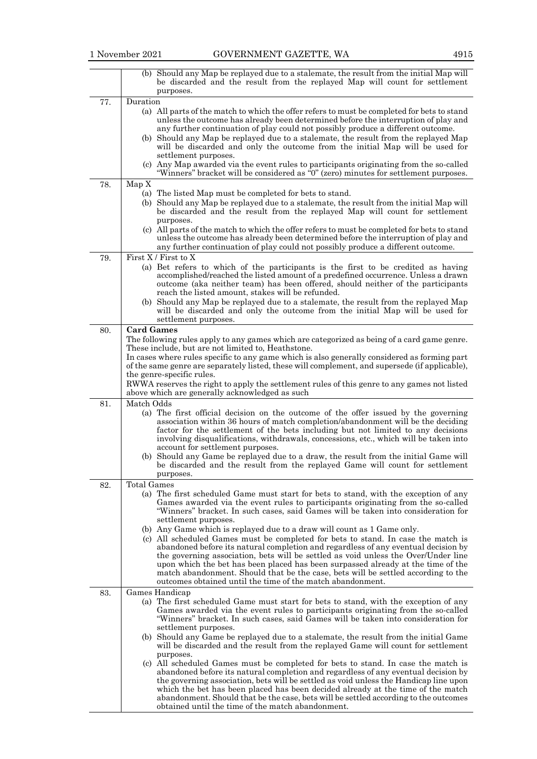|     | (b) Should any Map be replayed due to a stalemate, the result from the initial Map will<br>be discarded and the result from the replayed Map will count for settlement                                                                                                                                                                                                                                                                                                                                                                                                                                                                                                                                                                                                                                                                                                                  |
|-----|-----------------------------------------------------------------------------------------------------------------------------------------------------------------------------------------------------------------------------------------------------------------------------------------------------------------------------------------------------------------------------------------------------------------------------------------------------------------------------------------------------------------------------------------------------------------------------------------------------------------------------------------------------------------------------------------------------------------------------------------------------------------------------------------------------------------------------------------------------------------------------------------|
|     | purposes.                                                                                                                                                                                                                                                                                                                                                                                                                                                                                                                                                                                                                                                                                                                                                                                                                                                                               |
| 77. | Duration<br>(a) All parts of the match to which the offer refers to must be completed for bets to stand<br>unless the outcome has already been determined before the interruption of play and<br>any further continuation of play could not possibly produce a different outcome.<br>(b) Should any Map be replayed due to a stalemate, the result from the replayed Map<br>will be discarded and only the outcome from the initial Map will be used for                                                                                                                                                                                                                                                                                                                                                                                                                                |
|     | settlement purposes.<br>(c) Any Map awarded via the event rules to participants originating from the so-called<br>"Winners" bracket will be considered as "0" (zero) minutes for settlement purposes.                                                                                                                                                                                                                                                                                                                                                                                                                                                                                                                                                                                                                                                                                   |
| 78. | Map X<br>(a) The listed Map must be completed for bets to stand.<br>(b) Should any Map be replayed due to a stalemate, the result from the initial Map will<br>be discarded and the result from the replayed Map will count for settlement<br>purposes.<br>(c) All parts of the match to which the offer refers to must be completed for bets to stand<br>unless the outcome has already been determined before the interruption of play and                                                                                                                                                                                                                                                                                                                                                                                                                                            |
|     | any further continuation of play could not possibly produce a different outcome.                                                                                                                                                                                                                                                                                                                                                                                                                                                                                                                                                                                                                                                                                                                                                                                                        |
| 79. | First $X /$ First to $X$<br>(a) Bet refers to which of the participants is the first to be credited as having<br>accomplished/reached the listed amount of a predefined occurrence. Unless a drawn<br>outcome (aka neither team) has been offered, should neither of the participants<br>reach the listed amount, stakes will be refunded.<br>(b) Should any Map be replayed due to a stalemate, the result from the replayed Map<br>will be discarded and only the outcome from the initial Map will be used for<br>settlement purposes.                                                                                                                                                                                                                                                                                                                                               |
| 80. | <b>Card Games</b>                                                                                                                                                                                                                                                                                                                                                                                                                                                                                                                                                                                                                                                                                                                                                                                                                                                                       |
|     | The following rules apply to any games which are categorized as being of a card game genre.<br>These include, but are not limited to, Heathstone.<br>In cases where rules specific to any game which is also generally considered as forming part<br>of the same genre are separately listed, these will complement, and supersede (if applicable),                                                                                                                                                                                                                                                                                                                                                                                                                                                                                                                                     |
|     | the genre-specific rules.<br>RWWA reserves the right to apply the settlement rules of this genre to any games not listed<br>above which are generally acknowledged as such                                                                                                                                                                                                                                                                                                                                                                                                                                                                                                                                                                                                                                                                                                              |
| 81. | Match Odds<br>(a) The first official decision on the outcome of the offer issued by the governing<br>association within 36 hours of match completion/abandonment will be the deciding<br>factor for the settlement of the bets including but not limited to any decisions<br>involving disqualifications, withdrawals, concessions, etc., which will be taken into<br>account for settlement purposes.<br>(b) Should any Game be replayed due to a draw, the result from the initial Game will<br>be discarded and the result from the replayed Game will count for settlement<br>purposes.                                                                                                                                                                                                                                                                                             |
| 82. | Total Games<br>(a) The first scheduled Game must start for bets to stand, with the exception of any<br>Games awarded via the event rules to participants originating from the so-called<br>"Winners" bracket. In such cases, said Games will be taken into consideration for<br>settlement purposes.<br>(b) Any Game which is replayed due to a draw will count as 1 Game only.<br>(c) All scheduled Games must be completed for bets to stand. In case the match is<br>abandoned before its natural completion and regardless of any eventual decision by<br>the governing association, bets will be settled as void unless the Over/Under line<br>upon which the bet has been placed has been surpassed already at the time of the<br>match abandonment. Should that be the case, bets will be settled according to the<br>outcomes obtained until the time of the match abandonment. |
| 83. | Games Handicap<br>(a) The first scheduled Game must start for bets to stand, with the exception of any<br>Games awarded via the event rules to participants originating from the so-called<br>"Winners" bracket. In such cases, said Games will be taken into consideration for<br>settlement purposes.<br>(b) Should any Game be replayed due to a stalemate, the result from the initial Game<br>will be discarded and the result from the replayed Game will count for settlement<br>purposes.<br>(c) All scheduled Games must be completed for bets to stand. In case the match is<br>abandoned before its natural completion and regardless of any eventual decision by<br>the governing association, bets will be settled as void unless the Handicap line upon                                                                                                                   |
|     | which the bet has been placed has been decided already at the time of the match<br>abandonment. Should that be the case, bets will be settled according to the outcomes<br>obtained until the time of the match abandonment.                                                                                                                                                                                                                                                                                                                                                                                                                                                                                                                                                                                                                                                            |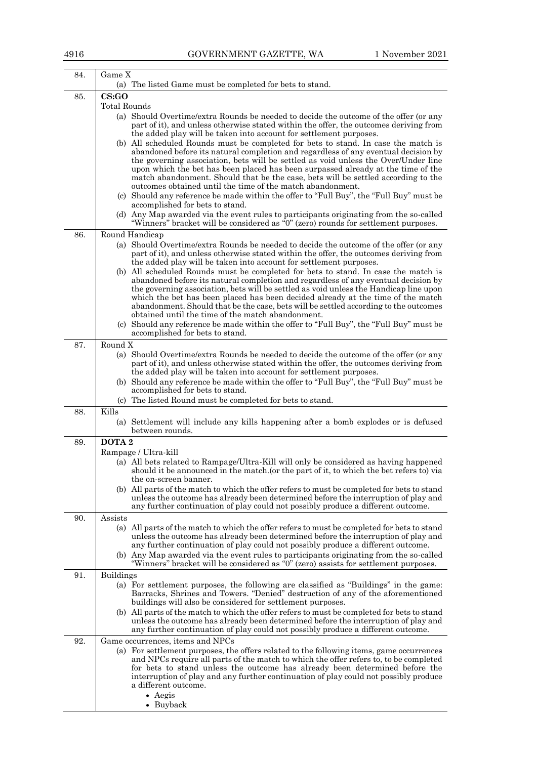| CS:GO<br>85.<br><b>Total Rounds</b><br>(a) Should Overtime/extra Rounds be needed to decide the outcome of the offer (or any<br>the added play will be taken into account for settlement purposes.<br>abandoned before its natural completion and regardless of any eventual decision by<br>the governing association, bets will be settled as void unless the Over/Under line<br>upon which the bet has been placed has been surpassed already at the time of the<br>outcomes obtained until the time of the match abandonment.<br>(c) Should any reference be made within the offer to "Full Buy", the "Full Buy" must be<br>accomplished for bets to stand.<br>(d) Any Map awarded via the event rules to participants originating from the so-called<br>"Winners" bracket will be considered as "0" (zero) rounds for settlement purposes.<br>86.<br>Round Handicap<br>the added play will be taken into account for settlement purposes.<br>(b) All scheduled Rounds must be completed for bets to stand. In case the match is<br>abandoned before its natural completion and regardless of any eventual decision by<br>the governing association, bets will be settled as void unless the Handicap line upon<br>obtained until the time of the match abandonment.<br>(c) Should any reference be made within the offer to "Full Buy", the "Full Buy" must be<br>accomplished for bets to stand.<br>Round X<br>87.<br>(a) Should Overtime/extra Rounds be needed to decide the outcome of the offer (or any<br>the added play will be taken into account for settlement purposes.<br>(b) Should any reference be made within the offer to "Full Buy", the "Full Buy" must be<br>accomplished for bets to stand.<br>The listed Round must be completed for bets to stand.<br>(c)<br>Kills<br>88.<br>between rounds.<br>DOTA <sub>2</sub><br>89.<br>Rampage / Ultra-kill<br>(a) All bets related to Rampage/Ultra-Kill will only be considered as having happened<br>should it be announced in the match.(or the part of it, to which the bet refers to) via<br>the on-screen banner.<br>unless the outcome has already been determined before the interruption of play and<br>any further continuation of play could not possibly produce a different outcome.<br>90.<br>Assists<br>(a) All parts of the match to which the offer refers to must be completed for bets to stand<br>"Winners" bracket will be considered as "0" (zero) assists for settlement purposes.<br>91.<br><b>Buildings</b><br>(a) For settlement purposes, the following are classified as "Buildings" in the game: |                                                                                             |
|------------------------------------------------------------------------------------------------------------------------------------------------------------------------------------------------------------------------------------------------------------------------------------------------------------------------------------------------------------------------------------------------------------------------------------------------------------------------------------------------------------------------------------------------------------------------------------------------------------------------------------------------------------------------------------------------------------------------------------------------------------------------------------------------------------------------------------------------------------------------------------------------------------------------------------------------------------------------------------------------------------------------------------------------------------------------------------------------------------------------------------------------------------------------------------------------------------------------------------------------------------------------------------------------------------------------------------------------------------------------------------------------------------------------------------------------------------------------------------------------------------------------------------------------------------------------------------------------------------------------------------------------------------------------------------------------------------------------------------------------------------------------------------------------------------------------------------------------------------------------------------------------------------------------------------------------------------------------------------------------------------------------------------------------------------------------------------------------------------------------------------------------------------------------------------------------------------------------------------------------------------------------------------------------------------------------------------------------------------------------------------------------------------------------------------------------------------------------------------------------------------------------------------------------------------------------------------------------|---------------------------------------------------------------------------------------------|
|                                                                                                                                                                                                                                                                                                                                                                                                                                                                                                                                                                                                                                                                                                                                                                                                                                                                                                                                                                                                                                                                                                                                                                                                                                                                                                                                                                                                                                                                                                                                                                                                                                                                                                                                                                                                                                                                                                                                                                                                                                                                                                                                                                                                                                                                                                                                                                                                                                                                                                                                                                                                | (a) The listed Game must be completed for bets to stand.                                    |
|                                                                                                                                                                                                                                                                                                                                                                                                                                                                                                                                                                                                                                                                                                                                                                                                                                                                                                                                                                                                                                                                                                                                                                                                                                                                                                                                                                                                                                                                                                                                                                                                                                                                                                                                                                                                                                                                                                                                                                                                                                                                                                                                                                                                                                                                                                                                                                                                                                                                                                                                                                                                |                                                                                             |
|                                                                                                                                                                                                                                                                                                                                                                                                                                                                                                                                                                                                                                                                                                                                                                                                                                                                                                                                                                                                                                                                                                                                                                                                                                                                                                                                                                                                                                                                                                                                                                                                                                                                                                                                                                                                                                                                                                                                                                                                                                                                                                                                                                                                                                                                                                                                                                                                                                                                                                                                                                                                |                                                                                             |
|                                                                                                                                                                                                                                                                                                                                                                                                                                                                                                                                                                                                                                                                                                                                                                                                                                                                                                                                                                                                                                                                                                                                                                                                                                                                                                                                                                                                                                                                                                                                                                                                                                                                                                                                                                                                                                                                                                                                                                                                                                                                                                                                                                                                                                                                                                                                                                                                                                                                                                                                                                                                | part of it), and unless otherwise stated within the offer, the outcomes deriving from       |
|                                                                                                                                                                                                                                                                                                                                                                                                                                                                                                                                                                                                                                                                                                                                                                                                                                                                                                                                                                                                                                                                                                                                                                                                                                                                                                                                                                                                                                                                                                                                                                                                                                                                                                                                                                                                                                                                                                                                                                                                                                                                                                                                                                                                                                                                                                                                                                                                                                                                                                                                                                                                |                                                                                             |
|                                                                                                                                                                                                                                                                                                                                                                                                                                                                                                                                                                                                                                                                                                                                                                                                                                                                                                                                                                                                                                                                                                                                                                                                                                                                                                                                                                                                                                                                                                                                                                                                                                                                                                                                                                                                                                                                                                                                                                                                                                                                                                                                                                                                                                                                                                                                                                                                                                                                                                                                                                                                | (b) All scheduled Rounds must be completed for bets to stand. In case the match is          |
|                                                                                                                                                                                                                                                                                                                                                                                                                                                                                                                                                                                                                                                                                                                                                                                                                                                                                                                                                                                                                                                                                                                                                                                                                                                                                                                                                                                                                                                                                                                                                                                                                                                                                                                                                                                                                                                                                                                                                                                                                                                                                                                                                                                                                                                                                                                                                                                                                                                                                                                                                                                                |                                                                                             |
|                                                                                                                                                                                                                                                                                                                                                                                                                                                                                                                                                                                                                                                                                                                                                                                                                                                                                                                                                                                                                                                                                                                                                                                                                                                                                                                                                                                                                                                                                                                                                                                                                                                                                                                                                                                                                                                                                                                                                                                                                                                                                                                                                                                                                                                                                                                                                                                                                                                                                                                                                                                                |                                                                                             |
|                                                                                                                                                                                                                                                                                                                                                                                                                                                                                                                                                                                                                                                                                                                                                                                                                                                                                                                                                                                                                                                                                                                                                                                                                                                                                                                                                                                                                                                                                                                                                                                                                                                                                                                                                                                                                                                                                                                                                                                                                                                                                                                                                                                                                                                                                                                                                                                                                                                                                                                                                                                                | match abandonment. Should that be the case, bets will be settled according to the           |
|                                                                                                                                                                                                                                                                                                                                                                                                                                                                                                                                                                                                                                                                                                                                                                                                                                                                                                                                                                                                                                                                                                                                                                                                                                                                                                                                                                                                                                                                                                                                                                                                                                                                                                                                                                                                                                                                                                                                                                                                                                                                                                                                                                                                                                                                                                                                                                                                                                                                                                                                                                                                |                                                                                             |
|                                                                                                                                                                                                                                                                                                                                                                                                                                                                                                                                                                                                                                                                                                                                                                                                                                                                                                                                                                                                                                                                                                                                                                                                                                                                                                                                                                                                                                                                                                                                                                                                                                                                                                                                                                                                                                                                                                                                                                                                                                                                                                                                                                                                                                                                                                                                                                                                                                                                                                                                                                                                |                                                                                             |
|                                                                                                                                                                                                                                                                                                                                                                                                                                                                                                                                                                                                                                                                                                                                                                                                                                                                                                                                                                                                                                                                                                                                                                                                                                                                                                                                                                                                                                                                                                                                                                                                                                                                                                                                                                                                                                                                                                                                                                                                                                                                                                                                                                                                                                                                                                                                                                                                                                                                                                                                                                                                |                                                                                             |
|                                                                                                                                                                                                                                                                                                                                                                                                                                                                                                                                                                                                                                                                                                                                                                                                                                                                                                                                                                                                                                                                                                                                                                                                                                                                                                                                                                                                                                                                                                                                                                                                                                                                                                                                                                                                                                                                                                                                                                                                                                                                                                                                                                                                                                                                                                                                                                                                                                                                                                                                                                                                |                                                                                             |
|                                                                                                                                                                                                                                                                                                                                                                                                                                                                                                                                                                                                                                                                                                                                                                                                                                                                                                                                                                                                                                                                                                                                                                                                                                                                                                                                                                                                                                                                                                                                                                                                                                                                                                                                                                                                                                                                                                                                                                                                                                                                                                                                                                                                                                                                                                                                                                                                                                                                                                                                                                                                |                                                                                             |
|                                                                                                                                                                                                                                                                                                                                                                                                                                                                                                                                                                                                                                                                                                                                                                                                                                                                                                                                                                                                                                                                                                                                                                                                                                                                                                                                                                                                                                                                                                                                                                                                                                                                                                                                                                                                                                                                                                                                                                                                                                                                                                                                                                                                                                                                                                                                                                                                                                                                                                                                                                                                | (a) Should Overtime/extra Rounds be needed to decide the outcome of the offer (or any       |
|                                                                                                                                                                                                                                                                                                                                                                                                                                                                                                                                                                                                                                                                                                                                                                                                                                                                                                                                                                                                                                                                                                                                                                                                                                                                                                                                                                                                                                                                                                                                                                                                                                                                                                                                                                                                                                                                                                                                                                                                                                                                                                                                                                                                                                                                                                                                                                                                                                                                                                                                                                                                | part of it), and unless otherwise stated within the offer, the outcomes deriving from       |
|                                                                                                                                                                                                                                                                                                                                                                                                                                                                                                                                                                                                                                                                                                                                                                                                                                                                                                                                                                                                                                                                                                                                                                                                                                                                                                                                                                                                                                                                                                                                                                                                                                                                                                                                                                                                                                                                                                                                                                                                                                                                                                                                                                                                                                                                                                                                                                                                                                                                                                                                                                                                |                                                                                             |
|                                                                                                                                                                                                                                                                                                                                                                                                                                                                                                                                                                                                                                                                                                                                                                                                                                                                                                                                                                                                                                                                                                                                                                                                                                                                                                                                                                                                                                                                                                                                                                                                                                                                                                                                                                                                                                                                                                                                                                                                                                                                                                                                                                                                                                                                                                                                                                                                                                                                                                                                                                                                |                                                                                             |
|                                                                                                                                                                                                                                                                                                                                                                                                                                                                                                                                                                                                                                                                                                                                                                                                                                                                                                                                                                                                                                                                                                                                                                                                                                                                                                                                                                                                                                                                                                                                                                                                                                                                                                                                                                                                                                                                                                                                                                                                                                                                                                                                                                                                                                                                                                                                                                                                                                                                                                                                                                                                |                                                                                             |
|                                                                                                                                                                                                                                                                                                                                                                                                                                                                                                                                                                                                                                                                                                                                                                                                                                                                                                                                                                                                                                                                                                                                                                                                                                                                                                                                                                                                                                                                                                                                                                                                                                                                                                                                                                                                                                                                                                                                                                                                                                                                                                                                                                                                                                                                                                                                                                                                                                                                                                                                                                                                | which the bet has been placed has been decided already at the time of the match             |
|                                                                                                                                                                                                                                                                                                                                                                                                                                                                                                                                                                                                                                                                                                                                                                                                                                                                                                                                                                                                                                                                                                                                                                                                                                                                                                                                                                                                                                                                                                                                                                                                                                                                                                                                                                                                                                                                                                                                                                                                                                                                                                                                                                                                                                                                                                                                                                                                                                                                                                                                                                                                | abandonment. Should that be the case, bets will be settled according to the outcomes        |
|                                                                                                                                                                                                                                                                                                                                                                                                                                                                                                                                                                                                                                                                                                                                                                                                                                                                                                                                                                                                                                                                                                                                                                                                                                                                                                                                                                                                                                                                                                                                                                                                                                                                                                                                                                                                                                                                                                                                                                                                                                                                                                                                                                                                                                                                                                                                                                                                                                                                                                                                                                                                |                                                                                             |
|                                                                                                                                                                                                                                                                                                                                                                                                                                                                                                                                                                                                                                                                                                                                                                                                                                                                                                                                                                                                                                                                                                                                                                                                                                                                                                                                                                                                                                                                                                                                                                                                                                                                                                                                                                                                                                                                                                                                                                                                                                                                                                                                                                                                                                                                                                                                                                                                                                                                                                                                                                                                |                                                                                             |
|                                                                                                                                                                                                                                                                                                                                                                                                                                                                                                                                                                                                                                                                                                                                                                                                                                                                                                                                                                                                                                                                                                                                                                                                                                                                                                                                                                                                                                                                                                                                                                                                                                                                                                                                                                                                                                                                                                                                                                                                                                                                                                                                                                                                                                                                                                                                                                                                                                                                                                                                                                                                |                                                                                             |
|                                                                                                                                                                                                                                                                                                                                                                                                                                                                                                                                                                                                                                                                                                                                                                                                                                                                                                                                                                                                                                                                                                                                                                                                                                                                                                                                                                                                                                                                                                                                                                                                                                                                                                                                                                                                                                                                                                                                                                                                                                                                                                                                                                                                                                                                                                                                                                                                                                                                                                                                                                                                |                                                                                             |
|                                                                                                                                                                                                                                                                                                                                                                                                                                                                                                                                                                                                                                                                                                                                                                                                                                                                                                                                                                                                                                                                                                                                                                                                                                                                                                                                                                                                                                                                                                                                                                                                                                                                                                                                                                                                                                                                                                                                                                                                                                                                                                                                                                                                                                                                                                                                                                                                                                                                                                                                                                                                | part of it), and unless otherwise stated within the offer, the outcomes deriving from       |
|                                                                                                                                                                                                                                                                                                                                                                                                                                                                                                                                                                                                                                                                                                                                                                                                                                                                                                                                                                                                                                                                                                                                                                                                                                                                                                                                                                                                                                                                                                                                                                                                                                                                                                                                                                                                                                                                                                                                                                                                                                                                                                                                                                                                                                                                                                                                                                                                                                                                                                                                                                                                |                                                                                             |
|                                                                                                                                                                                                                                                                                                                                                                                                                                                                                                                                                                                                                                                                                                                                                                                                                                                                                                                                                                                                                                                                                                                                                                                                                                                                                                                                                                                                                                                                                                                                                                                                                                                                                                                                                                                                                                                                                                                                                                                                                                                                                                                                                                                                                                                                                                                                                                                                                                                                                                                                                                                                |                                                                                             |
|                                                                                                                                                                                                                                                                                                                                                                                                                                                                                                                                                                                                                                                                                                                                                                                                                                                                                                                                                                                                                                                                                                                                                                                                                                                                                                                                                                                                                                                                                                                                                                                                                                                                                                                                                                                                                                                                                                                                                                                                                                                                                                                                                                                                                                                                                                                                                                                                                                                                                                                                                                                                |                                                                                             |
|                                                                                                                                                                                                                                                                                                                                                                                                                                                                                                                                                                                                                                                                                                                                                                                                                                                                                                                                                                                                                                                                                                                                                                                                                                                                                                                                                                                                                                                                                                                                                                                                                                                                                                                                                                                                                                                                                                                                                                                                                                                                                                                                                                                                                                                                                                                                                                                                                                                                                                                                                                                                |                                                                                             |
|                                                                                                                                                                                                                                                                                                                                                                                                                                                                                                                                                                                                                                                                                                                                                                                                                                                                                                                                                                                                                                                                                                                                                                                                                                                                                                                                                                                                                                                                                                                                                                                                                                                                                                                                                                                                                                                                                                                                                                                                                                                                                                                                                                                                                                                                                                                                                                                                                                                                                                                                                                                                | (a) Settlement will include any kills happening after a bomb explodes or is defused         |
|                                                                                                                                                                                                                                                                                                                                                                                                                                                                                                                                                                                                                                                                                                                                                                                                                                                                                                                                                                                                                                                                                                                                                                                                                                                                                                                                                                                                                                                                                                                                                                                                                                                                                                                                                                                                                                                                                                                                                                                                                                                                                                                                                                                                                                                                                                                                                                                                                                                                                                                                                                                                |                                                                                             |
|                                                                                                                                                                                                                                                                                                                                                                                                                                                                                                                                                                                                                                                                                                                                                                                                                                                                                                                                                                                                                                                                                                                                                                                                                                                                                                                                                                                                                                                                                                                                                                                                                                                                                                                                                                                                                                                                                                                                                                                                                                                                                                                                                                                                                                                                                                                                                                                                                                                                                                                                                                                                |                                                                                             |
|                                                                                                                                                                                                                                                                                                                                                                                                                                                                                                                                                                                                                                                                                                                                                                                                                                                                                                                                                                                                                                                                                                                                                                                                                                                                                                                                                                                                                                                                                                                                                                                                                                                                                                                                                                                                                                                                                                                                                                                                                                                                                                                                                                                                                                                                                                                                                                                                                                                                                                                                                                                                |                                                                                             |
|                                                                                                                                                                                                                                                                                                                                                                                                                                                                                                                                                                                                                                                                                                                                                                                                                                                                                                                                                                                                                                                                                                                                                                                                                                                                                                                                                                                                                                                                                                                                                                                                                                                                                                                                                                                                                                                                                                                                                                                                                                                                                                                                                                                                                                                                                                                                                                                                                                                                                                                                                                                                |                                                                                             |
|                                                                                                                                                                                                                                                                                                                                                                                                                                                                                                                                                                                                                                                                                                                                                                                                                                                                                                                                                                                                                                                                                                                                                                                                                                                                                                                                                                                                                                                                                                                                                                                                                                                                                                                                                                                                                                                                                                                                                                                                                                                                                                                                                                                                                                                                                                                                                                                                                                                                                                                                                                                                |                                                                                             |
|                                                                                                                                                                                                                                                                                                                                                                                                                                                                                                                                                                                                                                                                                                                                                                                                                                                                                                                                                                                                                                                                                                                                                                                                                                                                                                                                                                                                                                                                                                                                                                                                                                                                                                                                                                                                                                                                                                                                                                                                                                                                                                                                                                                                                                                                                                                                                                                                                                                                                                                                                                                                | (b) All parts of the match to which the offer refers to must be completed for bets to stand |
|                                                                                                                                                                                                                                                                                                                                                                                                                                                                                                                                                                                                                                                                                                                                                                                                                                                                                                                                                                                                                                                                                                                                                                                                                                                                                                                                                                                                                                                                                                                                                                                                                                                                                                                                                                                                                                                                                                                                                                                                                                                                                                                                                                                                                                                                                                                                                                                                                                                                                                                                                                                                |                                                                                             |
|                                                                                                                                                                                                                                                                                                                                                                                                                                                                                                                                                                                                                                                                                                                                                                                                                                                                                                                                                                                                                                                                                                                                                                                                                                                                                                                                                                                                                                                                                                                                                                                                                                                                                                                                                                                                                                                                                                                                                                                                                                                                                                                                                                                                                                                                                                                                                                                                                                                                                                                                                                                                |                                                                                             |
|                                                                                                                                                                                                                                                                                                                                                                                                                                                                                                                                                                                                                                                                                                                                                                                                                                                                                                                                                                                                                                                                                                                                                                                                                                                                                                                                                                                                                                                                                                                                                                                                                                                                                                                                                                                                                                                                                                                                                                                                                                                                                                                                                                                                                                                                                                                                                                                                                                                                                                                                                                                                |                                                                                             |
|                                                                                                                                                                                                                                                                                                                                                                                                                                                                                                                                                                                                                                                                                                                                                                                                                                                                                                                                                                                                                                                                                                                                                                                                                                                                                                                                                                                                                                                                                                                                                                                                                                                                                                                                                                                                                                                                                                                                                                                                                                                                                                                                                                                                                                                                                                                                                                                                                                                                                                                                                                                                | unless the outcome has already been determined before the interruption of play and          |
|                                                                                                                                                                                                                                                                                                                                                                                                                                                                                                                                                                                                                                                                                                                                                                                                                                                                                                                                                                                                                                                                                                                                                                                                                                                                                                                                                                                                                                                                                                                                                                                                                                                                                                                                                                                                                                                                                                                                                                                                                                                                                                                                                                                                                                                                                                                                                                                                                                                                                                                                                                                                | any further continuation of play could not possibly produce a different outcome.            |
|                                                                                                                                                                                                                                                                                                                                                                                                                                                                                                                                                                                                                                                                                                                                                                                                                                                                                                                                                                                                                                                                                                                                                                                                                                                                                                                                                                                                                                                                                                                                                                                                                                                                                                                                                                                                                                                                                                                                                                                                                                                                                                                                                                                                                                                                                                                                                                                                                                                                                                                                                                                                | (b) Any Map awarded via the event rules to participants originating from the so-called      |
|                                                                                                                                                                                                                                                                                                                                                                                                                                                                                                                                                                                                                                                                                                                                                                                                                                                                                                                                                                                                                                                                                                                                                                                                                                                                                                                                                                                                                                                                                                                                                                                                                                                                                                                                                                                                                                                                                                                                                                                                                                                                                                                                                                                                                                                                                                                                                                                                                                                                                                                                                                                                |                                                                                             |
|                                                                                                                                                                                                                                                                                                                                                                                                                                                                                                                                                                                                                                                                                                                                                                                                                                                                                                                                                                                                                                                                                                                                                                                                                                                                                                                                                                                                                                                                                                                                                                                                                                                                                                                                                                                                                                                                                                                                                                                                                                                                                                                                                                                                                                                                                                                                                                                                                                                                                                                                                                                                |                                                                                             |
|                                                                                                                                                                                                                                                                                                                                                                                                                                                                                                                                                                                                                                                                                                                                                                                                                                                                                                                                                                                                                                                                                                                                                                                                                                                                                                                                                                                                                                                                                                                                                                                                                                                                                                                                                                                                                                                                                                                                                                                                                                                                                                                                                                                                                                                                                                                                                                                                                                                                                                                                                                                                | Barracks, Shrines and Towers. "Denied" destruction of any of the aforementioned             |
| buildings will also be considered for settlement purposes.                                                                                                                                                                                                                                                                                                                                                                                                                                                                                                                                                                                                                                                                                                                                                                                                                                                                                                                                                                                                                                                                                                                                                                                                                                                                                                                                                                                                                                                                                                                                                                                                                                                                                                                                                                                                                                                                                                                                                                                                                                                                                                                                                                                                                                                                                                                                                                                                                                                                                                                                     |                                                                                             |
|                                                                                                                                                                                                                                                                                                                                                                                                                                                                                                                                                                                                                                                                                                                                                                                                                                                                                                                                                                                                                                                                                                                                                                                                                                                                                                                                                                                                                                                                                                                                                                                                                                                                                                                                                                                                                                                                                                                                                                                                                                                                                                                                                                                                                                                                                                                                                                                                                                                                                                                                                                                                | (b) All parts of the match to which the offer refers to must be completed for bets to stand |
|                                                                                                                                                                                                                                                                                                                                                                                                                                                                                                                                                                                                                                                                                                                                                                                                                                                                                                                                                                                                                                                                                                                                                                                                                                                                                                                                                                                                                                                                                                                                                                                                                                                                                                                                                                                                                                                                                                                                                                                                                                                                                                                                                                                                                                                                                                                                                                                                                                                                                                                                                                                                | unless the outcome has already been determined before the interruption of play and          |
| 92.<br>Game occurrences, items and NPCs                                                                                                                                                                                                                                                                                                                                                                                                                                                                                                                                                                                                                                                                                                                                                                                                                                                                                                                                                                                                                                                                                                                                                                                                                                                                                                                                                                                                                                                                                                                                                                                                                                                                                                                                                                                                                                                                                                                                                                                                                                                                                                                                                                                                                                                                                                                                                                                                                                                                                                                                                        | any further continuation of play could not possibly produce a different outcome.            |
|                                                                                                                                                                                                                                                                                                                                                                                                                                                                                                                                                                                                                                                                                                                                                                                                                                                                                                                                                                                                                                                                                                                                                                                                                                                                                                                                                                                                                                                                                                                                                                                                                                                                                                                                                                                                                                                                                                                                                                                                                                                                                                                                                                                                                                                                                                                                                                                                                                                                                                                                                                                                | (a) For settlement purposes, the offers related to the following items, game occurrences    |
|                                                                                                                                                                                                                                                                                                                                                                                                                                                                                                                                                                                                                                                                                                                                                                                                                                                                                                                                                                                                                                                                                                                                                                                                                                                                                                                                                                                                                                                                                                                                                                                                                                                                                                                                                                                                                                                                                                                                                                                                                                                                                                                                                                                                                                                                                                                                                                                                                                                                                                                                                                                                | and NPCs require all parts of the match to which the offer refers to, to be completed       |
|                                                                                                                                                                                                                                                                                                                                                                                                                                                                                                                                                                                                                                                                                                                                                                                                                                                                                                                                                                                                                                                                                                                                                                                                                                                                                                                                                                                                                                                                                                                                                                                                                                                                                                                                                                                                                                                                                                                                                                                                                                                                                                                                                                                                                                                                                                                                                                                                                                                                                                                                                                                                | for bets to stand unless the outcome has already been determined before the                 |
|                                                                                                                                                                                                                                                                                                                                                                                                                                                                                                                                                                                                                                                                                                                                                                                                                                                                                                                                                                                                                                                                                                                                                                                                                                                                                                                                                                                                                                                                                                                                                                                                                                                                                                                                                                                                                                                                                                                                                                                                                                                                                                                                                                                                                                                                                                                                                                                                                                                                                                                                                                                                |                                                                                             |
| interruption of play and any further continuation of play could not possibly produce                                                                                                                                                                                                                                                                                                                                                                                                                                                                                                                                                                                                                                                                                                                                                                                                                                                                                                                                                                                                                                                                                                                                                                                                                                                                                                                                                                                                                                                                                                                                                                                                                                                                                                                                                                                                                                                                                                                                                                                                                                                                                                                                                                                                                                                                                                                                                                                                                                                                                                           |                                                                                             |
| a different outcome.<br>$\bullet$ Aegis                                                                                                                                                                                                                                                                                                                                                                                                                                                                                                                                                                                                                                                                                                                                                                                                                                                                                                                                                                                                                                                                                                                                                                                                                                                                                                                                                                                                                                                                                                                                                                                                                                                                                                                                                                                                                                                                                                                                                                                                                                                                                                                                                                                                                                                                                                                                                                                                                                                                                                                                                        |                                                                                             |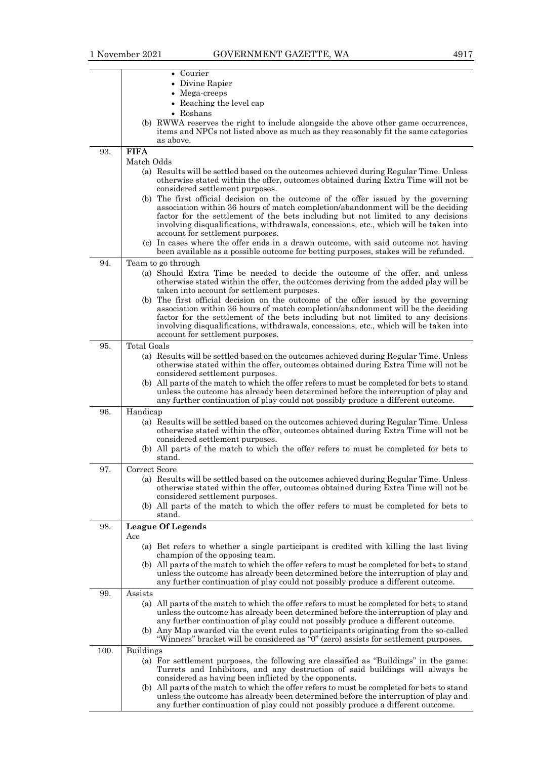|      | • Courier<br>• Divine Rapier                                                                                                                                                      |
|------|-----------------------------------------------------------------------------------------------------------------------------------------------------------------------------------|
|      | • Mega-creeps                                                                                                                                                                     |
|      | • Reaching the level cap                                                                                                                                                          |
|      | • Roshans                                                                                                                                                                         |
|      | (b) RWWA reserves the right to include alongside the above other game occurrences,                                                                                                |
|      | items and NPCs not listed above as much as they reasonably fit the same categories                                                                                                |
|      | as above.                                                                                                                                                                         |
| 93.  | <b>FIFA</b><br>Match Odds                                                                                                                                                         |
|      | (a) Results will be settled based on the outcomes achieved during Regular Time. Unless                                                                                            |
|      | otherwise stated within the offer, outcomes obtained during Extra Time will not be                                                                                                |
|      | considered settlement purposes.                                                                                                                                                   |
|      | (b) The first official decision on the outcome of the offer issued by the governing                                                                                               |
|      | association within 36 hours of match completion/abandonment will be the deciding<br>factor for the settlement of the bets including but not limited to any decisions              |
|      | involving disqualifications, withdrawals, concessions, etc., which will be taken into                                                                                             |
|      | account for settlement purposes.                                                                                                                                                  |
|      | (c) In cases where the offer ends in a drawn outcome, with said outcome not having                                                                                                |
|      | been available as a possible outcome for betting purposes, stakes will be refunded.                                                                                               |
| 94.  | Team to go through                                                                                                                                                                |
|      | (a) Should Extra Time be needed to decide the outcome of the offer, and unless<br>otherwise stated within the offer, the outcomes deriving from the added play will be            |
|      | taken into account for settlement purposes.                                                                                                                                       |
|      | (b) The first official decision on the outcome of the offer issued by the governing                                                                                               |
|      | association within 36 hours of match completion/abandonment will be the deciding                                                                                                  |
|      | factor for the settlement of the bets including but not limited to any decisions<br>involving disqualifications, withdrawals, concessions, etc., which will be taken into         |
|      | account for settlement purposes.                                                                                                                                                  |
| 95.  | <b>Total Goals</b>                                                                                                                                                                |
|      | (a) Results will be settled based on the outcomes achieved during Regular Time. Unless                                                                                            |
|      | otherwise stated within the offer, outcomes obtained during Extra Time will not be                                                                                                |
|      | considered settlement purposes.                                                                                                                                                   |
|      | (b) All parts of the match to which the offer refers to must be completed for bets to stand<br>unless the outcome has already been determined before the interruption of play and |
|      | any further continuation of play could not possibly produce a different outcome.                                                                                                  |
| 96.  | Handicap                                                                                                                                                                          |
|      | (a) Results will be settled based on the outcomes achieved during Regular Time. Unless                                                                                            |
|      | otherwise stated within the offer, outcomes obtained during Extra Time will not be<br>considered settlement purposes.                                                             |
|      | (b) All parts of the match to which the offer refers to must be completed for bets to                                                                                             |
|      | stand.                                                                                                                                                                            |
| 97.  | Correct Score                                                                                                                                                                     |
|      | (a) Results will be settled based on the outcomes achieved during Regular Time. Unless                                                                                            |
|      | otherwise stated within the offer, outcomes obtained during Extra Time will not be<br>considered settlement purposes.                                                             |
|      | (b) All parts of the match to which the offer refers to must be completed for bets to                                                                                             |
|      | stand.                                                                                                                                                                            |
| 98.  | <b>League Of Legends</b>                                                                                                                                                          |
|      | Ace                                                                                                                                                                               |
|      | (a) Bet refers to whether a single participant is credited with killing the last living                                                                                           |
|      | champion of the opposing team.<br>(b) All parts of the match to which the offer refers to must be completed for bets to stand                                                     |
|      | unless the outcome has already been determined before the interruption of play and                                                                                                |
|      | any further continuation of play could not possibly produce a different outcome.                                                                                                  |
| 99.  | Assists                                                                                                                                                                           |
|      | (a) All parts of the match to which the offer refers to must be completed for bets to stand                                                                                       |
|      | unless the outcome has already been determined before the interruption of play and<br>any further continuation of play could not possibly produce a different outcome.            |
|      | (b) Any Map awarded via the event rules to participants originating from the so-called                                                                                            |
|      | "Winners" bracket will be considered as "0" (zero) assists for settlement purposes.                                                                                               |
| 100. | <b>Buildings</b>                                                                                                                                                                  |
|      | (a) For settlement purposes, the following are classified as "Buildings" in the game:                                                                                             |
|      | Turrets and Inhibitors, and any destruction of said buildings will always be<br>considered as having been inflicted by the opponents.                                             |
|      | (b) All parts of the match to which the offer refers to must be completed for bets to stand                                                                                       |
|      | unless the outcome has already been determined before the interruption of play and                                                                                                |
|      | any further continuation of play could not possibly produce a different outcome.                                                                                                  |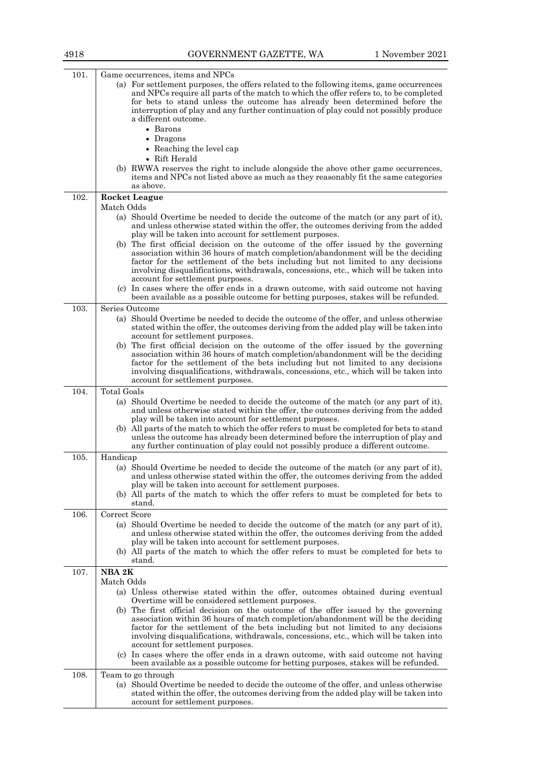| 4918 | GOVERNMENT GAZETTE, WA                                                                                                                                                                                                                                                                                                                                                                   | 1 November 2021 |
|------|------------------------------------------------------------------------------------------------------------------------------------------------------------------------------------------------------------------------------------------------------------------------------------------------------------------------------------------------------------------------------------------|-----------------|
| 101. | Game occurrences, items and NPCs<br>(a) For settlement purposes, the offers related to the following items, game occurrences                                                                                                                                                                                                                                                             |                 |
|      | and NPCs require all parts of the match to which the offer refers to, to be completed<br>for bets to stand unless the outcome has already been determined before the<br>interruption of play and any further continuation of play could not possibly produce<br>a different outcome.                                                                                                     |                 |
|      | • Barons<br>• Dragons                                                                                                                                                                                                                                                                                                                                                                    |                 |
|      | • Reaching the level cap                                                                                                                                                                                                                                                                                                                                                                 |                 |
|      | • Rift Herald<br>(b) RWWA reserves the right to include alongside the above other game occurrences,                                                                                                                                                                                                                                                                                      |                 |
|      | items and NPCs not listed above as much as they reasonably fit the same categories<br>as above.                                                                                                                                                                                                                                                                                          |                 |
| 102. | <b>Rocket League</b>                                                                                                                                                                                                                                                                                                                                                                     |                 |
|      | Match Odds                                                                                                                                                                                                                                                                                                                                                                               |                 |
|      | (a) Should Overtime be needed to decide the outcome of the match (or any part of it),<br>and unless otherwise stated within the offer, the outcomes deriving from the added<br>play will be taken into account for settlement purposes.                                                                                                                                                  |                 |
|      | (b) The first official decision on the outcome of the offer issued by the governing<br>association within 36 hours of match completion/abandonment will be the deciding<br>factor for the settlement of the bets including but not limited to any decisions<br>involving disqualifications, withdrawals, concessions, etc., which will be taken into<br>account for settlement purposes. |                 |
|      | (c) In cases where the offer ends in a drawn outcome, with said outcome not having<br>been available as a possible outcome for betting purposes, stakes will be refunded.                                                                                                                                                                                                                |                 |
| 103. | Series Outcome                                                                                                                                                                                                                                                                                                                                                                           |                 |
|      | (a) Should Overtime be needed to decide the outcome of the offer, and unless otherwise<br>stated within the offer, the outcomes deriving from the added play will be taken into<br>account for settlement purposes.                                                                                                                                                                      |                 |
|      | (b) The first official decision on the outcome of the offer issued by the governing<br>association within 36 hours of match completion/abandonment will be the deciding<br>factor for the settlement of the bets including but not limited to any decisions<br>involving disqualifications, withdrawals, concessions, etc., which will be taken into<br>account for settlement purposes. |                 |
| 104. | <b>Total Goals</b>                                                                                                                                                                                                                                                                                                                                                                       |                 |
|      | (a) Should Overtime be needed to decide the outcome of the match (or any part of it),<br>and unless otherwise stated within the offer, the outcomes deriving from the added<br>play will be taken into account for settlement purposes.                                                                                                                                                  |                 |
|      | (b) All parts of the match to which the offer refers to must be completed for bets to stand<br>unless the outcome has already been determined before the interruption of play and<br>any further continuation of play could not possibly produce a different outcome.                                                                                                                    |                 |
| 105. | Handicap                                                                                                                                                                                                                                                                                                                                                                                 |                 |
|      | (a) Should Overtime be needed to decide the outcome of the match (or any part of it),<br>and unless otherwise stated within the offer, the outcomes deriving from the added<br>play will be taken into account for settlement purposes.                                                                                                                                                  |                 |
|      | (b) All parts of the match to which the offer refers to must be completed for bets to<br>stand.                                                                                                                                                                                                                                                                                          |                 |
| 106. | Correct Score                                                                                                                                                                                                                                                                                                                                                                            |                 |
|      | (a) Should Overtime be needed to decide the outcome of the match (or any part of it),<br>and unless otherwise stated within the offer, the outcomes deriving from the added<br>play will be taken into account for settlement purposes.                                                                                                                                                  |                 |
|      | (b) All parts of the match to which the offer refers to must be completed for bets to<br>stand.                                                                                                                                                                                                                                                                                          |                 |
| 107. | NBA 2K<br>Match Odds                                                                                                                                                                                                                                                                                                                                                                     |                 |
|      | (a) Unless otherwise stated within the offer, outcomes obtained during eventual<br>Overtime will be considered settlement purposes.                                                                                                                                                                                                                                                      |                 |
|      | (b) The first official decision on the outcome of the offer issued by the governing<br>association within 36 hours of match completion/abandonment will be the deciding<br>factor for the settlement of the bets including but not limited to any decisions<br>involving disqualifications, withdrawals, concessions, etc., which will be taken into<br>account for settlement purposes. |                 |
|      | (c) In cases where the offer ends in a drawn outcome, with said outcome not having                                                                                                                                                                                                                                                                                                       |                 |

108. Team to go through (a) Should Overtime be needed to decide the outcome of the offer, and unless otherwise stated within the offer, the outcomes deriving from the added play will be taken into account for settlement purposes.

been available as a possible outcome for betting purposes, stakes will be refunded.